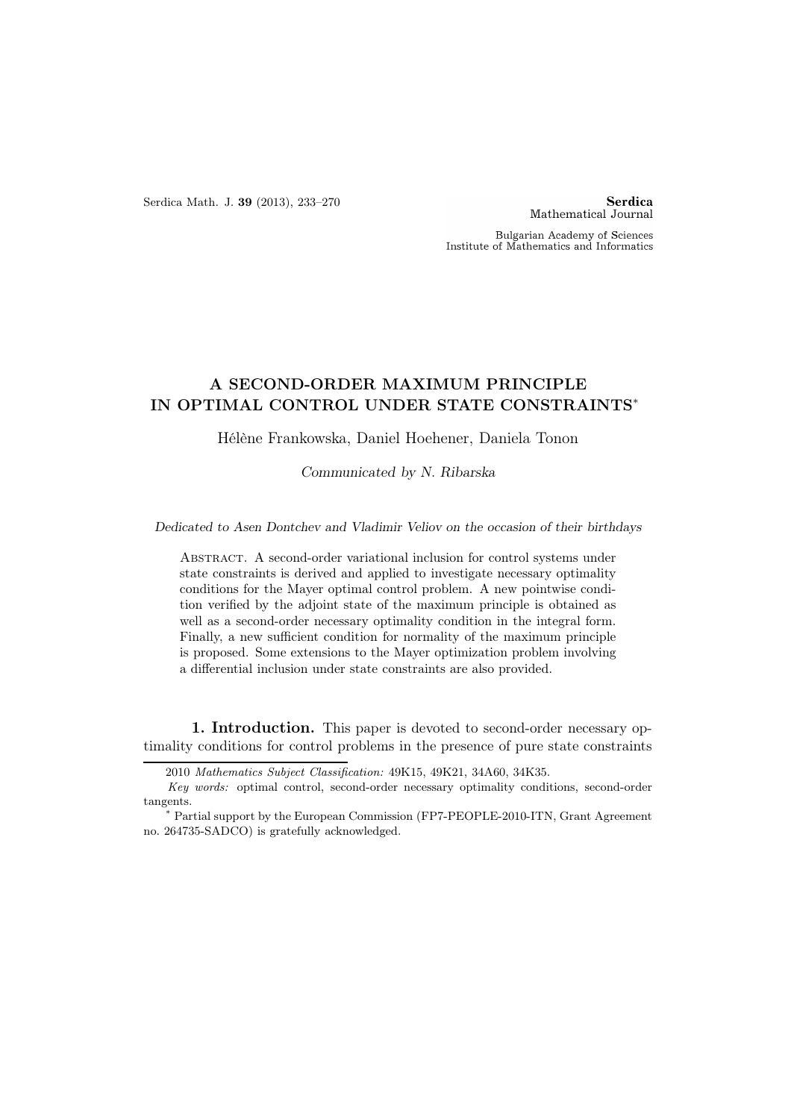Serdica Math. J. 39 (2013), 233–270

**Serdica** Mathematical Journal

Bulgarian Academy of Sciences Institute of Mathematics and Informatics

## A SECOND-ORDER MAXIMUM PRINCIPLE IN OPTIMAL CONTROL UNDER STATE CONSTRAINTS<sup>∗</sup>

Hélène Frankowska, Daniel Hoehener, Daniela Tonon

Communicated by N. Ribarska

Dedicated to Asen Dontchev and Vladimir Veliov on the occasion of their birthdays

Abstract. A second-order variational inclusion for control systems under state constraints is derived and applied to investigate necessary optimality conditions for the Mayer optimal control problem. A new pointwise condition verified by the adjoint state of the maximum principle is obtained as well as a second-order necessary optimality condition in the integral form. Finally, a new sufficient condition for normality of the maximum principle is proposed. Some extensions to the Mayer optimization problem involving a differential inclusion under state constraints are also provided.

1. Introduction. This paper is devoted to second-order necessary optimality conditions for control problems in the presence of pure state constraints

<sup>2010</sup> Mathematics Subject Classification: 49K15, 49K21, 34A60, 34K35.

Key words: optimal control, second-order necessary optimality conditions, second-order tangents.

<sup>∗</sup> Partial support by the European Commission (FP7-PEOPLE-2010-ITN, Grant Agreement no. 264735-SADCO) is gratefully acknowledged.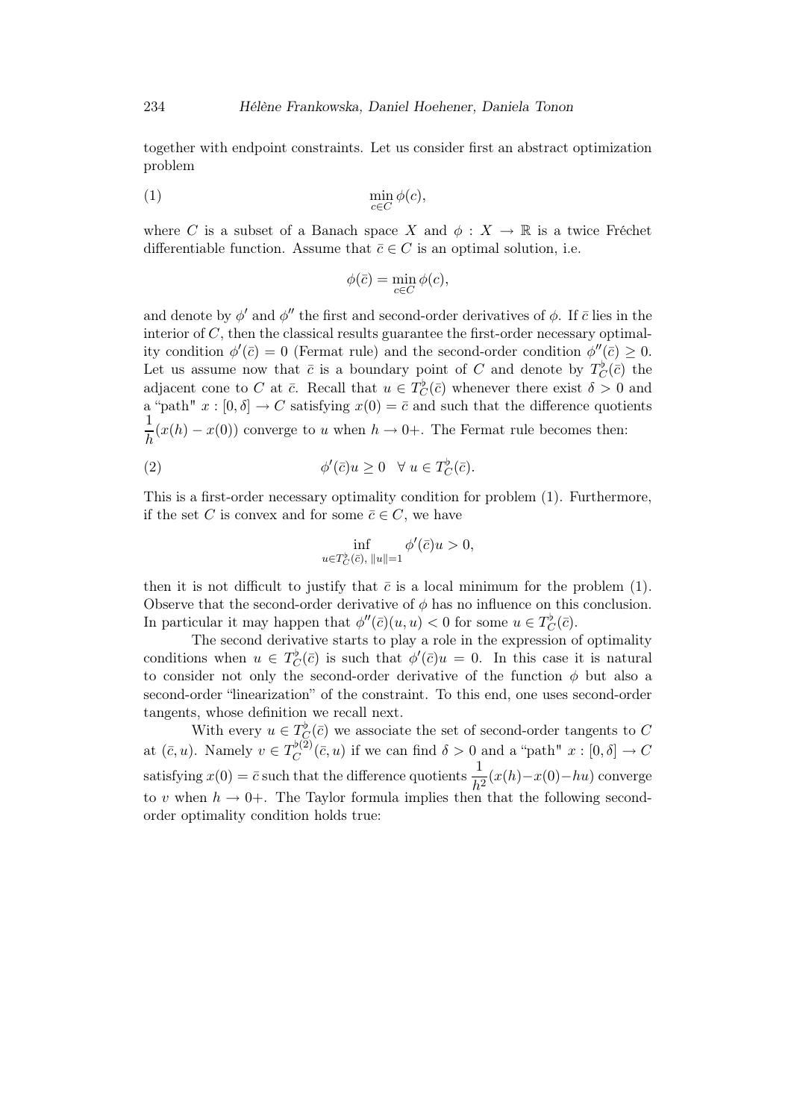together with endpoint constraints. Let us consider first an abstract optimization problem

$$
\min_{c \in C} \phi(c),
$$

where C is a subset of a Banach space X and  $\phi: X \to \mathbb{R}$  is a twice Fréchet differentiable function. Assume that  $\bar{c} \in C$  is an optimal solution, i.e.

$$
\phi(\bar{c}) = \min_{c \in C} \phi(c),
$$

and denote by  $\phi'$  and  $\phi''$  the first and second-order derivatives of  $\phi$ . If  $\bar{c}$  lies in the interior of  $C$ , then the classical results guarantee the first-order necessary optimality condition  $\phi'(\bar{c}) = 0$  (Fermat rule) and the second-order condition  $\phi''(\bar{c}) \geq 0$ . Let us assume now that  $\bar{c}$  is a boundary point of C and denote by  $T_C^{\flat}(\bar{c})$  the adjacent cone to C at  $\bar{c}$ . Recall that  $u \in T_C^{\flat}(\bar{c})$  whenever there exist  $\delta > 0$  and a "path"  $x : [0, \delta] \to C$  satisfying  $x(0) = \overline{c}$  and such that the difference quotients 1  $\frac{1}{h}(x(h) - x(0))$  converge to u when  $h \to 0+$ . The Fermat rule becomes then:

(2) 
$$
\phi'(\bar{c})u \geq 0 \quad \forall u \in T_C^{\flat}(\bar{c}).
$$

This is a first-order necessary optimality condition for problem (1). Furthermore, if the set C is convex and for some  $\overline{c} \in C$ , we have

$$
\inf_{u \in T_C^{\flat}(\bar{c}), ||u||=1} \phi'(\bar{c})u > 0,
$$

then it is not difficult to justify that  $\bar{c}$  is a local minimum for the problem (1). Observe that the second-order derivative of  $\phi$  has no influence on this conclusion. In particular it may happen that  $\phi''(\bar{c})(u, u) < 0$  for some  $u \in T_C^{\flat}(\bar{c})$ .

The second derivative starts to play a role in the expression of optimality conditions when  $u \in T_C^{\flat}(\bar{c})$  is such that  $\phi'(\bar{c})u = 0$ . In this case it is natural to consider not only the second-order derivative of the function  $\phi$  but also a second-order "linearization" of the constraint. To this end, one uses second-order tangents, whose definition we recall next.

With every  $u \in T_{\mathcal{C}}^{\flat}(\bar{c})$  we associate the set of second-order tangents to C at  $(\bar{c}, u)$ . Namely  $v \in T_C^{\flat(2)}$  $C^{(z)}(\bar{c},u)$  if we can find  $\delta > 0$  and a "path"  $x : [0,\delta] \to C$ satisfying  $x(0) = \bar{c}$  such that the difference quotients  $\frac{1}{h^2}(x(h) - x(0) - hu)$  converge to v when  $h \to 0^+$ . The Taylor formula implies then that the following secondorder optimality condition holds true: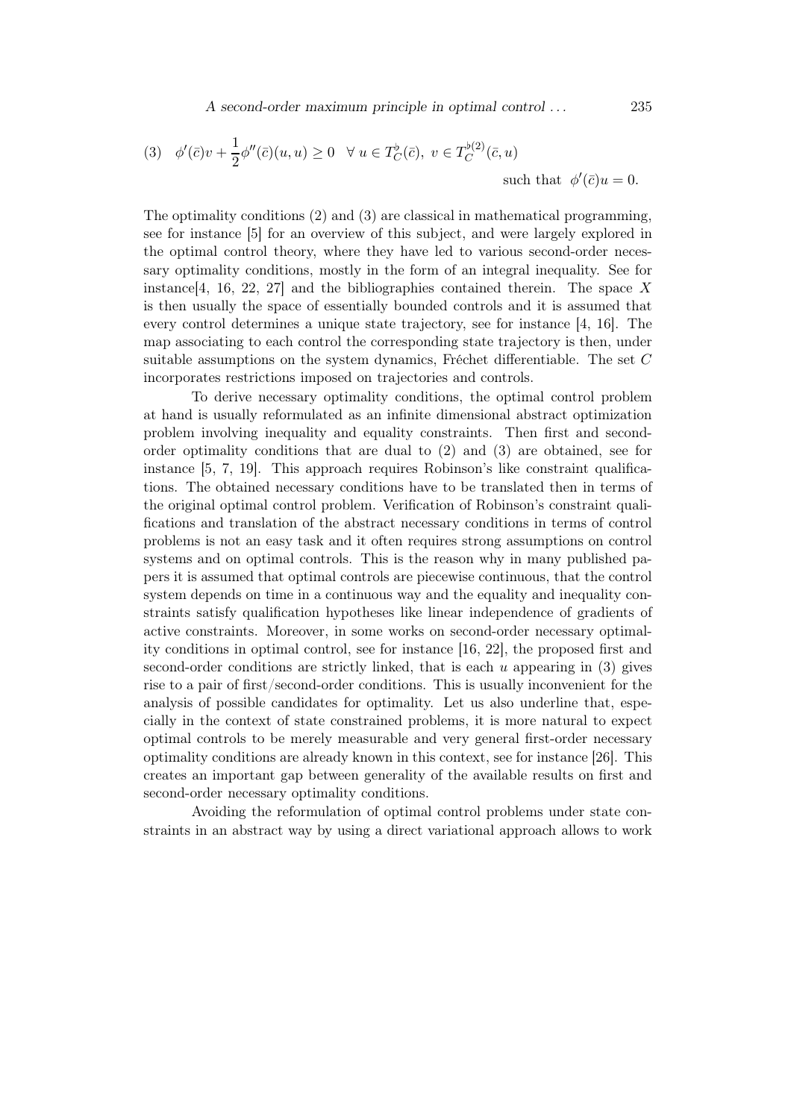(3) 
$$
\phi'(\bar{c})v + \frac{1}{2}\phi''(\bar{c})(u, u) \ge 0 \quad \forall u \in T_C^{\flat}(\bar{c}), v \in T_C^{\flat(2)}(\bar{c}, u)
$$
  
such that  $\phi'(\bar{c})u = 0$ .

The optimality conditions (2) and (3) are classical in mathematical programming, see for instance [5] for an overview of this subject, and were largely explored in the optimal control theory, where they have led to various second-order necessary optimality conditions, mostly in the form of an integral inequality. See for instance [4, 16, 22, 27] and the bibliographies contained therein. The space X is then usually the space of essentially bounded controls and it is assumed that every control determines a unique state trajectory, see for instance [4, 16]. The map associating to each control the corresponding state trajectory is then, under suitable assumptions on the system dynamics, Fréchet differentiable. The set C incorporates restrictions imposed on trajectories and controls.

To derive necessary optimality conditions, the optimal control problem at hand is usually reformulated as an infinite dimensional abstract optimization problem involving inequality and equality constraints. Then first and secondorder optimality conditions that are dual to (2) and (3) are obtained, see for instance [5, 7, 19]. This approach requires Robinson's like constraint qualifications. The obtained necessary conditions have to be translated then in terms of the original optimal control problem. Verification of Robinson's constraint qualifications and translation of the abstract necessary conditions in terms of control problems is not an easy task and it often requires strong assumptions on control systems and on optimal controls. This is the reason why in many published papers it is assumed that optimal controls are piecewise continuous, that the control system depends on time in a continuous way and the equality and inequality constraints satisfy qualification hypotheses like linear independence of gradients of active constraints. Moreover, in some works on second-order necessary optimality conditions in optimal control, see for instance [16, 22], the proposed first and second-order conditions are strictly linked, that is each  $u$  appearing in  $(3)$  gives rise to a pair of first/second-order conditions. This is usually inconvenient for the analysis of possible candidates for optimality. Let us also underline that, especially in the context of state constrained problems, it is more natural to expect optimal controls to be merely measurable and very general first-order necessary optimality conditions are already known in this context, see for instance [26]. This creates an important gap between generality of the available results on first and second-order necessary optimality conditions.

Avoiding the reformulation of optimal control problems under state constraints in an abstract way by using a direct variational approach allows to work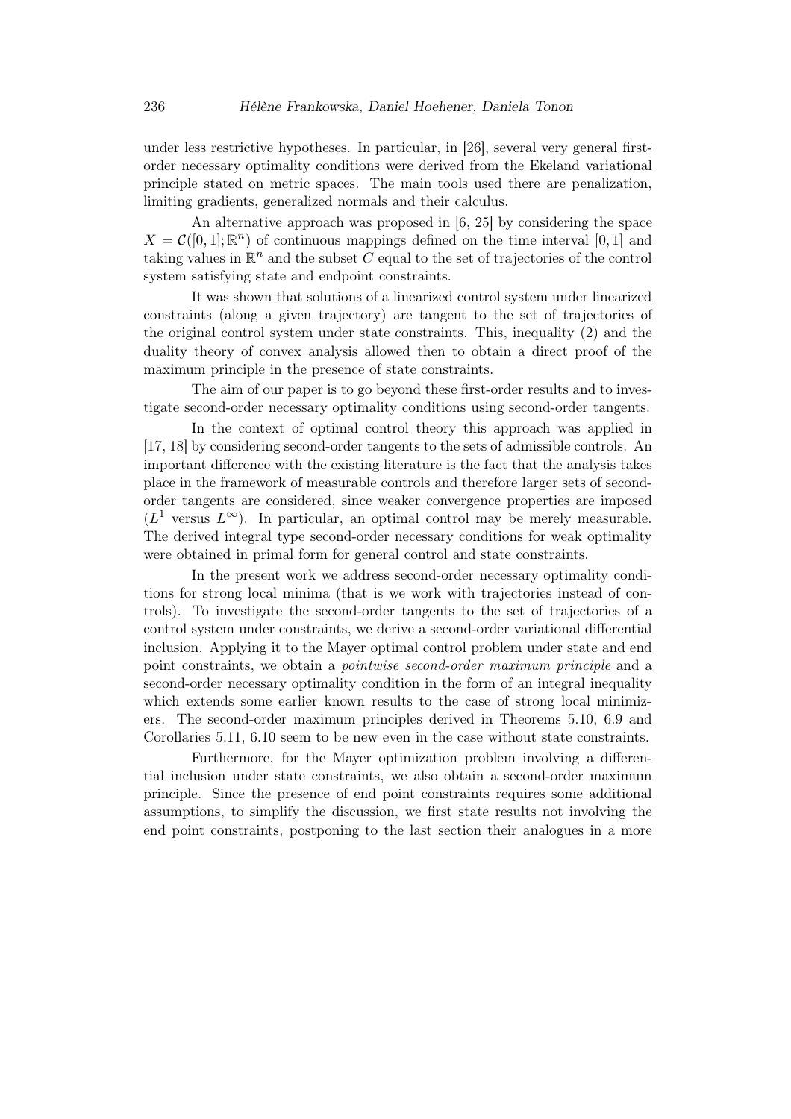under less restrictive hypotheses. In particular, in [26], several very general firstorder necessary optimality conditions were derived from the Ekeland variational principle stated on metric spaces. The main tools used there are penalization, limiting gradients, generalized normals and their calculus.

An alternative approach was proposed in [6, 25] by considering the space  $X = \mathcal{C}([0,1];\mathbb{R}^n)$  of continuous mappings defined on the time interval [0, 1] and taking values in  $\mathbb{R}^n$  and the subset C equal to the set of trajectories of the control system satisfying state and endpoint constraints.

It was shown that solutions of a linearized control system under linearized constraints (along a given trajectory) are tangent to the set of trajectories of the original control system under state constraints. This, inequality (2) and the duality theory of convex analysis allowed then to obtain a direct proof of the maximum principle in the presence of state constraints.

The aim of our paper is to go beyond these first-order results and to investigate second-order necessary optimality conditions using second-order tangents.

In the context of optimal control theory this approach was applied in [17, 18] by considering second-order tangents to the sets of admissible controls. An important difference with the existing literature is the fact that the analysis takes place in the framework of measurable controls and therefore larger sets of secondorder tangents are considered, since weaker convergence properties are imposed  $(L<sup>1</sup>$  versus  $L^{\infty}$ ). In particular, an optimal control may be merely measurable. The derived integral type second-order necessary conditions for weak optimality were obtained in primal form for general control and state constraints.

In the present work we address second-order necessary optimality conditions for strong local minima (that is we work with trajectories instead of controls). To investigate the second-order tangents to the set of trajectories of a control system under constraints, we derive a second-order variational differential inclusion. Applying it to the Mayer optimal control problem under state and end point constraints, we obtain a pointwise second-order maximum principle and a second-order necessary optimality condition in the form of an integral inequality which extends some earlier known results to the case of strong local minimizers. The second-order maximum principles derived in Theorems 5.10, 6.9 and Corollaries 5.11, 6.10 seem to be new even in the case without state constraints.

Furthermore, for the Mayer optimization problem involving a differential inclusion under state constraints, we also obtain a second-order maximum principle. Since the presence of end point constraints requires some additional assumptions, to simplify the discussion, we first state results not involving the end point constraints, postponing to the last section their analogues in a more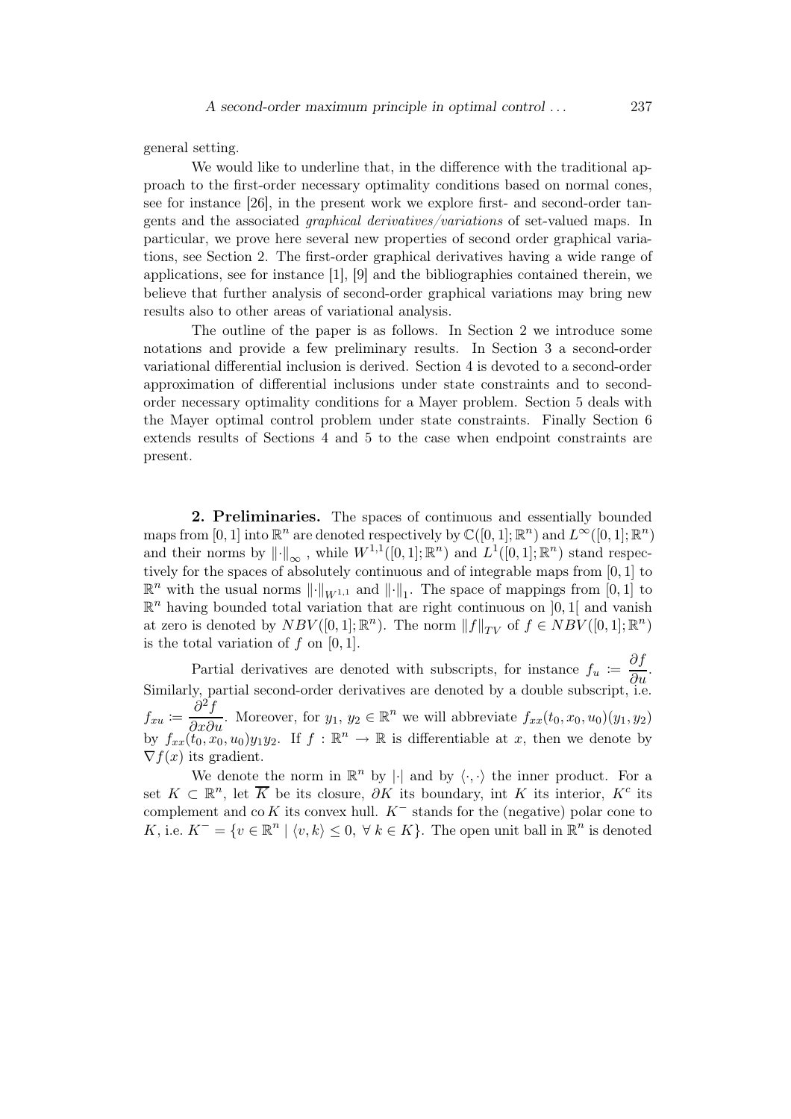general setting.

We would like to underline that, in the difference with the traditional approach to the first-order necessary optimality conditions based on normal cones, see for instance [26], in the present work we explore first- and second-order tangents and the associated graphical derivatives/variations of set-valued maps. In particular, we prove here several new properties of second order graphical variations, see Section 2. The first-order graphical derivatives having a wide range of applications, see for instance [1], [9] and the bibliographies contained therein, we believe that further analysis of second-order graphical variations may bring new results also to other areas of variational analysis.

The outline of the paper is as follows. In Section 2 we introduce some notations and provide a few preliminary results. In Section 3 a second-order variational differential inclusion is derived. Section 4 is devoted to a second-order approximation of differential inclusions under state constraints and to secondorder necessary optimality conditions for a Mayer problem. Section 5 deals with the Mayer optimal control problem under state constraints. Finally Section 6 extends results of Sections 4 and 5 to the case when endpoint constraints are present.

2. Preliminaries. The spaces of continuous and essentially bounded maps from  $[0, 1]$  into  $\mathbb{R}^n$  are denoted respectively by  $\mathbb{C}([0, 1]; \mathbb{R}^n)$  and  $L^{\infty}([0, 1]; \mathbb{R}^n)$ and their norms by  $\|\cdot\|_{\infty}$ , while  $W^{1,1}([0,1];\mathbb{R}^n)$  and  $L^1([0,1];\mathbb{R}^n)$  stand respectively for the spaces of absolutely continuous and of integrable maps from [0, 1] to  $\mathbb{R}^n$  with the usual norms  $\lVert \cdot \rVert_{W^{1,1}}$  and  $\lVert \cdot \rVert_1$ . The space of mappings from  $[0,1]$  to  $\mathbb{R}^n$  having bounded total variation that are right continuous on  $]0,1[$  and vanish at zero is denoted by  $NBV([0,1];\mathbb{R}^n)$ . The norm  $||f||_{TV}$  of  $f \in NBV([0,1];\mathbb{R}^n)$ is the total variation of  $f$  on  $[0, 1]$ .

Partial derivatives are denoted with subscripts, for instance  $f_u := \frac{\partial f}{\partial u}$ . Similarly, partial second-order derivatives are denoted by a double subscript, i.e.  $f_{xu} \coloneqq \frac{\partial^2 f}{\partial x \partial u}$ . Moreover, for  $y_1, y_2 \in \mathbb{R}^n$  we will abbreviate  $f_{xx}(t_0, x_0, u_0)(y_1, y_2)$ by  $f_{xx}(\tilde{t}_0, x_0, u_0)y_1y_2$ . If  $f : \mathbb{R}^n \to \mathbb{R}$  is differentiable at x, then we denote by  $\nabla f(x)$  its gradient.

We denote the norm in  $\mathbb{R}^n$  by  $|\cdot|$  and by  $\langle \cdot, \cdot \rangle$  the inner product. For a set  $K \subset \mathbb{R}^n$ , let  $\overline{K}$  be its closure,  $\partial K$  its boundary, int K its interior,  $K^c$  its complement and co K its convex hull.  $K^-$  stands for the (negative) polar cone to K, i.e.  $K^- = \{v \in \mathbb{R}^n \mid \langle v, k \rangle \leq 0, \forall k \in K\}$ . The open unit ball in  $\mathbb{R}^n$  is denoted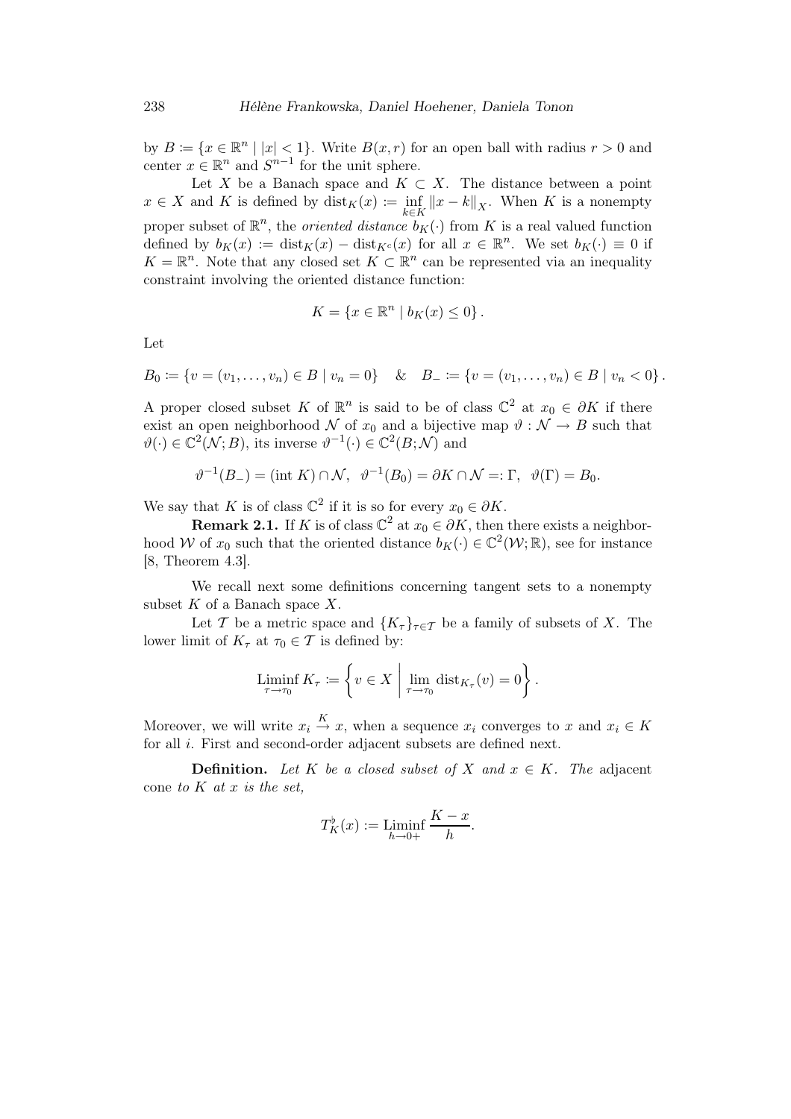by  $B := \{x \in \mathbb{R}^n \mid |x| < 1\}$ . Write  $B(x, r)$  for an open ball with radius  $r > 0$  and center  $x \in \mathbb{R}^n$  and  $S^{n-1}$  for the unit sphere.

Let X be a Banach space and  $K \subset X$ . The distance between a point  $x \in X$  and K is defined by  $\text{dist}_K(x) := \inf_{k \in K} ||x - k||_X$ . When K is a nonempty proper subset of  $\mathbb{R}^n$ , the *oriented distance*  $b_K(\cdot)$  from K is a real valued function defined by  $b_K(x) := \text{dist}_K(x) - \text{dist}_{K^c}(x)$  for all  $x \in \mathbb{R}^n$ . We set  $b_K(\cdot) \equiv 0$  if  $K = \mathbb{R}^n$ . Note that any closed set  $K \subset \mathbb{R}^n$  can be represented via an inequality constraint involving the oriented distance function:

$$
K = \{x \in \mathbb{R}^n \mid b_K(x) \le 0\}.
$$

Let

 $B_0 := \{v = (v_1, \ldots, v_n) \in B \mid v_n = 0\}$  &  $B_- := \{v = (v_1, \ldots, v_n) \in B \mid v_n < 0\}$ .

A proper closed subset K of  $\mathbb{R}^n$  is said to be of class  $\mathbb{C}^2$  at  $x_0 \in \partial K$  if there exist an open neighborhood N of  $x_0$  and a bijective map  $\vartheta : \mathcal{N} \to B$  such that  $\vartheta(\cdot) \in \mathbb{C}^2(\mathcal{N};B)$ , its inverse  $\vartheta^{-1}(\cdot) \in \mathbb{C}^2(B;\mathcal{N})$  and

$$
\vartheta^{-1}(B_-) = (\text{int } K) \cap \mathcal{N}, \quad \vartheta^{-1}(B_0) = \partial K \cap \mathcal{N} =: \Gamma, \quad \vartheta(\Gamma) = B_0.
$$

We say that K is of class  $\mathbb{C}^2$  if it is so for every  $x_0 \in \partial K$ .

**Remark 2.1.** If K is of class  $\mathbb{C}^2$  at  $x_0 \in \partial K$ , then there exists a neighborhood W of  $x_0$  such that the oriented distance  $b_K(\cdot) \in \mathbb{C}^2(\mathcal{W}; \mathbb{R})$ , see for instance [8, Theorem 4.3].

We recall next some definitions concerning tangent sets to a nonempty subset  $K$  of a Banach space  $X$ .

Let T be a metric space and  ${K_\tau}_{\tau\in\tau}$  be a family of subsets of X. The lower limit of  $K_{\tau}$  at  $\tau_0 \in \mathcal{T}$  is defined by:

$$
\liminf_{\tau \to \tau_0} K_{\tau} \coloneqq \left\{ v \in X \mid \lim_{\tau \to \tau_0} \text{dist}_{K_{\tau}}(v) = 0 \right\}.
$$

Moreover, we will write  $x_i \stackrel{K}{\to} x$ , when a sequence  $x_i$  converges to x and  $x_i \in K$ for all i. First and second-order adjacent subsets are defined next.

**Definition.** Let K be a closed subset of X and  $x \in K$ . The adjacent cone to  $K$  at  $x$  is the set,

$$
T_K^{\flat}(x) := \liminf_{h \to 0+} \frac{K - x}{h}.
$$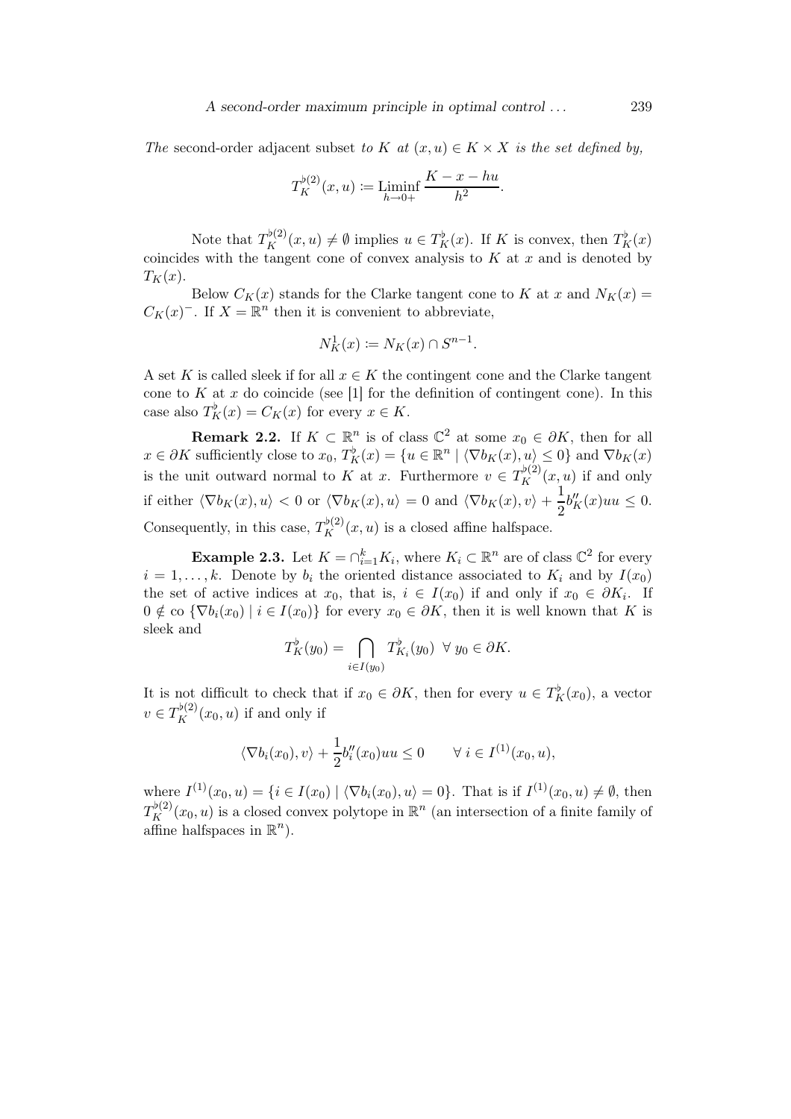The second-order adjacent subset to K at  $(x, u) \in K \times X$  is the set defined by,

$$
T_K^{\flat(2)}(x, u) := \liminf_{h \to 0+} \frac{K - x - hu}{h^2}.
$$

Note that  $T_K^{\flat(2)}(x, u) \neq \emptyset$  implies  $u \in T_K^{\flat}(x)$ . If K is convex, then  $T_K^{\flat}(x)$ coincides with the tangent cone of convex analysis to  $K$  at  $x$  and is denoted by  $T_K(x)$ .

Below  $C_K(x)$  stands for the Clarke tangent cone to K at x and  $N_K(x) =$  $C_K(x)^-$ . If  $X = \mathbb{R}^n$  then it is convenient to abbreviate,

$$
N_K^1(x) := N_K(x) \cap S^{n-1}.
$$

A set K is called sleek if for all  $x \in K$  the contingent cone and the Clarke tangent cone to  $K$  at  $x$  do coincide (see [1] for the definition of contingent cone). In this case also  $T_K^{\flat}(x) = C_K(x)$  for every  $x \in K$ .

**Remark 2.2.** If  $K \subset \mathbb{R}^n$  is of class  $\mathbb{C}^2$  at some  $x_0 \in \partial K$ , then for all  $x \in \partial K$  sufficiently close to  $x_0, T_K^{\flat}(x) = \{u \in \mathbb{R}^n \mid \langle \nabla b_K(x), u \rangle \leq 0\}$  and  $\nabla b_K(x)$ is the unit outward normal to K at x. Furthermore  $v \in T_K^{\flat(2)}(x,u)$  if and only if either  $\langle \nabla b_K(x), u \rangle < 0$  or  $\langle \nabla b_K(x), u \rangle = 0$  and  $\langle \nabla b_K(x), v \rangle + \frac{1}{2}$  $\frac{1}{2}b_K''(x)uu \leq 0.$ Consequently, in this case,  $T_K^{\flat(2)}(x, u)$  is a closed affine halfspace.

**Example 2.3.** Let  $K = \bigcap_{i=1}^{k} K_i$ , where  $K_i \subset \mathbb{R}^n$  are of class  $\mathbb{C}^2$  for every  $i = 1, \ldots, k$ . Denote by  $b_i$  the oriented distance associated to  $K_i$  and by  $I(x_0)$ the set of active indices at  $x_0$ , that is,  $i \in I(x_0)$  if and only if  $x_0 \in \partial K_i$ . If  $0 \notin \text{co } \{\nabla b_i(x_0) \mid i \in I(x_0)\}\$  for every  $x_0 \in \partial K$ , then it is well known that K is sleek and

$$
T_K^{\flat}(y_0) = \bigcap_{i \in I(y_0)} T_{K_i}^{\flat}(y_0) \ \ \forall \ y_0 \in \partial K.
$$

It is not difficult to check that if  $x_0 \in \partial K$ , then for every  $u \in T_K^{\flat}(x_0)$ , a vector  $v \in T_K^{\flat(2)}(x_0, u)$  if and only if

$$
\langle \nabla b_i(x_0), v \rangle + \frac{1}{2} b_i''(x_0) uu \le 0 \qquad \forall i \in I^{(1)}(x_0, u),
$$

where  $I^{(1)}(x_0, u) = \{i \in I(x_0) \mid \langle \nabla b_i(x_0), u \rangle = 0\}$ . That is if  $I^{(1)}(x_0, u) \neq \emptyset$ , then  $T_K^{\flat(2)}(x_0, u)$  is a closed convex polytope in  $\mathbb{R}^n$  (an intersection of a finite family of affine halfspaces in  $\mathbb{R}^n$ ).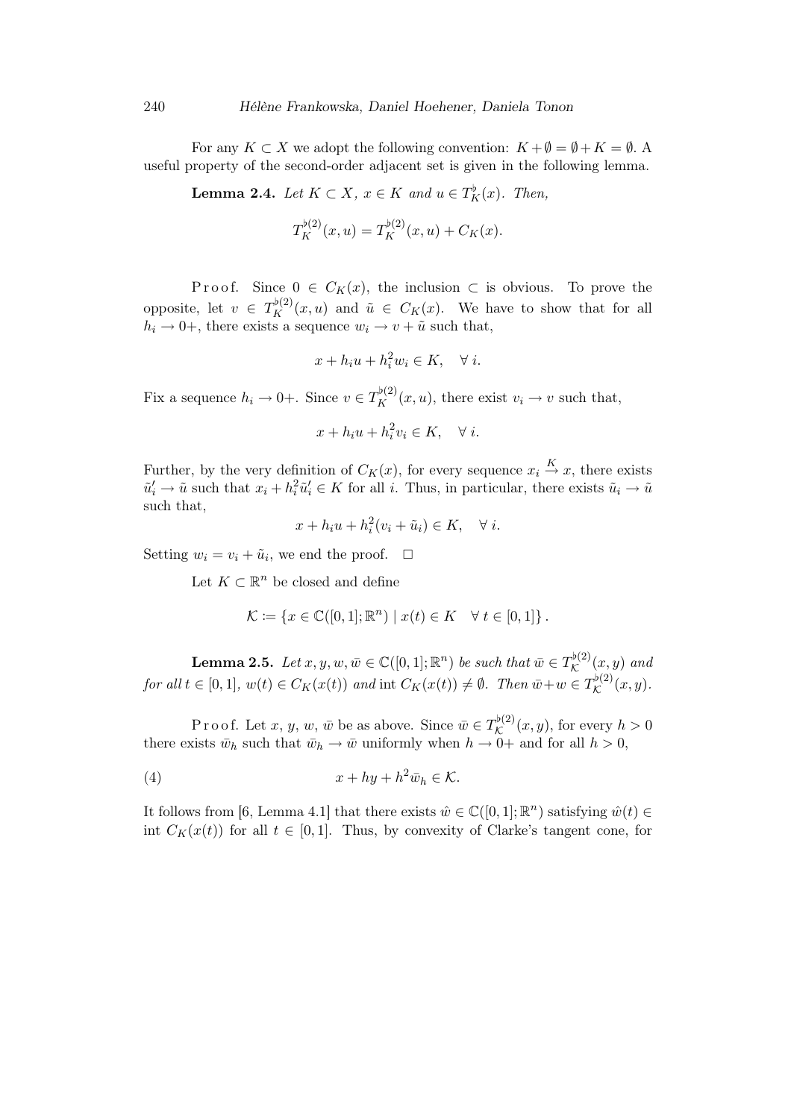For any  $K \subset X$  we adopt the following convention:  $K + \emptyset = \emptyset + K = \emptyset$ . useful property of the second-order adjacent set is given in the following lemma.

**Lemma 2.4.** Let  $K \subset X$ ,  $x \in K$  and  $u \in T_K^{\flat}(x)$ . Then,

$$
T_K^{\flat(2)}(x,u) = T_K^{\flat(2)}(x,u) + C_K(x).
$$

P r o o f. Since  $0 \in C_K(x)$ , the inclusion  $\subset$  is obvious. To prove the opposite, let  $v \in T_K^{b(2)}(x,u)$  and  $\tilde{u} \in C_K(x)$ . We have to show that for all  $h_i \rightarrow 0^+,$  there exists a sequence  $w_i \rightarrow v + \tilde{u}$  such that,

$$
x + h_i u + h_i^2 w_i \in K, \quad \forall i.
$$

Fix a sequence  $h_i \to 0^+$ . Since  $v \in T_K^{\flat(2)}(x, u)$ , there exist  $v_i \to v$  such that,

$$
x + h_i u + h_i^2 v_i \in K, \quad \forall i.
$$

Further, by the very definition of  $C_K(x)$ , for every sequence  $x_i \stackrel{K}{\rightarrow} x$ , there exists  $\tilde{u}'_i \to \tilde{u}$  such that  $x_i + h_i^2 \tilde{u}'_i \in K$  for all i. Thus, in particular, there exists  $\tilde{u}_i \to \tilde{u}$ such that,

$$
x + h_i u + h_i^2 (v_i + \tilde{u}_i) \in K, \quad \forall i.
$$

Setting  $w_i = v_i + \tilde{u}_i$ , we end the proof.  $\Box$ 

Let  $K \subset \mathbb{R}^n$  be closed and define

$$
\mathcal{K} \coloneqq \{ x \in \mathbb{C}([0,1];\mathbb{R}^n) \mid x(t) \in K \quad \forall t \in [0,1] \}.
$$

**Lemma 2.5.** Let  $x, y, w, \bar{w} \in \mathbb{C}([0,1];\mathbb{R}^n)$  be such that  $\bar{w} \in T_{\mathcal{K}}^{\flat(2)}$  $\mathcal{K}^{\nu(2)}(x,y)$  and for all  $t \in [0,1], w(t) \in C_K(x(t))$  and int  $C_K(x(t)) \neq \emptyset$ . Then  $\overline{w} + w \in T_{\mathcal{K}}^{\flat(2)}$  $\mathcal{K}^{\nu(2)}(x,y).$ 

P r o o f. Let  $x, y, w, \bar{w}$  be as above. Since  $\bar{w} \in T_{\mathcal{K}}^{\flat(2)}$  $\mathcal{K}^{(\nu)}(x,y)$ , for every  $h > 0$ there exists  $\bar{w}_h$  such that  $\bar{w}_h \to \bar{w}$  uniformly when  $h \to 0^+$  and for all  $h > 0$ ,

(4) 
$$
x + hy + h^2 \bar{w}_h \in \mathcal{K}.
$$

It follows from [6, Lemma 4.1] that there exists  $\hat{w} \in \mathbb{C}([0,1];\mathbb{R}^n)$  satisfying  $\hat{w}(t) \in$ int  $C_K(x(t))$  for all  $t \in [0,1]$ . Thus, by convexity of Clarke's tangent cone, for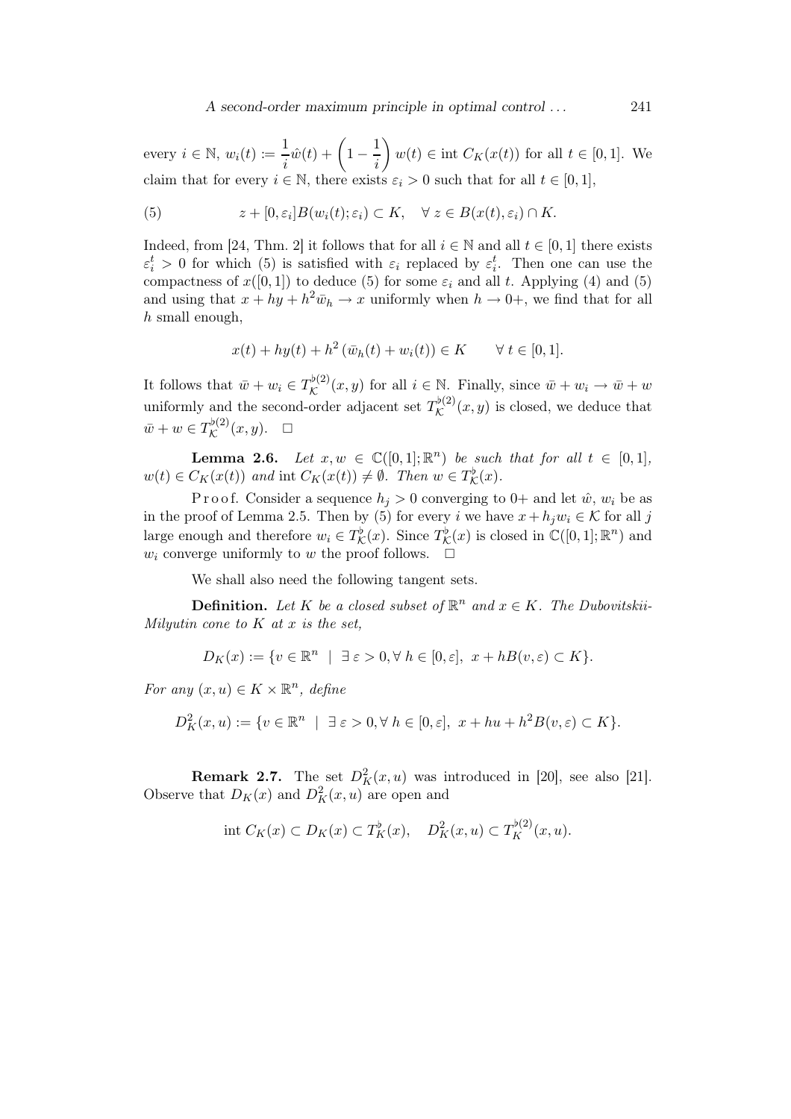every  $i \in \mathbb{N}$ ,  $w_i(t) \coloneqq \frac{1}{i}$  $\frac{1}{i}\hat{w}(t) + \left(1 - \frac{1}{i}\right)$ i  $\setminus$  $w(t) \in \text{int } C_K(x(t))$  for all  $t \in [0,1]$ . We claim that for every  $i \in \mathbb{N}$ , there exists  $\varepsilon_i > 0$  such that for all  $t \in [0,1]$ ,

(5) 
$$
z + [0, \varepsilon_i] B(w_i(t); \varepsilon_i) \subset K, \quad \forall \ z \in B(x(t), \varepsilon_i) \cap K.
$$

Indeed, from [24, Thm. 2] it follows that for all  $i \in \mathbb{N}$  and all  $t \in [0,1]$  there exists  $\varepsilon_i^t > 0$  for which (5) is satisfied with  $\varepsilon_i$  replaced by  $\varepsilon_i^t$ . Then one can use the compactness of  $x([0, 1])$  to deduce (5) for some  $\varepsilon_i$  and all t. Applying (4) and (5) and using that  $x + hy + h^2 \bar{w}_h \to x$  uniformly when  $h \to 0^+$ , we find that for all  $h$  small enough,

$$
x(t) + hy(t) + h^{2}(\bar{w}_{h}(t) + w_{i}(t)) \in K \qquad \forall t \in [0, 1].
$$

It follows that  $\bar{w} + w_i \in T_{\mathcal{K}}^{\flat(2)}$  $\mathcal{K}^{(2)}(x,y)$  for all  $i \in \mathbb{N}$ . Finally, since  $\bar{w} + w_i \to \bar{w} + w_i$ uniformly and the second-order adjacent set  $T_{\mathcal{K}}^{\flat(2)}$  $\mathcal{K}^{(2)}(x,y)$  is closed, we deduce that  $\bar w+w\in T^{ \flat(2)}_\mathcal{K}$  $\mathcal{K}^{(2)}(x,y). \quad \Box$ 

**Lemma 2.6.** Let  $x, w \in \mathbb{C}([0,1];\mathbb{R}^n)$  be such that for all  $t \in [0,1],$  $w(t) \in C_K(x(t))$  and int  $C_K(x(t)) \neq \emptyset$ . Then  $w \in T_{\mathcal{K}}^{\flat}(x)$ .

P r o o f. Consider a sequence  $h_i > 0$  converging to 0+ and let  $\hat{w}$ ,  $w_i$  be as in the proof of Lemma 2.5. Then by (5) for every i we have  $x + h_j w_i \in \mathcal{K}$  for all j large enough and therefore  $w_i \in T_{\mathcal{K}}^{\flat}(x)$ . Since  $T_{\mathcal{K}}^{\flat}(x)$  is closed in  $\mathbb{C}([0,1];\mathbb{R}^n)$  and  $w_i$  converge uniformly to w the proof follows.  $\Box$ 

We shall also need the following tangent sets.

**Definition.** Let K be a closed subset of  $\mathbb{R}^n$  and  $x \in K$ . The Dubovitskii-Milyutin cone to  $K$  at  $x$  is the set,

$$
D_K(x) := \{ v \in \mathbb{R}^n \mid \exists \varepsilon > 0, \forall \ h \in [0, \varepsilon], \ x + h \in (v, \varepsilon) \subset K \}.
$$

For any  $(x, u) \in K \times \mathbb{R}^n$ , define

$$
D_K^2(x, u) := \{ v \in \mathbb{R}^n \mid \exists \varepsilon > 0, \forall h \in [0, \varepsilon], x + hu + h^2 B(v, \varepsilon) \subset K \}.
$$

**Remark 2.7.** The set  $D_K^2(x, u)$  was introduced in [20], see also [21]. Observe that  $D_K(x)$  and  $D_K^2(x, u)$  are open and

$$
\text{int } C_K(x) \subset D_K(x) \subset T_K^{\flat}(x), \quad D_K^2(x, u) \subset T_K^{\flat(2)}(x, u).
$$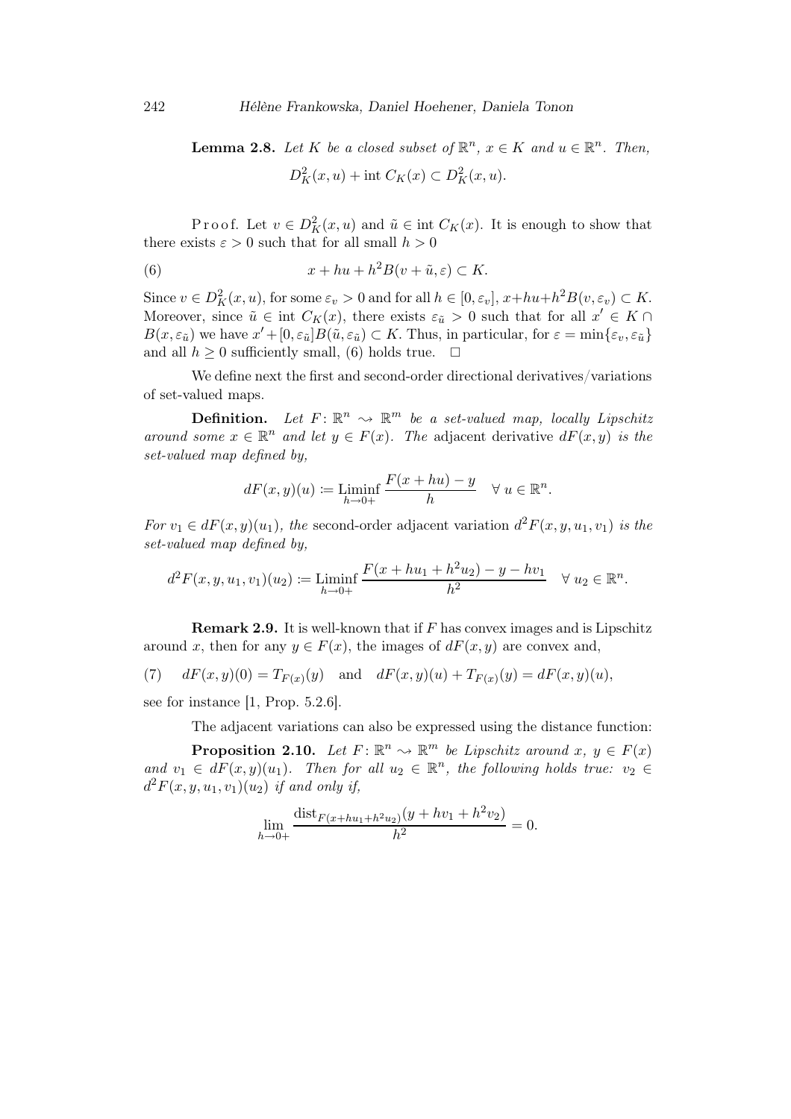**Lemma 2.8.** Let K be a closed subset of  $\mathbb{R}^n$ ,  $x \in K$  and  $u \in \mathbb{R}^n$ . Then,  $D_K^2(x, u) + \text{int } C_K(x) \subset D_K^2(x, u).$ 

Proof. Let  $v \in D_K^2(x, u)$  and  $\tilde{u} \in \text{int } C_K(x)$ . It is enough to show that there exists  $\varepsilon > 0$  such that for all small  $h > 0$ 

(6) 
$$
x + hu + h^2 B(v + \tilde{u}, \varepsilon) \subset K.
$$

Since  $v \in D_K^2(x, u)$ , for some  $\varepsilon_v > 0$  and for all  $h \in [0, \varepsilon_v]$ ,  $x + hu + h^2B(v, \varepsilon_v) \subset K$ . Moreover, since  $\tilde{u} \in \text{int } C_K(x)$ , there exists  $\varepsilon_{\tilde{u}} > 0$  such that for all  $x' \in K \cap$  $B(x, \varepsilon_{\tilde{u}})$  we have  $x' + [0, \varepsilon_{\tilde{u}}]B(\tilde{u}, \varepsilon_{\tilde{u}}) \subset K$ . Thus, in particular, for  $\varepsilon = \min\{\varepsilon_v, \varepsilon_{\tilde{u}}\}$ and all  $h \geq 0$  sufficiently small, (6) holds true.  $\Box$ 

We define next the first and second-order directional derivatives/variations of set-valued maps.

**Definition.** Let  $F: \mathbb{R}^n \to \mathbb{R}^m$  be a set-valued map, locally Lipschitz around some  $x \in \mathbb{R}^n$  and let  $y \in F(x)$ . The adjacent derivative  $dF(x, y)$  is the set-valued map defined by,

$$
dF(x, y)(u) := \mathop{\underline{\liminf}}_{h \to 0+} \frac{F(x + hu) - y}{h} \quad \forall u \in \mathbb{R}^n.
$$

For  $v_1 \in dF(x,y)(u_1)$ , the second-order adjacent variation  $d^2F(x,y,u_1,v_1)$  is the set-valued map defined by,

$$
d^2F(x, y, u_1, v_1)(u_2) := \liminf_{h \to 0+} \frac{F(x + hu_1 + h^2 u_2) - y - hv_1}{h^2} \quad \forall u_2 \in \mathbb{R}^n.
$$

**Remark 2.9.** It is well-known that if  $F$  has convex images and is Lipschitz around x, then for any  $y \in F(x)$ , the images of  $dF(x, y)$  are convex and,

(7) 
$$
dF(x,y)(0) = T_{F(x)}(y) \text{ and } dF(x,y)(u) + T_{F(x)}(y) = dF(x,y)(u),
$$

see for instance  $[1, Prop. 5.2.6]$ .

The adjacent variations can also be expressed using the distance function:

**Proposition 2.10.** Let  $F: \mathbb{R}^n \to \mathbb{R}^m$  be Lipschitz around  $x, y \in F(x)$ and  $v_1 \in dF(x,y)(u_1)$ . Then for all  $u_2 \in \mathbb{R}^n$ , the following holds true:  $v_2 \in$  $d^2F(x, y, u_1, v_1)(u_2)$  if and only if,

$$
\lim_{h \to 0+} \frac{\text{dist}_{F(x+hu_1+h^2u_2)}(y+hv_1+h^2v_2)}{h^2} = 0.
$$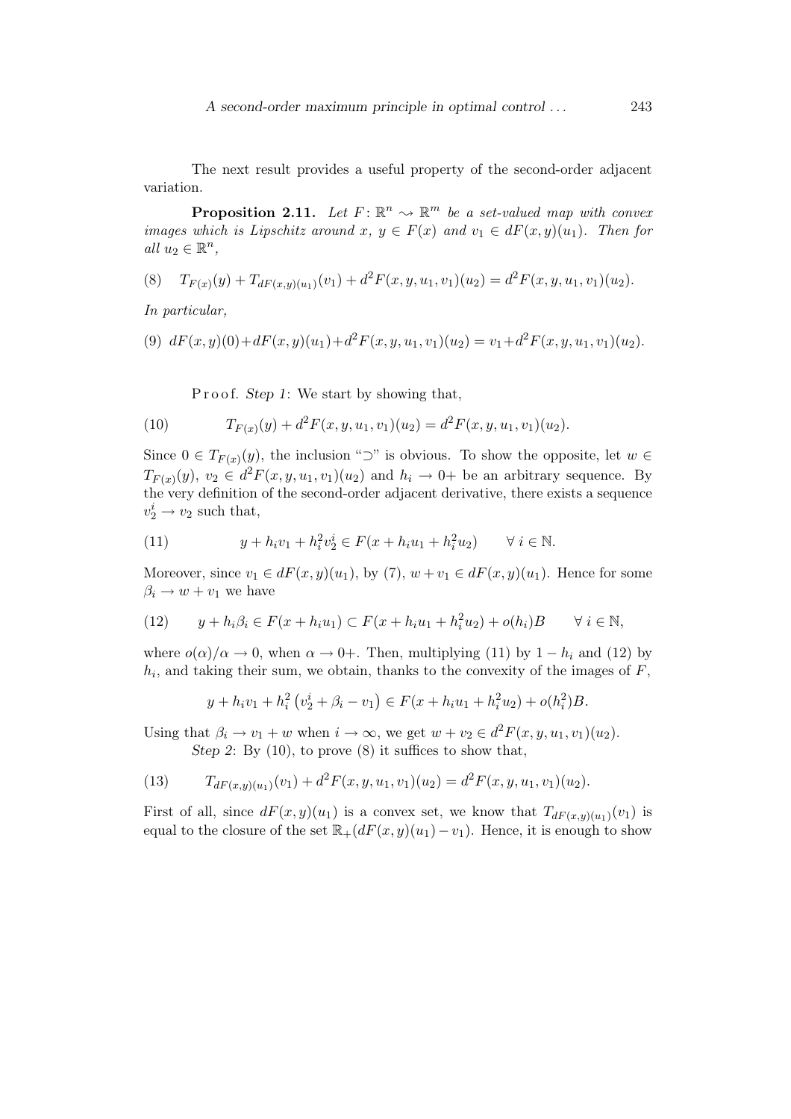A second-order maximum principle in optimal control . . . 243

The next result provides a useful property of the second-order adjacent variation.

**Proposition 2.11.** Let  $F: \mathbb{R}^n \to \mathbb{R}^m$  be a set-valued map with convex images which is Lipschitz around x,  $y \in F(x)$  and  $v_1 \in dF(x,y)(u_1)$ . Then for all  $u_2 \in \mathbb{R}^n$ ,

$$
(8) \tT_{F(x)}(y) + T_{dF(x,y)(u_1)}(v_1) + d^2F(x,y,u_1,v_1)(u_2) = d^2F(x,y,u_1,v_1)(u_2).
$$

In particular,

$$
(9) dF(x,y)(0) + dF(x,y)(u_1) + d^2F(x,y,u_1,v_1)(u_2) = v_1 + d^2F(x,y,u_1,v_1)(u_2).
$$

P r o o f. Step 1: We start by showing that,

(10) 
$$
T_{F(x)}(y) + d^2 F(x, y, u_1, v_1)(u_2) = d^2 F(x, y, u_1, v_1)(u_2).
$$

Since  $0 \in T_{F(x)}(y)$ , the inclusion "⊃" is obvious. To show the opposite, let  $w \in$  $T_{F(x)}(y), v_2 \in d^2F(x, y, u_1, v_1)(u_2)$  and  $h_i \to 0$ + be an arbitrary sequence. By the very definition of the second-order adjacent derivative, there exists a sequence  $v_2^i \rightarrow v_2$  such that,

(11) 
$$
y + h_i v_1 + h_i^2 v_2^i \in F(x + h_i u_1 + h_i^2 u_2) \quad \forall i \in \mathbb{N}.
$$

Moreover, since  $v_1 \in dF(x,y)(u_1)$ , by  $(7)$ ,  $w + v_1 \in dF(x,y)(u_1)$ . Hence for some  $\beta_i \rightarrow w + v_1$  we have

(12) 
$$
y + h_i \beta_i \in F(x + h_i u_1) \subset F(x + h_i u_1 + h_i^2 u_2) + o(h_i)B \quad \forall i \in \mathbb{N},
$$

where  $o(\alpha)/\alpha \to 0$ , when  $\alpha \to 0+$ . Then, multiplying (11) by  $1-h_i$  and (12) by  $h_i$ , and taking their sum, we obtain, thanks to the convexity of the images of  $F$ ,

$$
y + h_i v_1 + h_i^2 \left( v_2^i + \beta_i - v_1 \right) \in F(x + h_i u_1 + h_i^2 u_2) + o(h_i^2)B.
$$

Using that  $\beta_i \to v_1 + w$  when  $i \to \infty$ , we get  $w + v_2 \in d^2F(x, y, u_1, v_1)(u_2)$ .

Step 2: By  $(10)$ , to prove  $(8)$  it suffices to show that,

(13) 
$$
T_{dF(x,y)(u_1)}(v_1) + d^2F(x,y,u_1,v_1)(u_2) = d^2F(x,y,u_1,v_1)(u_2).
$$

First of all, since  $dF(x,y)(u_1)$  is a convex set, we know that  $T_{dF(x,y)(u_1)}(v_1)$  is equal to the closure of the set  $\mathbb{R}_+(dF(x,y)(u_1)-v_1)$ . Hence, it is enough to show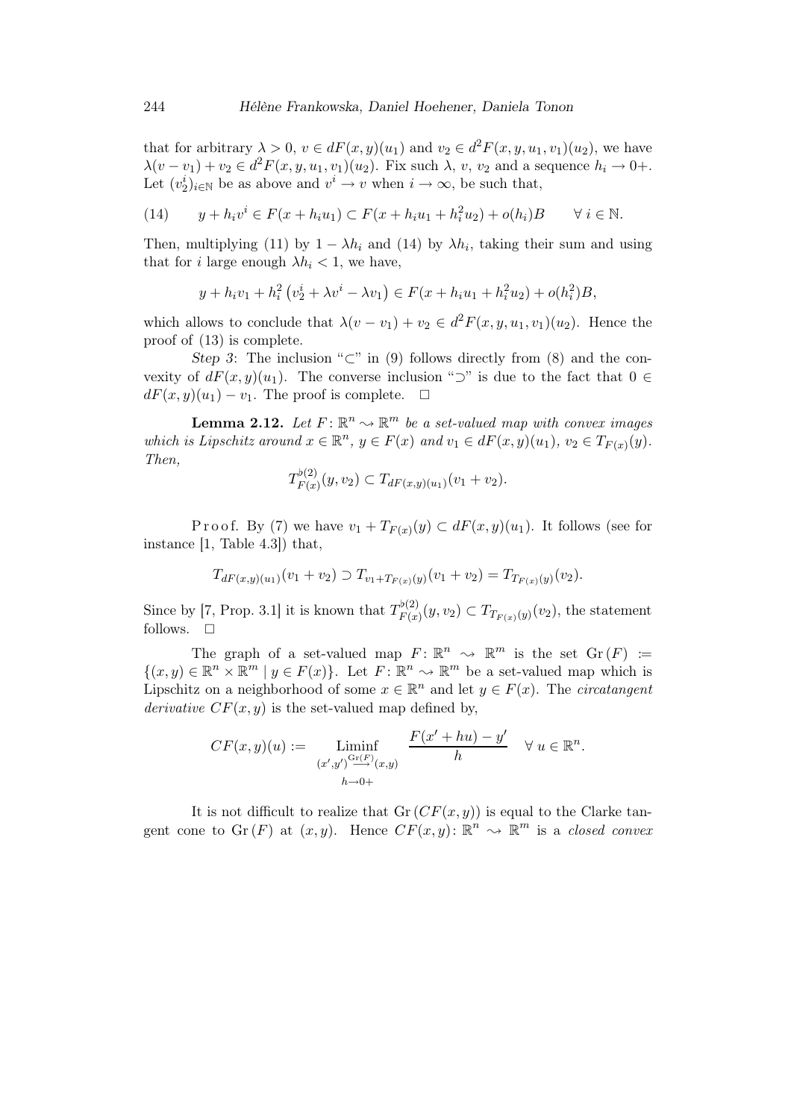that for arbitrary  $\lambda > 0$ ,  $v \in dF(x, y)(u_1)$  and  $v_2 \in d^2F(x, y, u_1, v_1)(u_2)$ , we have  $\lambda(v - v_1) + v_2 \in d^2F(x, y, u_1, v_1)(u_2)$ . Fix such  $\lambda$ , v,  $v_2$  and a sequence  $h_i \to 0+$ . Let  $(v_2^i)_{i\in\mathbb{N}}$  be as above and  $v^i \to v$  when  $i \to \infty$ , be such that,

(14) 
$$
y + h_i v^i \in F(x + h_i u_1) \subset F(x + h_i u_1 + h_i^2 u_2) + o(h_i)B \quad \forall i \in \mathbb{N}.
$$

Then, multiplying (11) by  $1 - \lambda h_i$  and (14) by  $\lambda h_i$ , taking their sum and using that for *i* large enough  $\lambda h_i < 1$ , we have,

$$
y + h_i v_1 + h_i^2 \left( v_2^i + \lambda v^i - \lambda v_1 \right) \in F(x + h_i u_1 + h_i^2 u_2) + o(h_i^2)B,
$$

which allows to conclude that  $\lambda(v - v_1) + v_2 \in d^2F(x, y, u_1, v_1)(u_2)$ . Hence the proof of (13) is complete.

Step 3: The inclusion "⊂" in (9) follows directly from (8) and the convexity of  $dF(x,y)(u_1)$ . The converse inclusion "⊃" is due to the fact that  $0 \in$  $dF(x,y)(u_1) - v_1$ . The proof is complete.  $\Box$ 

**Lemma 2.12.** Let  $F: \mathbb{R}^n \to \mathbb{R}^m$  be a set-valued map with convex images which is Lipschitz around  $x \in \mathbb{R}^n$ ,  $y \in F(x)$  and  $v_1 \in dF(x,y)(u_1)$ ,  $v_2 \in T_{F(x)}(y)$ . Then,  $(2)$ 

$$
T_{F(x)}^{p(2)}(y,v_2) \subset T_{dF(x,y)(u_1)}(v_1+v_2).
$$

Proof. By (7) we have  $v_1 + T_{F(x)}(y) \subset dF(x,y)(u_1)$ . It follows (see for instance [1, Table 4.3]) that,

$$
T_{dF(x,y)(u_1)}(v_1 + v_2) \supset T_{v_1 + T_{F(x)}(y)}(v_1 + v_2) = T_{T_{F(x)}(y)}(v_2).
$$

Since by [7, Prop. 3.1] it is known that  $T_{F(x)}^{\flat(2)}$  $T_{F(x)}(y, v_2) \subset T_{T_{F(x)}(y)}(v_2)$ , the statement follows.  $\square$ 

The graph of a set-valued map  $F: \mathbb{R}^n \longrightarrow \mathbb{R}^m$  is the set  $\mathrm{Gr}(F) :=$  $\{(x, y) \in \mathbb{R}^n \times \mathbb{R}^m \mid y \in F(x)\}.$  Let  $F: \mathbb{R}^n \to \mathbb{R}^m$  be a set-valued map which is Lipschitz on a neighborhood of some  $x \in \mathbb{R}^n$  and let  $y \in F(x)$ . The *circatangent* derivative  $CF(x, y)$  is the set-valued map defined by,

$$
CF(x,y)(u) := \liminf_{\substack{(x',y') \xrightarrow{\text{Gr}(F)} (x,y) \\ h \to 0+}} \frac{F(x'+hu) - y'}{h} \quad \forall u \in \mathbb{R}^n.
$$

It is not difficult to realize that  $Gr(CF(x, y))$  is equal to the Clarke tangent cone to  $\text{Gr}(F)$  at  $(x, y)$ . Hence  $CF(x, y)$ :  $\mathbb{R}^n \to \mathbb{R}^m$  is a closed convex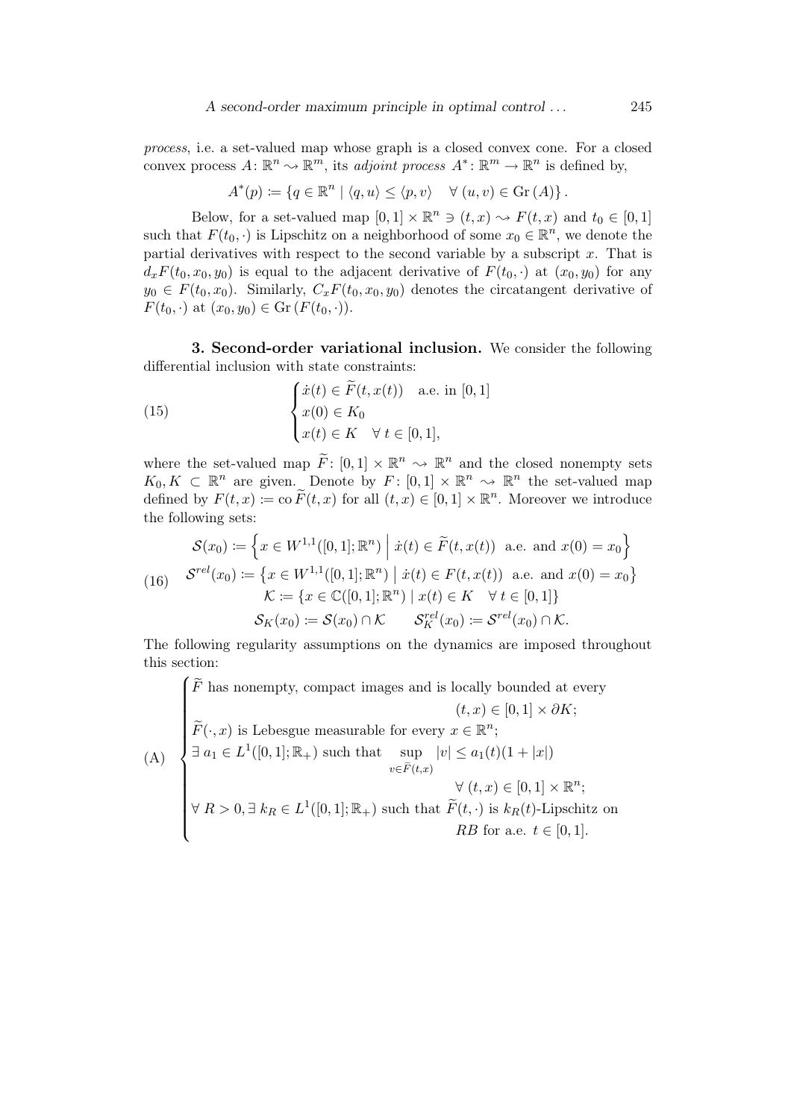process, i.e. a set-valued map whose graph is a closed convex cone. For a closed convex process  $A: \mathbb{R}^n \to \mathbb{R}^m$ , its adjoint process  $A^* \colon \mathbb{R}^m \to \mathbb{R}^n$  is defined by,

$$
A^*(p) \coloneqq \{ q \in \mathbb{R}^n \mid \langle q, u \rangle \leq \langle p, v \rangle \quad \forall (u, v) \in \text{Gr}(A) \}.
$$

Below, for a set-valued map  $[0,1] \times \mathbb{R}^n \ni (t,x) \rightsquigarrow F(t,x)$  and  $t_0 \in [0,1]$ such that  $F(t_0, \cdot)$  is Lipschitz on a neighborhood of some  $x_0 \in \mathbb{R}^n$ , we denote the partial derivatives with respect to the second variable by a subscript  $x$ . That is  $d_x F(t_0,x_0,y_0)$  is equal to the adjacent derivative of  $F(t_0, \cdot)$  at  $(x_0,y_0)$  for any  $y_0 \in F(t_0, x_0)$ . Similarly,  $C_x F(t_0, x_0, y_0)$  denotes the circatangent derivative of  $F(t_0, \cdot)$  at  $(x_0, y_0) \in \mathrm{Gr}(F(t_0, \cdot)).$ 

3. Second-order variational inclusion. We consider the following differential inclusion with state constraints:

(15) 
$$
\begin{cases} \dot{x}(t) \in \widetilde{F}(t, x(t)) & \text{a.e. in } [0, 1] \\ x(0) \in K_0 \\ x(t) \in K \quad \forall \ t \in [0, 1], \end{cases}
$$

where the set-valued map  $\widetilde{F}$ :  $[0,1] \times \mathbb{R}^n \longrightarrow \mathbb{R}^n$  and the closed nonempty sets  $K_0, K \subset \mathbb{R}^n$  are given. Denote by  $F: [0,1] \times \mathbb{R}^n \to \mathbb{R}^n$  the set-valued map defined by  $F(t, x) \coloneqq \text{co }\widetilde{F}(t, x)$  for all  $(t, x) \in [0, 1] \times \mathbb{R}^n$ . Moreover we introduce the following sets:

$$
\mathcal{S}(x_0) := \left\{ x \in W^{1,1}([0,1];\mathbb{R}^n) \middle| \dot{x}(t) \in \tilde{F}(t, x(t)) \text{ a.e. and } x(0) = x_0 \right\}
$$
  
(16) 
$$
\mathcal{S}^{rel}(x_0) := \left\{ x \in W^{1,1}([0,1];\mathbb{R}^n) \middle| \dot{x}(t) \in F(t, x(t)) \text{ a.e. and } x(0) = x_0 \right\}
$$
  

$$
\mathcal{K} := \left\{ x \in \mathbb{C}([0,1];\mathbb{R}^n) \middle| x(t) \in K \quad \forall t \in [0,1] \right\}
$$
  

$$
\mathcal{S}_K(x_0) := \mathcal{S}(x_0) \cap \mathcal{K} \qquad \mathcal{S}_K^{rel}(x_0) := \mathcal{S}^{rel}(x_0) \cap \mathcal{K}.
$$

The following regularity assumptions on the dynamics are imposed throughout this section:

$$
\left\{\begin{aligned}\n\widetilde{F} \text{ has nonempty, compact images and is locally bounded at every }\\
(t, x) \in [0, 1] \times \partial K; \\
\widetilde{F}(\cdot, x) \text{ is Lebesgue measurable for every } x \in \mathbb{R}^n; \\
\exists a_1 \in L^1([0, 1]; \mathbb{R}_+) \text{ such that } \sup_{v \in \widetilde{F}(t, x)} |v| \le a_1(t)(1 + |x|) \\
&\forall (t, x) \in [0, 1] \times \mathbb{R}^n; \\
\forall R > 0, \exists k_R \in L^1([0, 1]; \mathbb{R}_+) \text{ such that } \widetilde{F}(t, \cdot) \text{ is } k_R(t)\text{-Lipschitz on }\\
B \text{ for a.e. } t \in [0, 1].\n\end{aligned}\right.
$$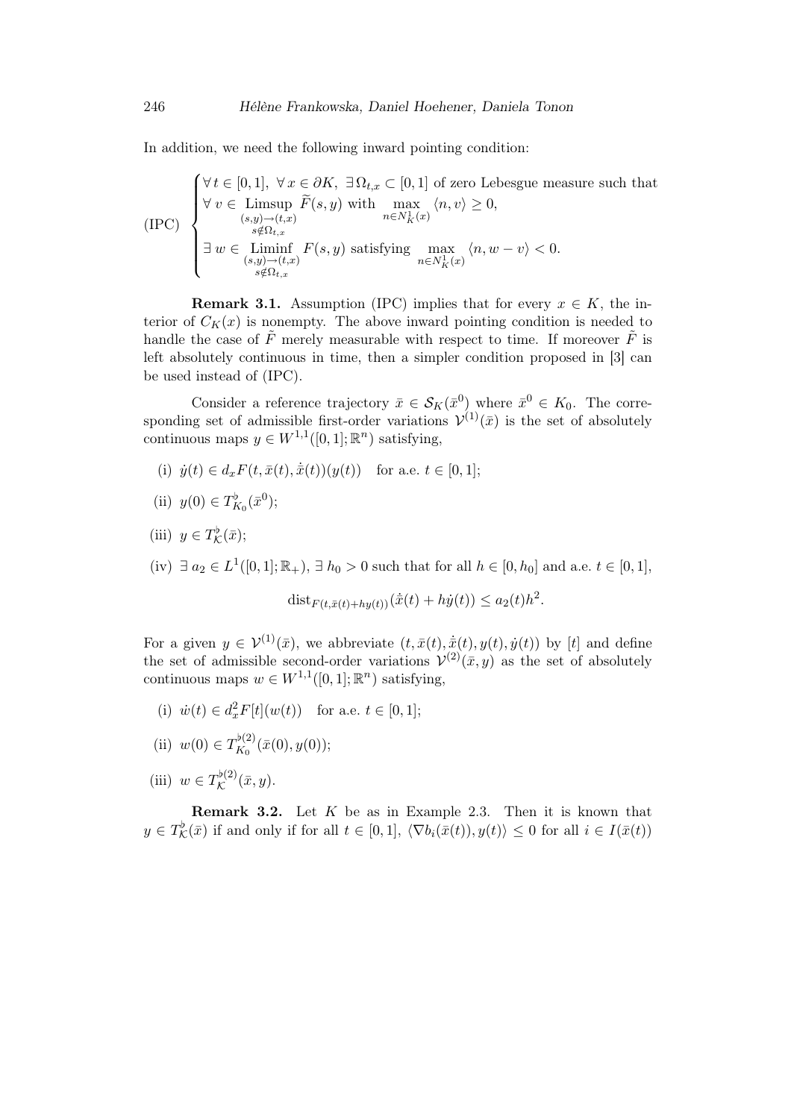In addition, we need the following inward pointing condition:

$$
\text{(IPC)} \begin{cases} \forall \, t \in [0,1], \ \forall \, x \in \partial K, \ \exists \, \Omega_{t,x} \subset [0,1] \text{ of zero Lebesgue measure such that} \\ \forall \, v \in \text{Limsup } \widetilde{F}(s,y) \text{ with } \max_{n \in N_K^1(x)} \langle n, v \rangle \ge 0, \\ \text{with } \sum_{\substack{s \notin \Omega_{t,x} \\ (s,y) \to (t,x)}} \widetilde{F}(s,y) \text{ satisfying } \max_{n \in N_K^1(x)} \langle n, w - v \rangle < 0. \\ \text{with } \sum_{\substack{s \notin \Omega_{t,x} \\ s \notin \Omega_{t,x}}} \langle n, w - v \rangle < 0. \end{cases}
$$

**Remark 3.1.** Assumption (IPC) implies that for every  $x \in K$ , the interior of  $C_K(x)$  is nonempty. The above inward pointing condition is needed to handle the case of  $\tilde{F}$  merely measurable with respect to time. If moreover  $\tilde{F}$  is left absolutely continuous in time, then a simpler condition proposed in [3] can be used instead of (IPC).

Consider a reference trajectory  $\bar{x} \in S_K(\bar{x}^0)$  where  $\bar{x}^0 \in K_0$ . The corresponding set of admissible first-order variations  $\mathcal{V}^{(1)}(\bar{x})$  is the set of absolutely continuous maps  $y \in W^{1,1}([0,1];\mathbb{R}^n)$  satisfying,

(i) 
$$
\dot{y}(t) \in d_x F(t, \bar{x}(t), \dot{\bar{x}}(t))(y(t))
$$
 for a.e.  $t \in [0, 1]$ ;

(ii) 
$$
y(0) \in T_{K_0}^{\flat}(\bar{x}^0);
$$

(iii) 
$$
y \in T_{\mathcal{K}}^{\flat}(\bar{x});
$$

(iv)  $\exists a_2 \in L^1([0,1]; \mathbb{R}_+), \exists h_0 > 0$  such that for all  $h \in [0, h_0]$  and a.e.  $t \in [0,1],$ 

$$
\mathrm{dist}_{F(t,\bar{x}(t)+hy(t))}(\dot{\bar{x}}(t)+h\dot{y}(t))\leq a_2(t)h^2.
$$

For a given  $y \in \mathcal{V}^{(1)}(\bar{x})$ , we abbreviate  $(t, \bar{x}(t), \dot{x}(t), y(t), \dot{y}(t))$  by [t] and define the set of admissible second-order variations  $\mathcal{V}^{(2)}(\bar{x},y)$  as the set of absolutely continuous maps  $w \in W^{1,1}([0,1];\mathbb{R}^n)$  satisfying,

(i)  $\dot{w}(t) \in d_x^2 F[t](w(t))$  for a.e.  $t \in [0, 1]$ ;

(ii) 
$$
w(0) \in T_{K_0}^{\flat(2)}(\bar{x}(0), y(0));
$$

(iii)  $w \in T_{\mathcal{K}}^{\flat(2)}$  $\mathcal{K}^{\nu(2)}(\bar{x},y).$ 

**Remark 3.2.** Let  $K$  be as in Example 2.3. Then it is known that  $y \in T_{\mathcal{K}}^{\flat}(\bar{x})$  if and only if for all  $t \in [0,1], \langle \nabla b_i(\bar{x}(t)), y(t) \rangle \leq 0$  for all  $i \in I(\bar{x}(t))$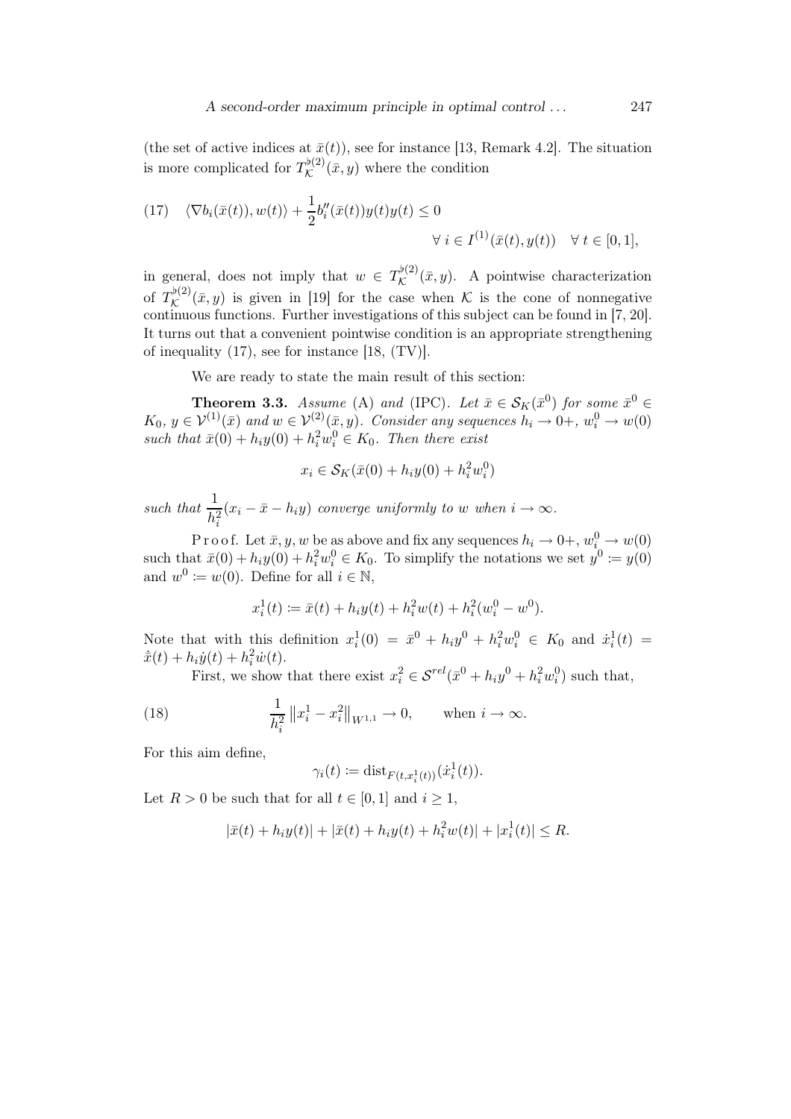(the set of active indices at  $\bar{x}(t)$ ), see for instance [13, Remark 4.2]. The situation is more complicated for  $T_{\mathcal{K}}^{\flat(2)}$  $\mathcal{K}^{(\nu)}(\bar{x},y)$  where the condition

(17) 
$$
\langle \nabla b_i(\bar{x}(t)), w(t) \rangle + \frac{1}{2} b_i''(\bar{x}(t)) y(t) y(t) \le 0
$$
  

$$
\forall i \in I^{(1)}(\bar{x}(t), y(t)) \quad \forall t \in [0, 1],
$$

in general, does not imply that  $w \in T_{\mathcal{K}}^{\flat(2)}$  $\mathcal{K}^{(2)}(\bar{x}, y)$ . A pointwise characterization of  $T_{\mathcal{K}}^{\flat(2)}$  $\mathcal{K}^{(2)}(\bar{x}, y)$  is given in [19] for the case when K is the cone of nonnegative continuous functions. Further investigations of this subject can be found in [7, 20]. It turns out that a convenient pointwise condition is an appropriate strengthening of inequality (17), see for instance [18, (TV)].

We are ready to state the main result of this section:

**Theorem 3.3.** Assume (A) and (IPC). Let  $\bar{x} \in S_K(\bar{x}^0)$  for some  $\bar{x}^0 \in$  $K_0, y \in \mathcal{V}^{(1)}(\bar{x})$  and  $w \in \mathcal{V}^{(2)}(\bar{x}, y)$ . Consider any sequences  $h_i \to 0^+, w_i^0 \to w(0)$ such that  $\bar{x}(0) + h_i y(0) + h_i^2 w_i^0 \in K_0$ . Then there exist

$$
x_i \in \mathcal{S}_K(\bar{x}(0) + h_i y(0) + h_i^2 w_i^0)
$$

such that  $\frac{1}{h_i^2}$  $(x_i - \bar{x} - h_i y)$  converge uniformly to w when  $i \to \infty$ .

P r o o f. Let  $\bar{x}, y, w$  be as above and fix any sequences  $h_i \to 0+, w^0_{i} \to w(0)$ such that  $\bar{x}(0) + h_i y(0) + h_i^2 w_i^0 \in K_0$ . To simplify the notations we set  $y^0 := y(0)$ and  $w^0 \coloneqq w(0)$ . Define for all  $i \in \mathbb{N}$ ,

$$
x_i^1(t) := \bar{x}(t) + h_i y(t) + h_i^2 w(t) + h_i^2 (w_i^0 - w^0).
$$

Note that with this definition  $x_i^1(0) = \bar{x}^0 + h_i y^0 + h_i^2 w_i^0 \in K_0$  and  $\dot{x}_i^1(t) =$  $\dot{\bar{x}}(t) + h_i \dot{y}(t) + h_i^2 \dot{w}(t).$ 

First, we show that there exist  $x_i^2 \in \mathcal{S}^{rel}(\bar{x}^0 + h_i y^0 + h_i^2 w_i^0)$  such that,

(18) 
$$
\frac{1}{h_i^2} \|x_i^1 - x_i^2\|_{W^{1,1}} \to 0, \quad \text{when } i \to \infty.
$$

For this aim define,

$$
\gamma_i(t) := \text{dist}_{F(t, x_i^1(t))}(\dot{x}_i^1(t)).
$$

Let  $R > 0$  be such that for all  $t \in [0,1]$  and  $i \geq 1$ ,

$$
|\bar{x}(t) + h_i y(t)| + |\bar{x}(t) + h_i y(t) + h_i^2 w(t)| + |x_i^1(t)| \le R.
$$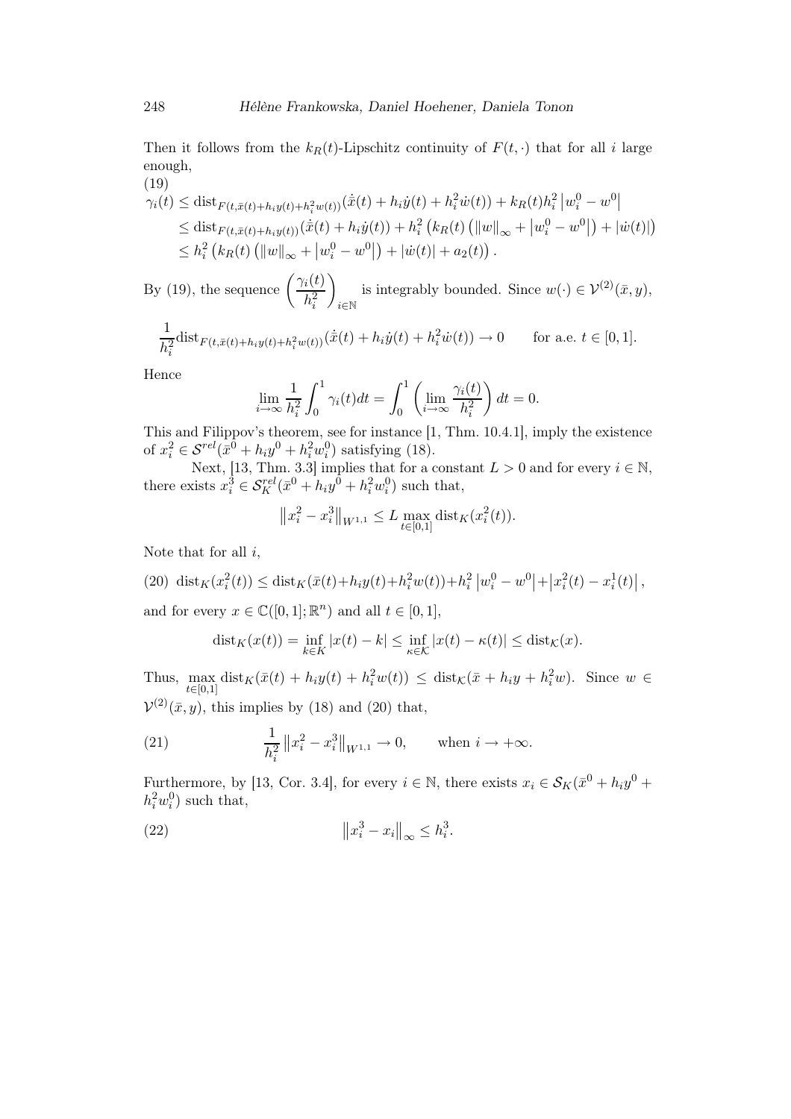Then it follows from the  $k_R(t)$ -Lipschitz continuity of  $F(t, \cdot)$  that for all i large enough,  $(19)$ 

$$
\gamma_i(t) \leq \text{dist}_{F(t,\bar{x}(t)+h_i y(t)+h_i^2 w(t))}(\dot{\bar{x}}(t)+h_i \dot{y}(t)+h_i^2 \dot{w}(t)) + k_R(t)h_i^2 |w_i^0 - w^0|
$$
  
\n
$$
\leq \text{dist}_{F(t,\bar{x}(t)+h_i y(t))}(\dot{\bar{x}}(t)+h_i \dot{y}(t)) + h_i^2 (k_R(t) (||w||_{\infty} + |w_i^0 - w^0|) + |\dot{w}(t)|)
$$
  
\n
$$
\leq h_i^2 (k_R(t) (||w||_{\infty} + |w_i^0 - w^0|) + |\dot{w}(t)| + a_2(t)).
$$

By (19), the sequence  $\left(\frac{\gamma_i(t)}{l^2}\right)$  $h_i^2$  $\setminus$ i∈N is integrably bounded. Since  $w(\cdot) \in \mathcal{V}^{(2)}(\bar{x}, y)$ ,

$$
\frac{1}{h_i^2} \text{dist}_{F(t,\bar{x}(t)+h_iy(t)+h_i^2w(t))}(\dot{\bar{x}}(t)+h_i\dot{y}(t)+h_i^2\dot{w}(t)) \to 0 \quad \text{for a.e. } t \in [0,1].
$$

Hence

$$
\lim_{i \to \infty} \frac{1}{h_i^2} \int_0^1 \gamma_i(t) dt = \int_0^1 \left( \lim_{i \to \infty} \frac{\gamma_i(t)}{h_i^2} \right) dt = 0.
$$

This and Filippov's theorem, see for instance [1, Thm. 10.4.1], imply the existence of  $x_i^2 \in S^{rel}(\bar{x}^0 + h_i y^0 + h_i^2 w_i^0)$  satisfying (18).

Next, [13, Thm. 3.3] implies that for a constant  $L > 0$  and for every  $i \in \mathbb{N}$ , there exists  $x_i^3 \in S_K^{rel}(\bar{x}^0 + h_i y^0 + h_i^2 w_i^0)$  such that,

$$
||x_i^2 - x_i^3||_{W^{1,1}} \le L \max_{t \in [0,1]} \text{dist}_K(x_i^2(t)).
$$

Note that for all  $i$ ,

(20) 
$$
\text{dist}_K(x_i^2(t)) \leq \text{dist}_K(\bar{x}(t) + h_i y(t) + h_i^2 w(t)) + h_i^2 |w_i^0 - w^0| + |x_i^2(t) - x_i^1(t)|
$$
,  
and for every  $x \in \mathbb{C}([0, 1]; \mathbb{R}^n)$  and all  $t \in [0, 1]$ ,

$$
\text{dist}_K(x(t)) = \inf_{k \in K} |x(t) - k| \le \inf_{\kappa \in K} |x(t) - \kappa(t)| \le \text{dist}_K(x).
$$

Thus,  $\max_{t \in [0,1]} \text{dist}_K(\bar{x}(t) + h_i y(t) + h_i^2 w(t)) \leq \text{dist}_K(\bar{x} + h_i y + h_i^2 w)$ . Since  $w \in$  $t \in [0,1]$  $\mathcal{V}^{(2)}(\bar{x},y)$ , this implies by (18) and (20) that,

(21) 
$$
\frac{1}{h_i^2} \|x_i^2 - x_i^3\|_{W^{1,1}} \to 0, \quad \text{when } i \to +\infty.
$$

Furthermore, by [13, Cor. 3.4], for every  $i \in \mathbb{N}$ , there exists  $x_i \in \mathcal{S}_K(\bar{x}^0 + h_i y^0 +$  $h_i^2 w_i^0$ ) such that,

$$
||x_i^3 - x_i||_{\infty} \le h_i^3.
$$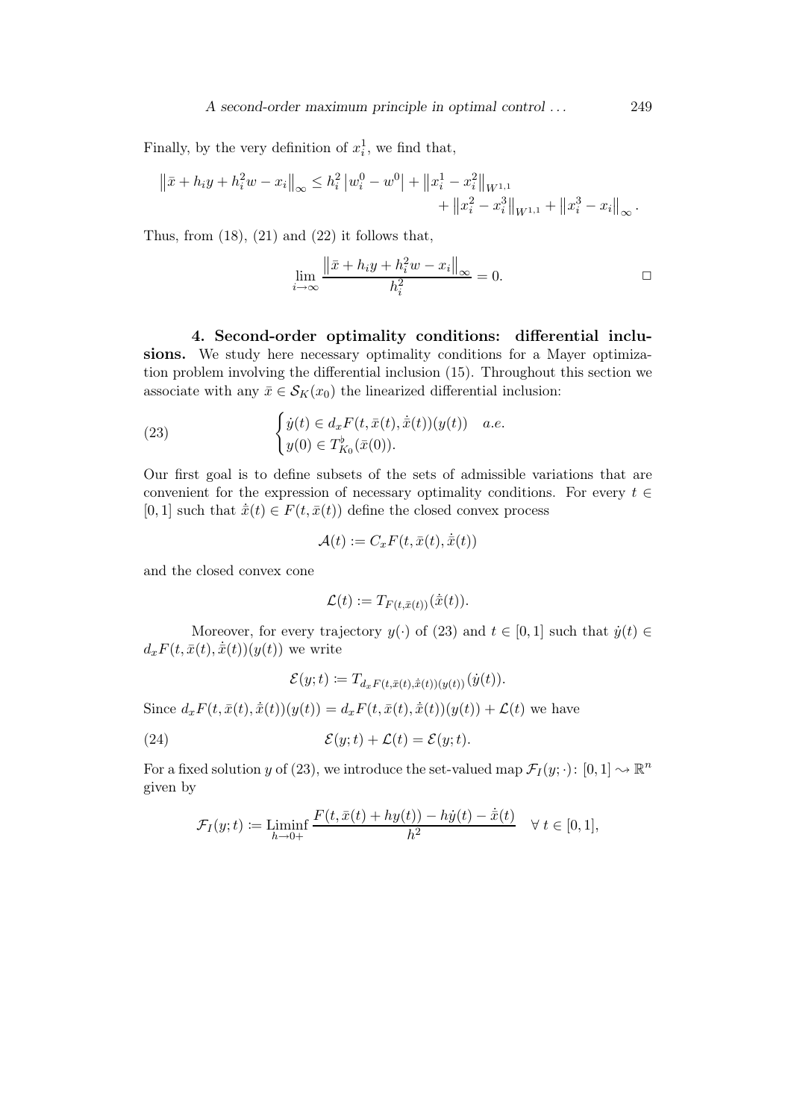Finally, by the very definition of  $x_i^1$ , we find that,

$$
\|\bar{x} + h_i y + h_i^2 w - x_i\|_{\infty} \leq h_i^2 |w_i^0 - w^0| + \|x_i^1 - x_i^2\|_{W^{1,1}} + \|x_i^2 - x_i^3\|_{W^{1,1}} + \|x_i^3 - x_i\|_{\infty}.
$$

Thus, from  $(18)$ ,  $(21)$  and  $(22)$  it follows that,

$$
\lim_{i \to \infty} \frac{\|\bar{x} + h_i y + h_i^2 w - x_i\|_{\infty}}{h_i^2} = 0.
$$

4. Second-order optimality conditions: differential inclusions. We study here necessary optimality conditions for a Mayer optimization problem involving the differential inclusion (15). Throughout this section we associate with any  $\bar{x} \in \mathcal{S}_K(x_0)$  the linearized differential inclusion:

(23) 
$$
\begin{cases} \dot{y}(t) \in d_x F(t, \bar{x}(t), \dot{\bar{x}}(t))(y(t)) & a.e. \\ y(0) \in T_{K_0}^{\flat}(\bar{x}(0)). \end{cases}
$$

Our first goal is to define subsets of the sets of admissible variations that are convenient for the expression of necessary optimality conditions. For every  $t \in$ [0, 1] such that  $\dot{\bar{x}}(t) \in F(t, \bar{x}(t))$  define the closed convex process

$$
\mathcal{A}(t) := C_x F(t, \bar{x}(t), \dot{\bar{x}}(t))
$$

and the closed convex cone

$$
\mathcal{L}(t) := T_{F(t,\bar{x}(t))}(\dot{\bar{x}}(t)).
$$

Moreover, for every trajectory  $y(\cdot)$  of (23) and  $t \in [0, 1]$  such that  $\dot{y}(t) \in$  $d_x F(t, \bar{x}(t), \dot{\bar{x}}(t))(y(t))$  we write

$$
\mathcal{E}(y;t) := T_{d_x F(t,\bar{x}(t),\dot{\bar{x}}(t))(y(t))}(\dot{y}(t)).
$$
  
Since  $d_x F(t,\bar{x}(t),\dot{\bar{x}}(t))(y(t)) = d_x F(t,\bar{x}(t),\dot{\bar{x}}(t))(y(t)) + \mathcal{L}(t)$  we have  
(24) 
$$
\mathcal{E}(y;t) + \mathcal{L}(t) = \mathcal{E}(y;t).
$$

For a fixed solution y of (23), we introduce the set-valued map  $\mathcal{F}_I(y; \cdot)$ :  $[0, 1] \sim \mathbb{R}^n$ given by

$$
\mathcal{F}_I(y;t) := \liminf_{h \to 0+} \frac{F(t,\bar{x}(t) + hy(t)) - h\dot{y}(t) - \dot{\bar{x}}(t)}{h^2} \quad \forall \ t \in [0,1],
$$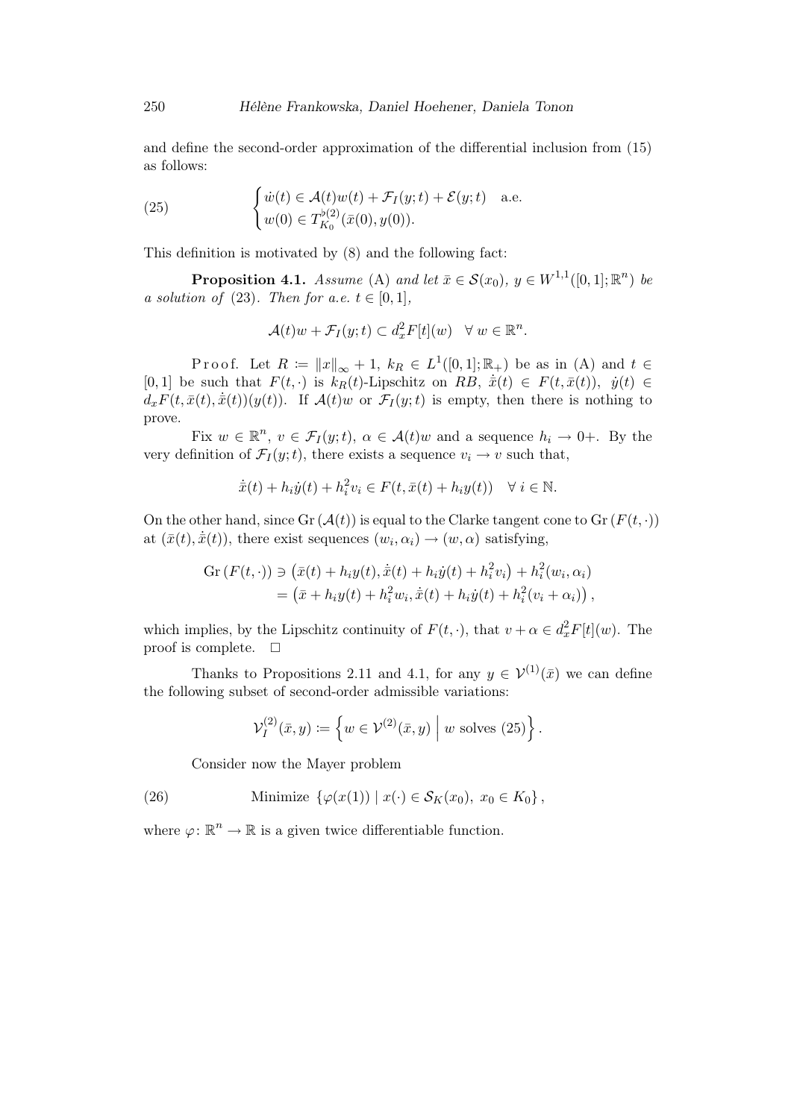and define the second-order approximation of the differential inclusion from (15) as follows:

(25) 
$$
\begin{cases} \dot{w}(t) \in \mathcal{A}(t)w(t) + \mathcal{F}_I(y;t) + \mathcal{E}(y;t) & \text{a.e.} \\ w(0) \in T_{K_0}^{\flat(2)}(\bar{x}(0),y(0)). \end{cases}
$$

This definition is motivated by (8) and the following fact:

**Proposition 4.1.** Assume (A) and let  $\bar{x} \in \mathcal{S}(x_0)$ ,  $y \in W^{1,1}([0,1];\mathbb{R}^n)$  be a solution of (23). Then for a.e.  $t \in [0,1]$ ,

$$
\mathcal{A}(t)w + \mathcal{F}_I(y;t) \subset d_x^2 F[t](w) \quad \forall \ w \in \mathbb{R}^n.
$$

Proof. Let  $R := ||x||_{\infty} + 1$ ,  $k_R \in L^1([0,1]; \mathbb{R}_+)$  be as in (A) and  $t \in$ [0, 1] be such that  $F(t, \cdot)$  is  $k_R(t)$ -Lipschitz on RB,  $\dot{\bar{x}}(t) \in F(t, \bar{x}(t)), \dot{y}(t) \in$  $d_x F(t, \bar{x}(t), \dot{\bar{x}}(t))(y(t))$ . If  $\mathcal{A}(t)w$  or  $\mathcal{F}_I(y;t)$  is empty, then there is nothing to prove.

Fix  $w \in \mathbb{R}^n$ ,  $v \in \mathcal{F}_I(y;t)$ ,  $\alpha \in \mathcal{A}(t)$ w and a sequence  $h_i \to 0^+$ . By the very definition of  $\mathcal{F}_I(y;t)$ , there exists a sequence  $v_i \to v$  such that,

$$
\dot{\bar{x}}(t) + h_i \dot{y}(t) + h_i^2 v_i \in F(t, \bar{x}(t) + h_i y(t)) \quad \forall \ i \in \mathbb{N}.
$$

On the other hand, since  $\text{Gr}(\mathcal{A}(t))$  is equal to the Clarke tangent cone to  $\text{Gr}(F(t, \cdot))$ at  $(\bar{x}(t), \dot{\bar{x}}(t))$ , there exist sequences  $(w_i, \alpha_i) \rightarrow (w, \alpha)$  satisfying,

$$
Gr(F(t, \cdot)) \ni (\bar{x}(t) + h_i y(t), \dot{\bar{x}}(t) + h_i \dot{y}(t) + h_i^2 v_i) + h_i^2 (w_i, \alpha_i)
$$
  
=  $(\bar{x} + h_i y(t) + h_i^2 w_i, \dot{\bar{x}}(t) + h_i \dot{y}(t) + h_i^2 (v_i + \alpha_i)),$ 

which implies, by the Lipschitz continuity of  $F(t, \cdot)$ , that  $v + \alpha \in d_x^2 F[t](w)$ . The proof is complete.  $\square$ 

Thanks to Propositions 2.11 and 4.1, for any  $y \in \mathcal{V}^{(1)}(\bar{x})$  we can define the following subset of second-order admissible variations:

$$
\mathcal{V}_I^{(2)}(\bar{x},y) \coloneqq \left\{ w \in \mathcal{V}^{(2)}(\bar{x},y) \middle| w \text{ solves (25)} \right\}.
$$

Consider now the Mayer problem

(26) Minimize 
$$
\{\varphi(x(1)) \mid x(\cdot) \in \mathcal{S}_K(x_0), x_0 \in K_0\}
$$
,

where  $\varphi: \mathbb{R}^n \to \mathbb{R}$  is a given twice differentiable function.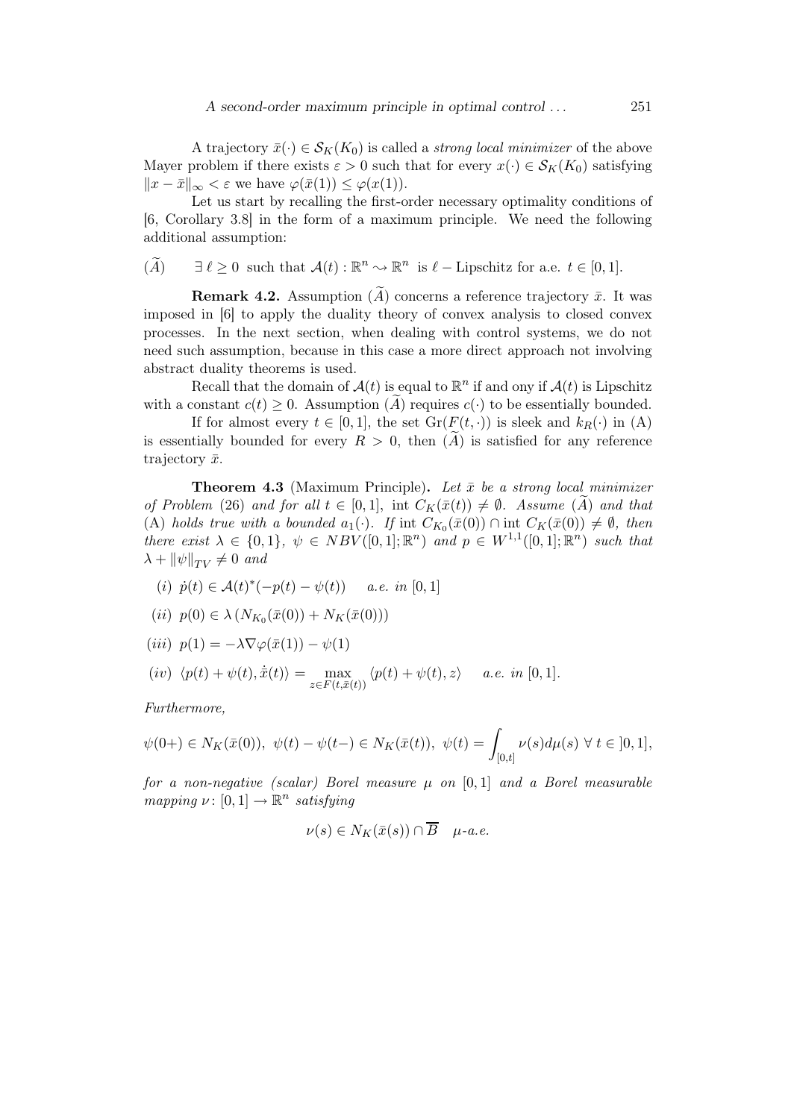A trajectory  $\bar{x}(\cdot) \in S_K(K_0)$  is called a *strong local minimizer* of the above Mayer problem if there exists  $\varepsilon > 0$  such that for every  $x(\cdot) \in \mathcal{S}_K(K_0)$  satisfying  $||x - \bar{x}||_{\infty} < \varepsilon$  we have  $\varphi(\bar{x}(1)) \leq \varphi(x(1)).$ 

Let us start by recalling the first-order necessary optimality conditions of [6, Corollary 3.8] in the form of a maximum principle. We need the following additional assumption:

$$
(\widetilde{A}) \qquad \exists \ \ell \ge 0 \ \text{ such that } \mathcal{A}(t) : \mathbb{R}^n \leadsto \mathbb{R}^n \ \text{ is } \ell - \text{Lipschitz for a.e. } t \in [0,1].
$$

**Remark 4.2.** Assumption  $(\widetilde{A})$  concerns a reference trajectory  $\bar{x}$ . It was imposed in [6] to apply the duality theory of convex analysis to closed convex processes. In the next section, when dealing with control systems, we do not need such assumption, because in this case a more direct approach not involving abstract duality theorems is used.

Recall that the domain of  $\mathcal{A}(t)$  is equal to  $\mathbb{R}^n$  if and ony if  $\mathcal{A}(t)$  is Lipschitz with a constant  $c(t) \geq 0$ . Assumption (A) requires  $c(\cdot)$  to be essentially bounded.

If for almost every  $t \in [0, 1]$ , the set  $Gr(F(t, \cdot))$  is sleek and  $k_R(\cdot)$  in (A) is essentially bounded for every  $R > 0$ , then  $(A)$  is satisfied for any reference trajectory  $\bar{x}$ .

**Theorem 4.3** (Maximum Principle). Let  $\bar{x}$  be a strong local minimizer of Problem (26) and for all  $t \in [0,1]$ , int  $C_K(\bar{x}(t)) \neq \emptyset$ . Assume (A) and that (A) holds true with a bounded  $a_1(\cdot)$ . If int  $C_{K_0}(\bar{x}(0)) \cap \text{int } C_K(\bar{x}(0)) \neq \emptyset$ , then there exist  $\lambda \in \{0,1\}, \ \psi \in NBV([0,1];\mathbb{R}^n)$  and  $p \in W^{1,1}([0,1];\mathbb{R}^n)$  such that  $\lambda + ||\psi||_{TV} \neq 0$  and

(i) 
$$
\dot{p}(t) \in \mathcal{A}(t)^*(-p(t) - \psi(t))
$$
 a.e. in [0, 1]

(*ii*) 
$$
p(0) \in \lambda (N_{K_0}(\bar{x}(0)) + N_K(\bar{x}(0)))
$$

$$
(iii) \ \ p(1) = -\lambda \nabla \varphi(\bar{x}(1)) - \psi(1)
$$

$$
(iv) \langle p(t) + \psi(t), \dot{\bar{x}}(t) \rangle = \max_{z \in F(t, \bar{x}(t))} \langle p(t) + \psi(t), z \rangle \quad a.e. \text{ in } [0, 1].
$$

Furthermore,

$$
\psi(0+) \in N_K(\bar{x}(0)), \ \psi(t) - \psi(t-) \in N_K(\bar{x}(t)), \ \psi(t) = \int_{[0,t]} \nu(s) d\mu(s) \ \forall \ t \in [0,1],
$$

for a non-negative (scalar) Borel measure  $\mu$  on [0,1] and a Borel measurable mapping  $\nu: [0,1] \to \mathbb{R}^n$  satisfying

$$
\nu(s) \in N_K(\bar{x}(s)) \cap \overline{B} \quad \mu\text{-}a.e.
$$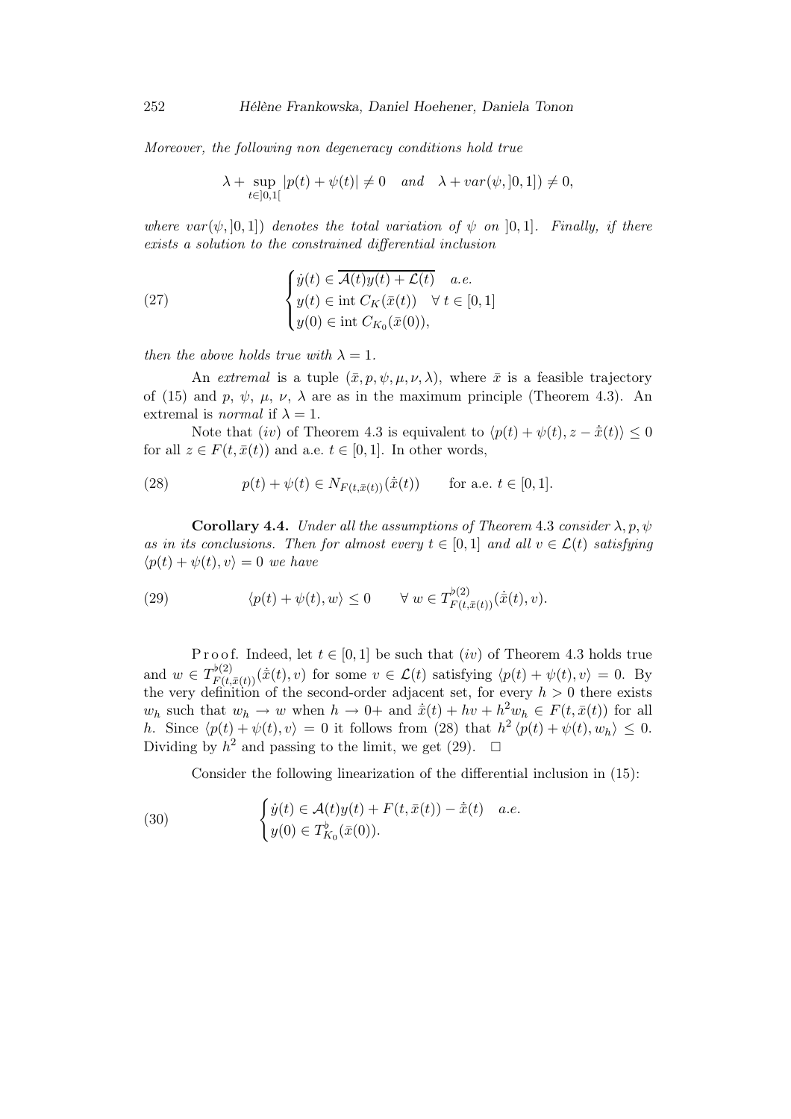Moreover, the following non degeneracy conditions hold true

$$
\lambda + \sup_{t \in ]0,1[} |p(t) + \psi(t)| \neq 0 \quad and \quad \lambda + var(\psi, [0,1]) \neq 0,
$$

where  $var(\psi, [0, 1])$  denotes the total variation of  $\psi$  on  $[0, 1]$ . Finally, if there exists a solution to the constrained differential inclusion

(27) 
$$
\begin{cases} \dot{y}(t) \in \overline{\mathcal{A}(t)y(t) + \mathcal{L}(t)} & a.e. \\ y(t) \in \text{int } C_K(\bar{x}(t)) \quad \forall \ t \in [0, 1] \\ y(0) \in \text{int } C_{K_0}(\bar{x}(0)), \end{cases}
$$

then the above holds true with  $\lambda = 1$ .

An extremal is a tuple  $(\bar{x},p,\psi,\mu,\nu,\lambda)$ , where  $\bar{x}$  is a feasible trajectory of (15) and p,  $\psi$ ,  $\mu$ ,  $\nu$ ,  $\lambda$  are as in the maximum principle (Theorem 4.3). An extremal is *normal* if  $\lambda = 1$ .

Note that (iv) of Theorem 4.3 is equivalent to  $\langle p(t) + \psi(t), z - \dot{\bar{x}}(t) \rangle \leq 0$ for all  $z \in F(t, \bar{x}(t))$  and a.e.  $t \in [0, 1]$ . In other words,

(28) 
$$
p(t) + \psi(t) \in N_{F(t,\bar{x}(t))}(\dot{\bar{x}}(t)) \quad \text{for a.e. } t \in [0,1].
$$

**Corollary 4.4.** Under all the assumptions of Theorem 4.3 consider  $\lambda, p, \psi$ as in its conclusions. Then for almost every  $t \in [0,1]$  and all  $v \in \mathcal{L}(t)$  satisfying  $\langle p(t) + \psi(t), v \rangle = 0$  we have

(29) 
$$
\langle p(t) + \psi(t), w \rangle \leq 0 \quad \forall w \in T_{F(t, \bar{x}(t))}^{\flat(2)}(\dot{\bar{x}}(t), v).
$$

Proof. Indeed, let  $t \in [0, 1]$  be such that  $(iv)$  of Theorem 4.3 holds true and  $w \in T^{(p)}_{F(t,\bar{x}(t))}(\dot{\bar{x}}(t),v)$  for some  $v \in \mathcal{L}(t)$  satisfying  $\langle p(t) + \psi(t), v \rangle = 0$ . By the very definition of the second-order adjacent set, for every  $h > 0$  there exists  $w_h$  such that  $w_h \to w$  when  $h \to 0^+$  and  $\dot{x}(t) + hv + h^2 w_h \in F(t, \bar{x}(t))$  for all h. Since  $\langle p(t) + \psi(t), v \rangle = 0$  it follows from (28) that  $h^2 \langle p(t) + \psi(t), w_h \rangle \leq 0$ . Dividing by  $h^2$  and passing to the limit, we get (29).  $\Box$ 

Consider the following linearization of the differential inclusion in (15):

(30) 
$$
\begin{cases} \dot{y}(t) \in \mathcal{A}(t)y(t) + F(t, \bar{x}(t)) - \dot{\bar{x}}(t) & a.e. \\ y(0) \in T_{K_0}^{\flat}(\bar{x}(0)). \end{cases}
$$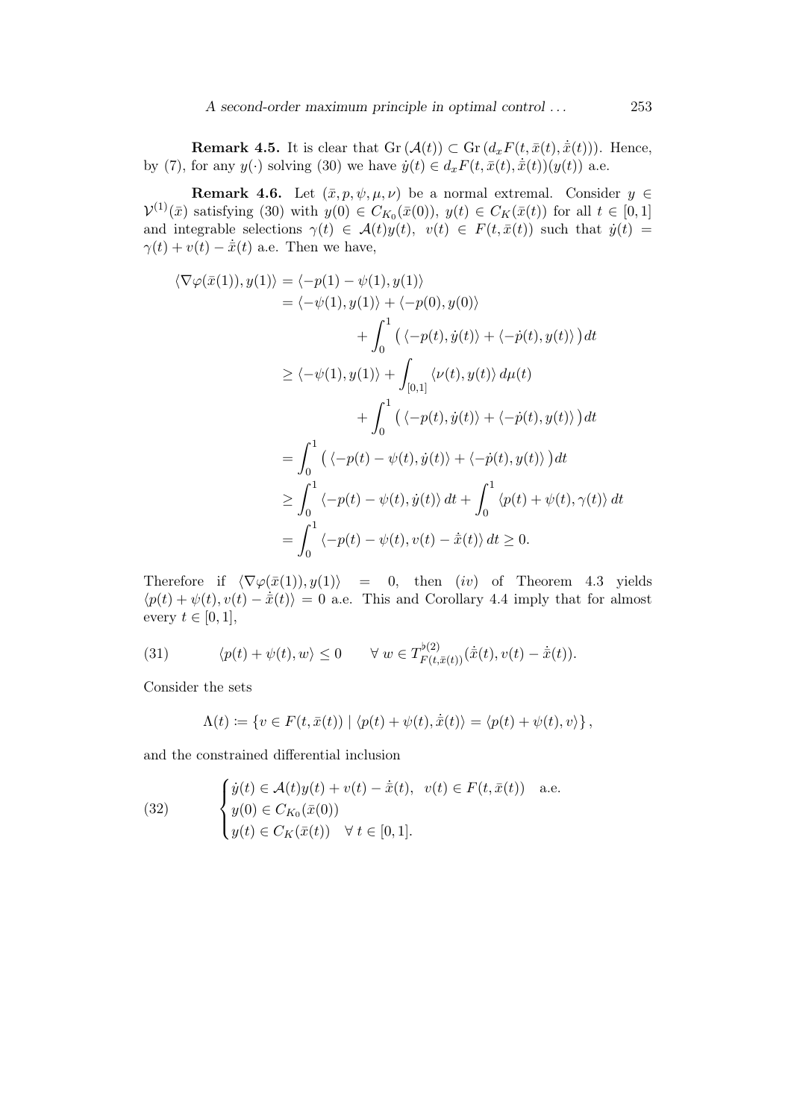**Remark 4.5.** It is clear that  $\text{Gr}(\mathcal{A}(t)) \subset \text{Gr}(d_x F(t, \bar{x}(t), \dot{\bar{x}}(t)))$ . Hence, by (7), for any  $y(\cdot)$  solving (30) we have  $\dot{y}(t) \in d_x F(t, \bar{x}(t), \dot{\bar{x}}(t))(y(t))$  a.e.

**Remark 4.6.** Let  $(\bar{x},p,\psi,\mu,\nu)$  be a normal extremal. Consider  $y \in$  $\mathcal{V}^{(1)}(\bar{x})$  satisfying (30) with  $y(0) \in C_{K_0}(\bar{x}(0)), y(t) \in C_K(\bar{x}(t))$  for all  $t \in [0,1]$ and integrable selections  $\gamma(t) \in \mathcal{A}(t)y(t), v(t) \in F(t, \bar{x}(t))$  such that  $\dot{y}(t) =$  $\gamma(t) + v(t) - \dot{\bar{x}}(t)$  a.e. Then we have,

$$
\langle \nabla \varphi(\bar{x}(1)), y(1) \rangle = \langle -p(1) - \psi(1), y(1) \rangle
$$
  
\n
$$
= \langle -\psi(1), y(1) \rangle + \langle -p(0), y(0) \rangle
$$
  
\n
$$
+ \int_0^1 (\langle -p(t), \dot{y}(t) \rangle + \langle -\dot{p}(t), y(t) \rangle) dt
$$
  
\n
$$
\geq \langle -\psi(1), y(1) \rangle + \int_{[0,1]} \langle \nu(t), y(t) \rangle d\mu(t)
$$
  
\n
$$
+ \int_0^1 (\langle -p(t), \dot{y}(t) \rangle + \langle -\dot{p}(t), y(t) \rangle) dt
$$
  
\n
$$
= \int_0^1 (\langle -p(t) - \psi(t), \dot{y}(t) \rangle + \langle -\dot{p}(t), y(t) \rangle) dt
$$
  
\n
$$
\geq \int_0^1 \langle -p(t) - \psi(t), \dot{y}(t) \rangle dt + \int_0^1 \langle p(t) + \psi(t), \gamma(t) \rangle dt
$$
  
\n
$$
= \int_0^1 \langle -p(t) - \psi(t), y(t) \rangle dt + \int_0^1 \langle p(t) + \psi(t), \gamma(t) \rangle dt
$$

Therefore if  $\langle \nabla \varphi(\bar{x}(1)), y(1) \rangle = 0$ , then  $(iv)$  of Theorem 4.3 yields  $\langle p(t) + \psi(t), v(t) - \dot{x}(t) \rangle = 0$  a.e. This and Corollary 4.4 imply that for almost every  $t \in [0, 1]$ ,

(31) 
$$
\langle p(t) + \psi(t), w \rangle \leq 0 \quad \forall w \in T_{F(t, \bar{x}(t))}^{b(2)}(\dot{\bar{x}}(t), v(t) - \dot{\bar{x}}(t)).
$$

Consider the sets

$$
\Lambda(t) \coloneqq \{ v \in F(t, \bar{x}(t)) \mid \langle p(t) + \psi(t), \dot{\bar{x}}(t) \rangle = \langle p(t) + \psi(t), v \rangle \},
$$

and the constrained differential inclusion

(32) 
$$
\begin{cases} \dot{y}(t) \in \mathcal{A}(t)y(t) + v(t) - \dot{\bar{x}}(t), & v(t) \in F(t, \bar{x}(t)) \text{ a.e.} \\ y(0) \in C_{K_0}(\bar{x}(0)) \\ y(t) \in C_K(\bar{x}(t)) \quad \forall \ t \in [0, 1]. \end{cases}
$$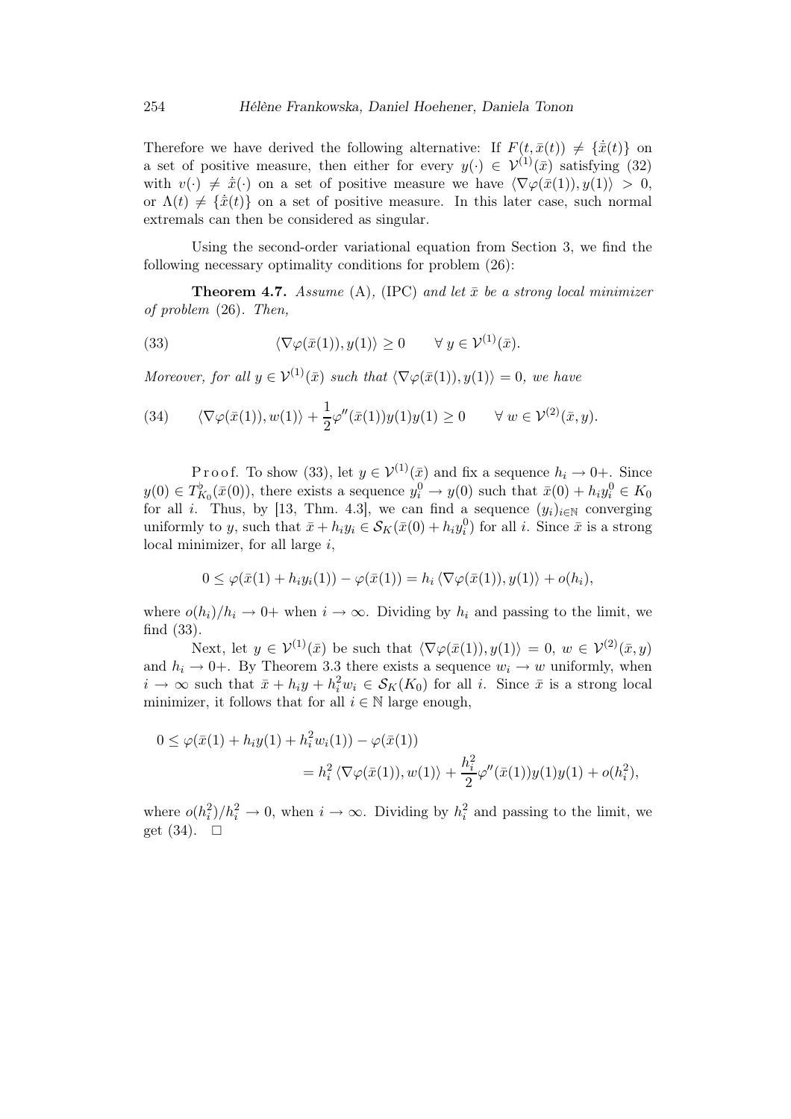Therefore we have derived the following alternative: If  $F(t, \bar{x}(t)) \neq {\{\dot{\bar{x}}(t)\}\$ on a set of positive measure, then either for every  $y(\cdot) \in \mathcal{V}^{(1)}(\bar{x})$  satisfying (32) with  $v(\cdot) \neq \dot{\bar{x}}(\cdot)$  on a set of positive measure we have  $\langle \nabla \varphi(\bar{x}(1)), y(1) \rangle > 0$ , or  $\Lambda(t) \neq {\bar x}(t)$  on a set of positive measure. In this later case, such normal extremals can then be considered as singular.

Using the second-order variational equation from Section 3, we find the following necessary optimality conditions for problem (26):

**Theorem 4.7.** Assume (A), (IPC) and let  $\bar{x}$  be a strong local minimizer of problem (26). Then,

(33) 
$$
\langle \nabla \varphi(\bar{x}(1)), y(1) \rangle \ge 0 \quad \forall y \in \mathcal{V}^{(1)}(\bar{x}).
$$

Moreover, for all  $y \in \mathcal{V}^{(1)}(\bar{x})$  such that  $\langle \nabla \varphi(\bar{x}(1)), y(1) \rangle = 0$ , we have

(34) 
$$
\langle \nabla \varphi(\bar{x}(1)), w(1) \rangle + \frac{1}{2} \varphi''(\bar{x}(1)) y(1) y(1) \ge 0 \quad \forall w \in \mathcal{V}^{(2)}(\bar{x}, y).
$$

P r o o f. To show (33), let  $y \in \mathcal{V}^{(1)}(\bar{x})$  and fix a sequence  $h_i \to 0+$ . Since  $y(0) \in T_{K_0}^{\flat}(\bar{x}(0))$ , there exists a sequence  $y_i^0 \to y(0)$  such that  $\bar{x}(0) + h_i y_i^0 \in K_0$ for all i. Thus, by [13, Thm. 4.3], we can find a sequence  $(y_i)_{i\in\mathbb{N}}$  converging uniformly to y, such that  $\bar{x} + h_i y_i \in S_K(\bar{x}(0) + h_i y_i^0)$  for all i. Since  $\bar{x}$  is a strong local minimizer, for all large  $i$ ,

$$
0 \leq \varphi(\bar{x}(1) + h_i y_i(1)) - \varphi(\bar{x}(1)) = h_i \langle \nabla \varphi(\bar{x}(1)), y(1) \rangle + o(h_i),
$$

where  $o(h_i)/h_i \to 0+$  when  $i \to \infty$ . Dividing by  $h_i$  and passing to the limit, we find (33).

Next, let  $y \in \mathcal{V}^{(1)}(\bar{x})$  be such that  $\langle \nabla \varphi(\bar{x}(1)), y(1) \rangle = 0, w \in \mathcal{V}^{(2)}(\bar{x}, y)$ and  $h_i \rightarrow 0^+$ . By Theorem 3.3 there exists a sequence  $w_i \rightarrow w$  uniformly, when  $i \to \infty$  such that  $\bar{x} + h_i y + h_i^2 w_i \in S_K(K_0)$  for all i. Since  $\bar{x}$  is a strong local minimizer, it follows that for all  $i \in \mathbb{N}$  large enough,

$$
0 \leq \varphi(\bar{x}(1) + h_i y(1) + h_i^2 w_i(1)) - \varphi(\bar{x}(1))
$$
  
=  $h_i^2 \langle \nabla \varphi(\bar{x}(1)), w(1) \rangle + \frac{h_i^2}{2} \varphi''(\bar{x}(1)) y(1) y(1) + o(h_i^2),$ 

where  $o(h_i^2)/h_i^2 \to 0$ , when  $i \to \infty$ . Dividing by  $h_i^2$  and passing to the limit, we get  $(34)$ .  $\Box$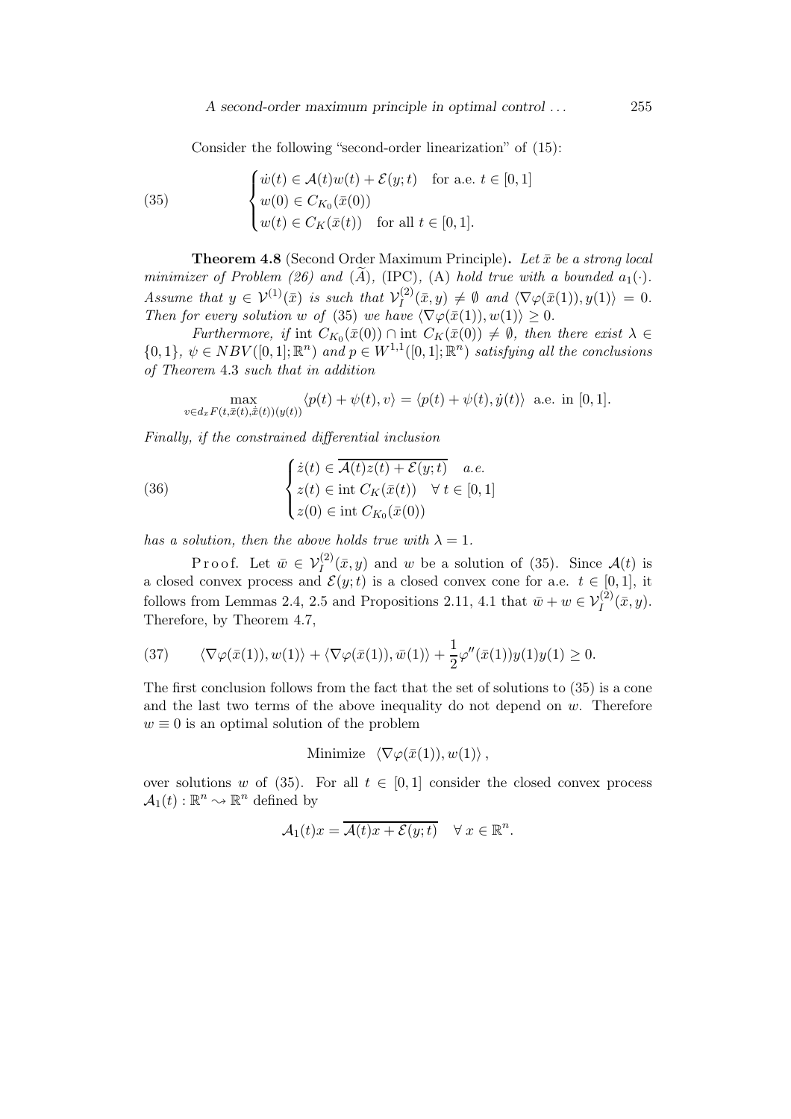A second-order maximum principle in optimal control . . . 255

Consider the following "second-order linearization" of (15):

(35) 
$$
\begin{cases} \dot{w}(t) \in \mathcal{A}(t)w(t) + \mathcal{E}(y;t) & \text{for a.e. } t \in [0,1] \\ w(0) \in C_{K_0}(\bar{x}(0)) \\ w(t) \in C_K(\bar{x}(t)) & \text{for all } t \in [0,1]. \end{cases}
$$

**Theorem 4.8** (Second Order Maximum Principle). Let  $\bar{x}$  be a strong local minimizer of Problem (26) and  $(\tilde{A})$ , (IPC), (A) hold true with a bounded  $a_1(\cdot)$ . Assume that  $y \in \mathcal{V}^{(1)}(\bar{x})$  is such that  $\mathcal{V}_I^{(2)}$  $\langle I_I^{(2)}(\bar{x},y) \neq \emptyset \text{ and } \langle \nabla \varphi(\bar{x}(1)),y(1)\rangle = 0.$ Then for every solution w of (35) we have  $\langle \nabla \varphi(\bar{x}(1)), w(1) \rangle \geq 0$ .

Furthermore, if int  $C_{K_0}(\bar{x}(0)) \cap \text{int } C_K(\bar{x}(0)) \neq \emptyset$ , then there exist  $\lambda \in$  $\{0,1\}, \psi \in NBV([0,1];\mathbb{R}^n)$  and  $p \in W^{1,1}([0,1];\mathbb{R}^n)$  satisfying all the conclusions of Theorem 4.3 such that in addition

$$
\max_{v \in d_x F(t, \bar{x}(t), \dot{\bar{x}}(t))(y(t))} \langle p(t) + \psi(t), v \rangle = \langle p(t) + \psi(t), \dot{y}(t) \rangle \text{ a.e. in } [0, 1].
$$

Finally, if the constrained differential inclusion

(36) 
$$
\begin{cases} \dot{z}(t) \in \overline{\mathcal{A}(t)z(t) + \mathcal{E}(y;t)} & a.e. \\ z(t) \in \text{int } C_K(\bar{x}(t)) \quad \forall \ t \in [0,1] \\ z(0) \in \text{int } C_{K_0}(\bar{x}(0)) \end{cases}
$$

has a solution, then the above holds true with  $\lambda = 1$ .

Proof. Let  $\bar{w} \in V_I^{(2)}(\bar{x}, y)$  and w be a solution of (35). Since  $\mathcal{A}(t)$  is a closed convex process and  $\mathcal{E}(y;t)$  is a closed convex cone for a.e.  $t \in [0,1]$ , it follows from Lemmas 2.4, 2.5 and Propositions 2.11, 4.1 that  $\bar{w} + w \in V_I^{(2)}(\bar{x}, y)$ . Therefore, by Theorem 4.7,

(37) 
$$
\langle \nabla \varphi(\bar{x}(1)), w(1) \rangle + \langle \nabla \varphi(\bar{x}(1)), \bar{w}(1) \rangle + \frac{1}{2} \varphi''(\bar{x}(1)) y(1) y(1) \ge 0.
$$

The first conclusion follows from the fact that the set of solutions to (35) is a cone and the last two terms of the above inequality do not depend on  $w$ . Therefore  $w \equiv 0$  is an optimal solution of the problem

Minimize 
$$
\langle \nabla \varphi(\bar{x}(1)), w(1) \rangle
$$
,

over solutions w of (35). For all  $t \in [0,1]$  consider the closed convex process  $\mathcal{A}_1(t): \mathbb{R}^n \sim \mathbb{R}^n$  defined by

$$
\mathcal{A}_1(t)x = \overline{\mathcal{A}(t)x + \mathcal{E}(y;t)} \quad \forall \ x \in \mathbb{R}^n.
$$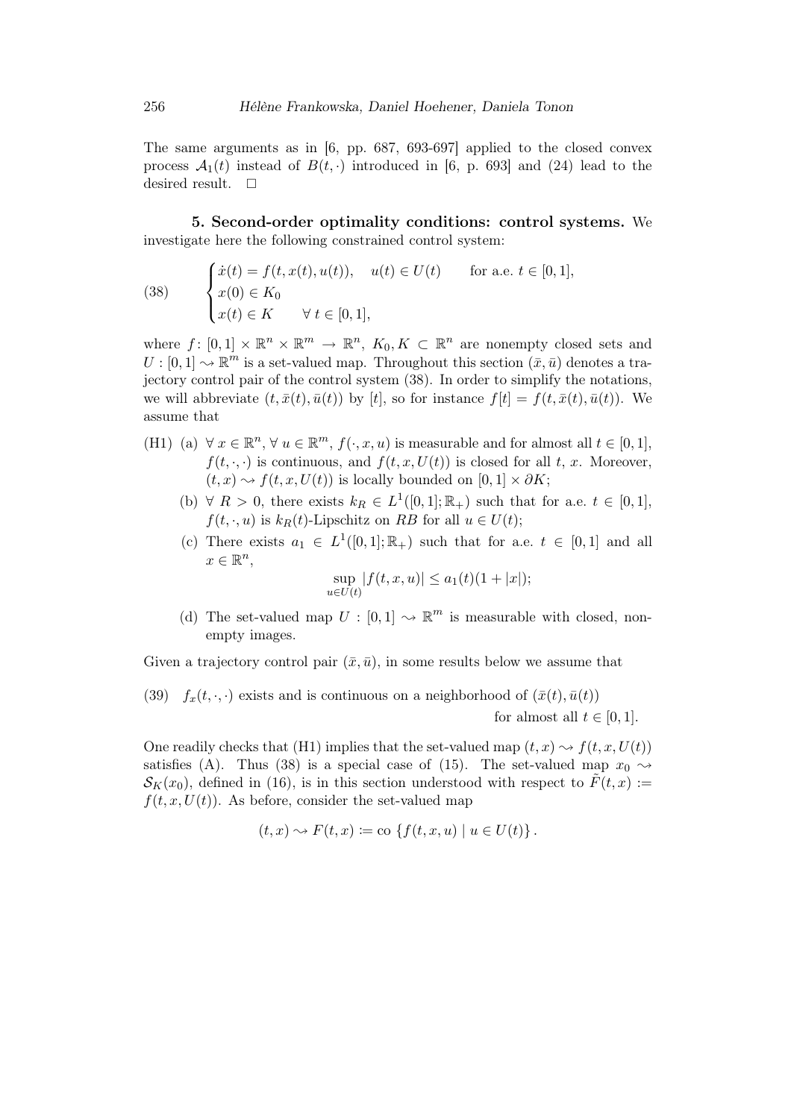The same arguments as in [6, pp. 687, 693-697] applied to the closed convex process  $\mathcal{A}_1(t)$  instead of  $B(t, \cdot)$  introduced in [6, p. 693] and (24) lead to the desired result.  $\square$ 

5. Second-order optimality conditions: control systems. We investigate here the following constrained control system:

(38) 
$$
\begin{cases} \dot{x}(t) = f(t, x(t), u(t)), & u(t) \in U(t) \quad \text{for a.e. } t \in [0, 1], \\ x(0) \in K_0 \\ x(t) \in K \quad \forall \ t \in [0, 1], \end{cases}
$$

where  $f: [0,1] \times \mathbb{R}^n \times \mathbb{R}^m \to \mathbb{R}^n$ ,  $K_0, K \subset \mathbb{R}^n$  are nonempty closed sets and  $U: [0,1] \to \mathbb{R}^m$  is a set-valued map. Throughout this section  $(\bar{x}, \bar{u})$  denotes a trajectory control pair of the control system (38). In order to simplify the notations, we will abbreviate  $(t, \bar{x}(t), \bar{u}(t))$  by  $[t]$ , so for instance  $f[t] = f(t, \bar{x}(t), \bar{u}(t))$ . We assume that

- (H1) (a)  $\forall x \in \mathbb{R}^n, \forall u \in \mathbb{R}^m, f(\cdot, x, u)$  is measurable and for almost all  $t \in [0, 1]$ ,  $f(t, \cdot, \cdot)$  is continuous, and  $f(t, x, U(t))$  is closed for all t, x. Moreover,  $(t, x) \rightarrow f(t, x, U(t))$  is locally bounded on  $[0, 1] \times \partial K$ ;
	- (b)  $\forall R > 0$ , there exists  $k_R \in L^1([0,1]; \mathbb{R}_+)$  such that for a.e.  $t \in [0,1]$ ,  $f(t, \cdot, u)$  is  $k_R(t)$ -Lipschitz on RB for all  $u \in U(t)$ ;
	- (c) There exists  $a_1 \in L^1([0,1];\mathbb{R}_+)$  such that for a.e.  $t \in [0,1]$  and all  $x \in \mathbb{R}^n$ ,

$$
\sup_{u \in U(t)} |f(t, x, u)| \le a_1(t)(1 + |x|);
$$

(d) The set-valued map  $U : [0,1] \rightarrow \mathbb{R}^m$  is measurable with closed, nonempty images.

Given a trajectory control pair  $(\bar{x}, \bar{u})$ , in some results below we assume that

(39)  $f_x(t, \cdot, \cdot)$  exists and is continuous on a neighborhood of  $(\bar{x}(t), \bar{u}(t))$ for almost all  $t \in [0, 1]$ .

One readily checks that (H1) implies that the set-valued map  $(t, x) \sim f(t, x, U(t))$ satisfies (A). Thus (38) is a special case of (15). The set-valued map  $x_0 \rightarrow$  $\mathcal{S}_K(x_0)$ , defined in (16), is in this section understood with respect to  $\tilde{F}(t,x) :=$  $f(t, x, U(t))$ . As before, consider the set-valued map

$$
(t,x) \rightsquigarrow F(t,x) := \text{co }\{f(t,x,u) \mid u \in U(t)\}.
$$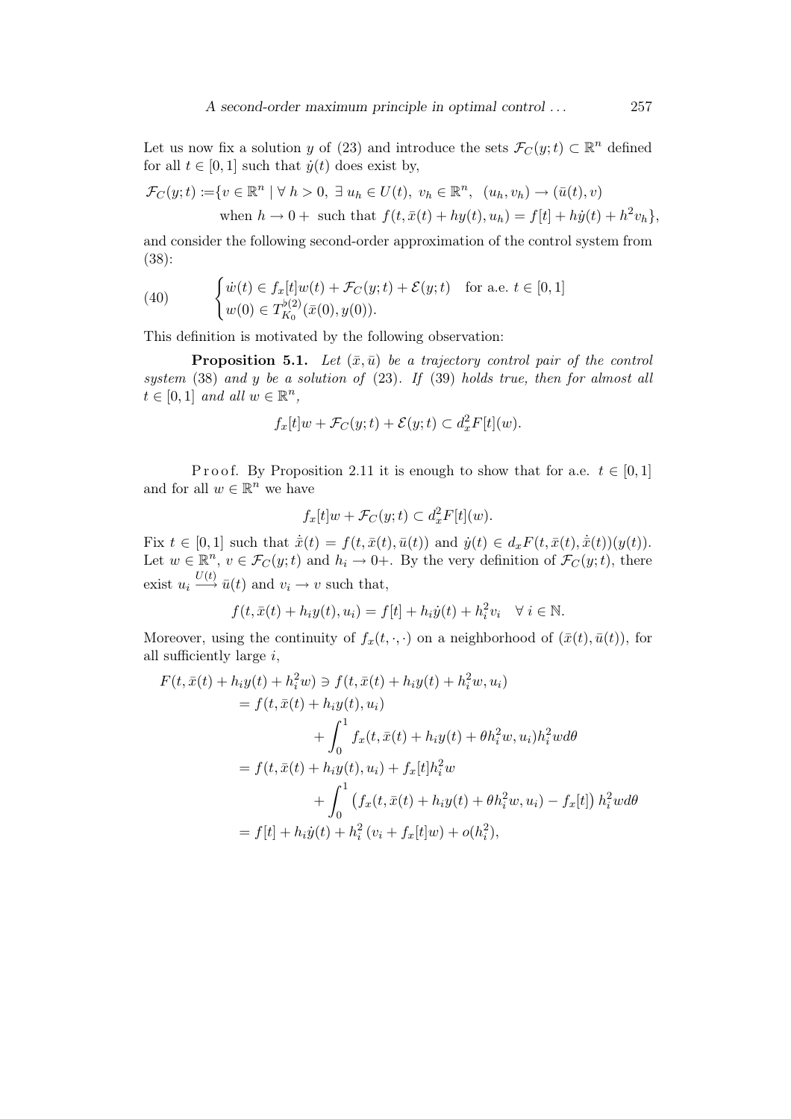Let us now fix a solution y of (23) and introduce the sets  $\mathcal{F}_C(y;t) \subset \mathbb{R}^n$  defined for all  $t \in [0, 1]$  such that  $\dot{y}(t)$  does exist by,

$$
\mathcal{F}_C(y;t) \coloneqq \{v \in \mathbb{R}^n \mid \forall \ h > 0, \ \exists \ u_h \in U(t), \ v_h \in \mathbb{R}^n, \ (u_h, v_h) \to (\bar{u}(t), v)
$$
\n
$$
\text{when } h \to 0 + \text{ such that } f(t, \bar{x}(t) + hy(t), u_h) = f[t] + hy(t) + h^2 v_h\},
$$

and consider the following second-order approximation of the control system from (38):

(40) 
$$
\begin{cases} \dot{w}(t) \in f_x[t]w(t) + \mathcal{F}_C(y;t) + \mathcal{E}(y;t) & \text{for a.e. } t \in [0,1] \\ w(0) \in T_{K_0}^{\flat(2)}(\bar{x}(0), y(0)). \end{cases}
$$

This definition is motivated by the following observation:

**Proposition 5.1.** Let  $(\bar{x}, \bar{u})$  be a trajectory control pair of the control system  $(38)$  and y be a solution of  $(23)$ . If  $(39)$  holds true, then for almost all  $t \in [0,1]$  and all  $w \in \mathbb{R}^n$ ,

$$
f_x[t]w + \mathcal{F}_C(y;t) + \mathcal{E}(y;t) \subset d_x^2 F[t](w).
$$

Proof. By Proposition 2.11 it is enough to show that for a.e.  $t \in [0,1]$ and for all  $w \in \mathbb{R}^n$  we have

$$
f_x[t]w + \mathcal{F}_C(y;t) \subset d_x^2 F[t](w).
$$

Fix  $t \in [0,1]$  such that  $\dot{\bar{x}}(t) = f(t, \bar{x}(t), \bar{u}(t))$  and  $\dot{y}(t) \in d_x F(t, \bar{x}(t), \dot{\bar{x}}(t))(y(t)).$ Let  $w \in \mathbb{R}^n$ ,  $v \in \mathcal{F}_C(y;t)$  and  $h_i \to 0+$ . By the very definition of  $\mathcal{F}_C(y;t)$ , there exist  $u_i \stackrel{U(t)}{\longrightarrow} \bar{u}(t)$  and  $v_i \to v$  such that,

$$
f(t, \bar{x}(t) + h_i y(t), u_i) = f[t] + h_i \dot{y}(t) + h_i^2 v_i \quad \forall i \in \mathbb{N}.
$$

Moreover, using the continuity of  $f_x(t, \cdot, \cdot)$  on a neighborhood of  $(\bar{x}(t), \bar{u}(t))$ , for all sufficiently large  $i$ ,

$$
F(t, \bar{x}(t) + h_i y(t) + h_i^2 w) \ni f(t, \bar{x}(t) + h_i y(t) + h_i^2 w, u_i)
$$
  
=  $f(t, \bar{x}(t) + h_i y(t), u_i)$   
+  $\int_0^1 f_x(t, \bar{x}(t) + h_i y(t) + \theta h_i^2 w, u_i) h_i^2 w d\theta$   
=  $f(t, \bar{x}(t) + h_i y(t), u_i) + f_x[t] h_i^2 w$   
+  $\int_0^1 (f_x(t, \bar{x}(t) + h_i y(t) + \theta h_i^2 w, u_i) - f_x[t]) h_i^2 w d\theta$   
=  $f[t] + h_i \dot{y}(t) + h_i^2 (v_i + f_x[t]w) + o(h_i^2),$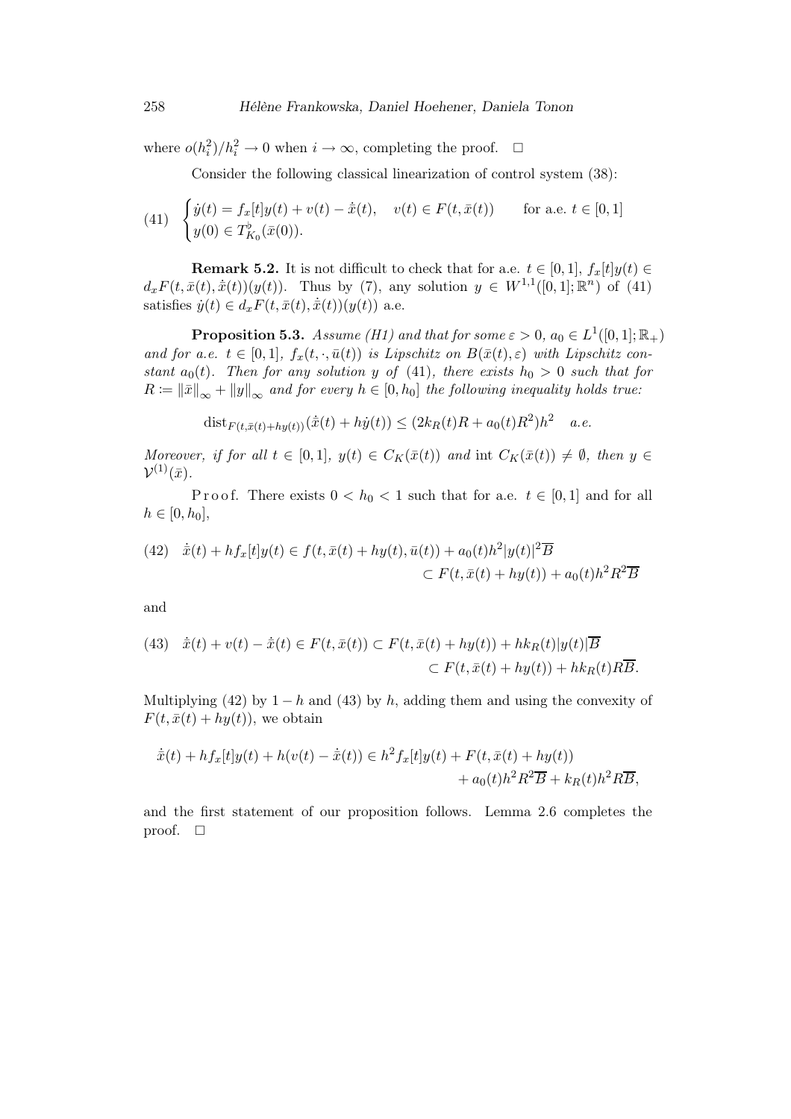where  $o(h_i^2)/h_i^2 \to 0$  when  $i \to \infty$ , completing the proof.  $\Box$ 

Consider the following classical linearization of control system (38):

(41) 
$$
\begin{cases} \dot{y}(t) = f_x[t]y(t) + v(t) - \dot{\bar{x}}(t), & v(t) \in F(t, \bar{x}(t)) \\ y(0) \in T_{K_0}^{\flat}(\bar{x}(0)). \end{cases}
$$
 for a.e.  $t \in [0, 1]$ 

**Remark 5.2.** It is not difficult to check that for a.e.  $t \in [0, 1]$ ,  $f_x[t]y(t) \in$  $d_x F(t, \bar{x}(t), \dot{\bar{x}}(t))(y(t))$ . Thus by (7), any solution  $y \in W^{1,1}([0,1]; \mathbb{R}^n)$  of (41) satisfies  $\dot{y}(t) \in d_x F(t, \bar{x}(t), \dot{\bar{x}}(t))(y(t))$  a.e.

**Proposition 5.3.** Assume (H1) and that for some  $\varepsilon > 0$ ,  $a_0 \in L^1([0,1];\mathbb{R}_+)$ and for a.e.  $t \in [0,1], f_x(t, \cdot, \bar{u}(t))$  is Lipschitz on  $B(\bar{x}(t), \varepsilon)$  with Lipschitz constant  $a_0(t)$ . Then for any solution y of (41), there exists  $h_0 > 0$  such that for  $R \coloneqq ||\bar{x}||_{\infty} + ||y||_{\infty}$  and for every  $h \in [0,h_0]$  the following inequality holds true:

$$
dist_{F(t,\bar{x}(t)+hy(t))}(\dot{\bar{x}}(t)+h\dot{y}(t)) \leq (2k_R(t)R + a_0(t)R^2)h^2 \quad a.e.
$$

Moreover, if for all  $t \in [0,1], y(t) \in C_K(\bar{x}(t))$  and int  $C_K(\bar{x}(t)) \neq \emptyset$ , then  $y \in$  $\mathcal{V}^{(1)}(\bar{x})$ .

Proof. There exists  $0 < h_0 < 1$  such that for a.e.  $t \in [0,1]$  and for all  $h \in [0, h_0],$ 

(42) 
$$
\dot{\bar{x}}(t) + hf_x[t]y(t) \in f(t, \bar{x}(t) + hy(t), \bar{u}(t)) + a_0(t)h^2|y(t)|^2\overline{B}
$$

$$
\subset F(t, \bar{x}(t) + hy(t)) + a_0(t)h^2R^2\overline{B}
$$

and

(43) 
$$
\dot{\bar{x}}(t) + v(t) - \dot{\bar{x}}(t) \in F(t, \bar{x}(t)) \subset F(t, \bar{x}(t) + hy(t)) + hk_R(t)|y(t)|\overline{B}
$$

$$
\subset F(t, \bar{x}(t) + hy(t)) + hk_R(t)R\overline{B}.
$$

Multiplying (42) by 1 − h and (43) by h, adding them and using the convexity of  $F(t, \bar{x}(t) + hy(t))$ , we obtain

$$
\dot{\bar{x}}(t) + hf_x[t]y(t) + h(v(t) - \dot{\bar{x}}(t)) \in h^2 f_x[t]y(t) + F(t, \bar{x}(t) + hy(t))
$$
  
+  $a_0(t)h^2 R^2 \overline{B} + k_R(t)h^2 R \overline{B},$ 

and the first statement of our proposition follows. Lemma 2.6 completes the proof.  $\square$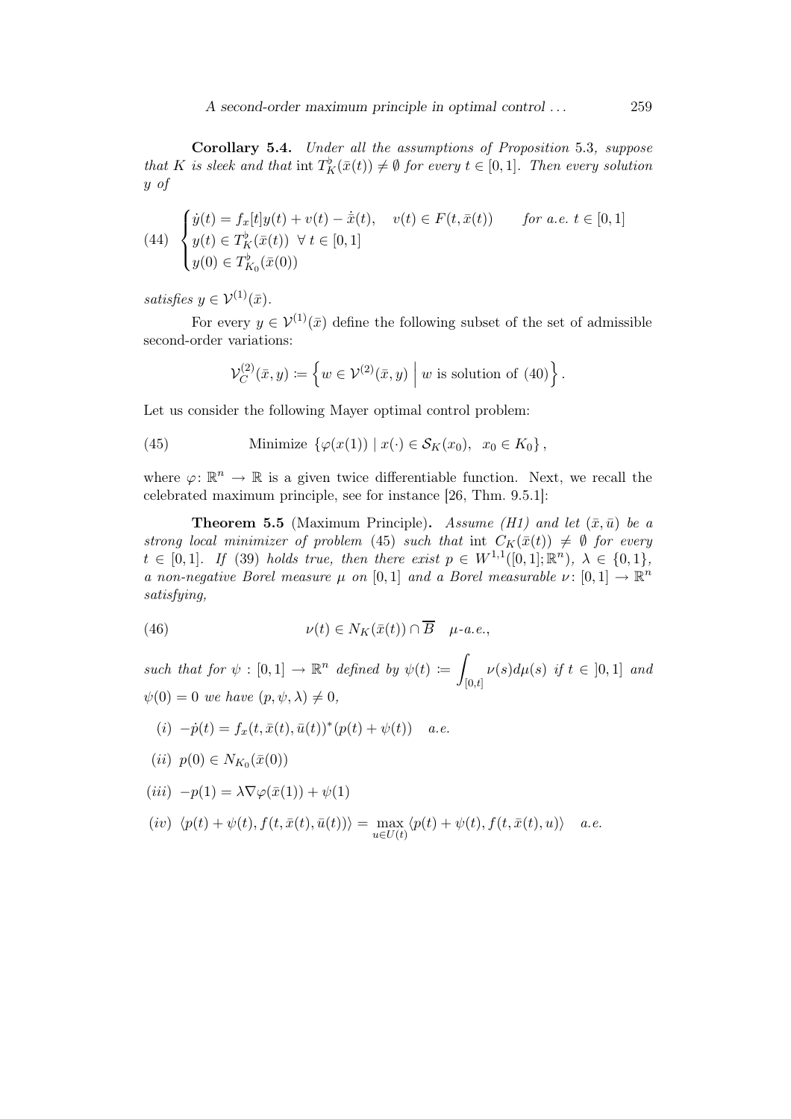A second-order maximum principle in optimal control . . . 259

Corollary 5.4. Under all the assumptions of Proposition 5.3, suppose that K is sleek and that int  $T_K^{\flat}(\bar{x}(t)) \neq \emptyset$  for every  $t \in [0,1]$ . Then every solution y of

(44) 
$$
\begin{cases} \dot{y}(t) = f_x[t]y(t) + v(t) - \dot{\bar{x}}(t), & v(t) \in F(t, \bar{x}(t)) \text{ for a.e. } t \in [0, 1] \\ y(t) \in T_K^{\flat}(\bar{x}(t)) \ \forall \ t \in [0, 1] \\ y(0) \in T_{K_0}^{\flat}(\bar{x}(0)) \end{cases}
$$

satisfies  $y \in \mathcal{V}^{(1)}(\bar{x})$ .

For every  $y \in \mathcal{V}^{(1)}(\bar{x})$  define the following subset of the set of admissible second-order variations:

$$
\mathcal{V}_C^{(2)}(\bar{x}, y) \coloneqq \left\{ w \in \mathcal{V}^{(2)}(\bar{x}, y) \mid w \text{ is solution of (40)} \right\}.
$$

Let us consider the following Mayer optimal control problem:

(45) Minimize 
$$
\{\varphi(x(1)) \mid x(\cdot) \in S_K(x_0), x_0 \in K_0\},\
$$

where  $\varphi: \mathbb{R}^n \to \mathbb{R}$  is a given twice differentiable function. Next, we recall the celebrated maximum principle, see for instance [26, Thm. 9.5.1]:

**Theorem 5.5** (Maximum Principle). Assume (H1) and let  $(\bar{x}, \bar{u})$  be a strong local minimizer of problem (45) such that int  $C_K(\bar{x}(t)) \neq \emptyset$  for every  $t \in [0,1].$  If (39) holds true, then there exist  $p \in W^{1,1}([0,1];\mathbb{R}^n)$ ,  $\lambda \in \{0,1\}$ , a non-negative Borel measure  $\mu$  on [0,1] and a Borel measurable  $\nu: [0,1] \to \mathbb{R}^n$ satisfying,

(46) 
$$
\nu(t) \in N_K(\bar{x}(t)) \cap \overline{B} \quad \mu\text{-}a.e.,
$$

such that for  $\psi : [0,1] \to \mathbb{R}^n$  defined by  $\psi(t) :=$ Z  $[0,t]$  $\nu(s)d\mu(s)$  if  $t \in [0,1]$  and  $\psi(0) = 0$  we have  $(p, \psi, \lambda) \neq 0$ ,

(i) 
$$
-\dot{p}(t) = f_x(t, \bar{x}(t), \bar{u}(t))^*(p(t) + \psi(t))
$$
 a.e.

$$
(ii) p(0) \in N_{K_0}(\bar{x}(0))
$$

$$
(iii) -p(1) = \lambda \nabla \varphi(\bar{x}(1)) + \psi(1)
$$

$$
(iv) \langle p(t) + \psi(t), f(t, \bar{x}(t), \bar{u}(t)) \rangle = \max_{u \in U(t)} \langle p(t) + \psi(t), f(t, \bar{x}(t), u) \rangle \quad a.e.
$$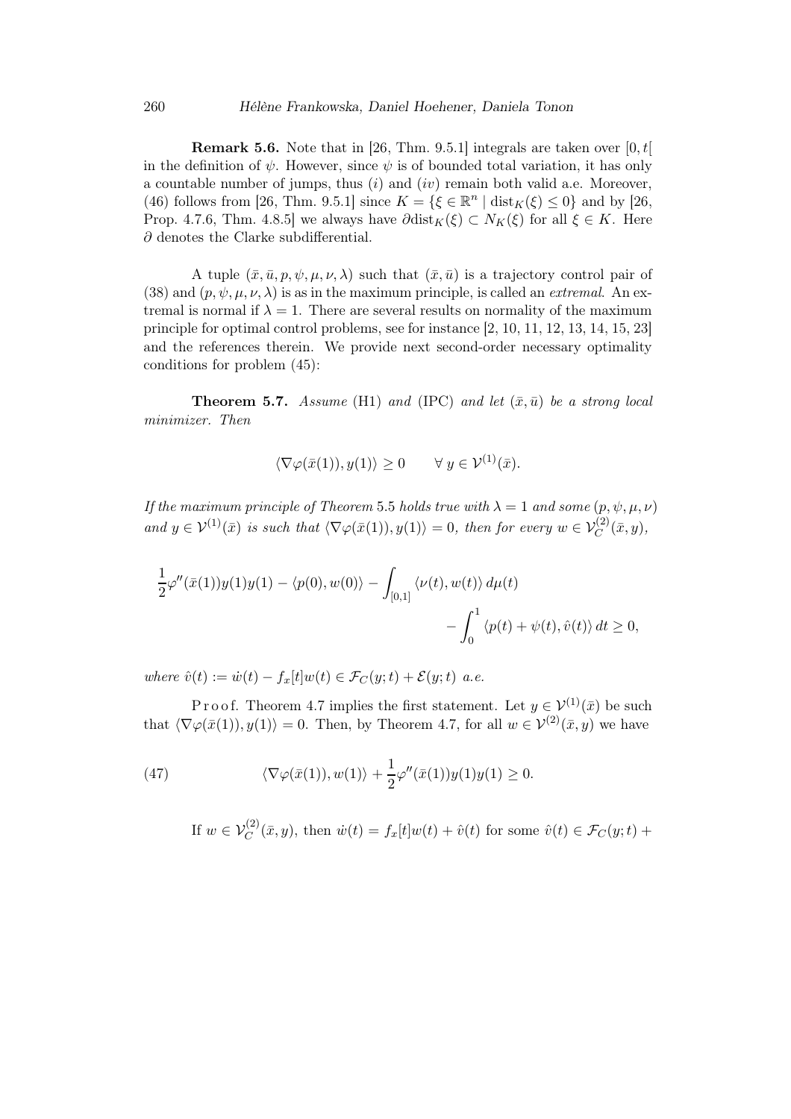**Remark 5.6.** Note that in [26, Thm. 9.5.1] integrals are taken over  $[0, t]$ in the definition of  $\psi$ . However, since  $\psi$  is of bounded total variation, it has only a countable number of jumps, thus  $(i)$  and  $(iv)$  remain both valid a.e. Moreover, (46) follows from [26, Thm. 9.5.1] since  $K = \{ \xi \in \mathbb{R}^n \mid \text{dist}_K(\xi) \leq 0 \}$  and by [26, Prop. 4.7.6, Thm. 4.8.5] we always have  $\partial \text{dist}_K(\xi) \subset N_K(\xi)$  for all  $\xi \in K$ . Here  $\partial$  denotes the Clarke subdifferential.

A tuple  $(\bar{x}, \bar{u}, p, \psi, \mu, \nu, \lambda)$  such that  $(\bar{x}, \bar{u})$  is a trajectory control pair of (38) and  $(p, \psi, \mu, \nu, \lambda)$  is as in the maximum principle, is called an *extremal*. An extremal is normal if  $\lambda = 1$ . There are several results on normality of the maximum principle for optimal control problems, see for instance [2, 10, 11, 12, 13, 14, 15, 23] and the references therein. We provide next second-order necessary optimality conditions for problem (45):

**Theorem 5.7.** Assume (H1) and (IPC) and let  $(\bar{x}, \bar{u})$  be a strong local minimizer. Then

$$
\langle \nabla \varphi(\bar{x}(1)), y(1) \rangle \ge 0 \quad \forall y \in \mathcal{V}^{(1)}(\bar{x}).
$$

If the maximum principle of Theorem 5.5 holds true with  $\lambda = 1$  and some  $(p, \psi, \mu, \nu)$ and  $y \in \mathcal{V}^{(1)}(\bar{x})$  is such that  $\langle \nabla \varphi(\bar{x}(1)), y(1) \rangle = 0$ , then for every  $w \in \mathcal{V}_C^{(2)}(\bar{x}, y)$ ,

$$
\frac{1}{2}\varphi''(\bar{x}(1))y(1)y(1) - \langle p(0), w(0) \rangle - \int_{[0,1]} \langle \nu(t), w(t) \rangle d\mu(t) - \int_0^1 \langle p(t) + \psi(t), \hat{v}(t) \rangle dt \ge 0,
$$

where  $\hat{v}(t) := \dot{w}(t) - f_x[t]w(t) \in \mathcal{F}_C(y;t) + \mathcal{E}(y;t)$  a.e.

P r o o f. Theorem 4.7 implies the first statement. Let  $y \in \mathcal{V}^{(1)}(\bar{x})$  be such that  $\langle \nabla \varphi(\bar{x}(1)), y(1) \rangle = 0$ . Then, by Theorem 4.7, for all  $w \in V^{(2)}(\bar{x}, y)$  we have

(47) 
$$
\langle \nabla \varphi(\bar{x}(1)), w(1) \rangle + \frac{1}{2} \varphi''(\bar{x}(1)) y(1) y(1) \ge 0.
$$

If  $w \in \mathcal{V}_C^{(2)}(\bar{x}, y)$ , then  $\dot{w}(t) = f_x[t]w(t) + \hat{v}(t)$  for some  $\hat{v}(t) \in \mathcal{F}_C(y; t)$  +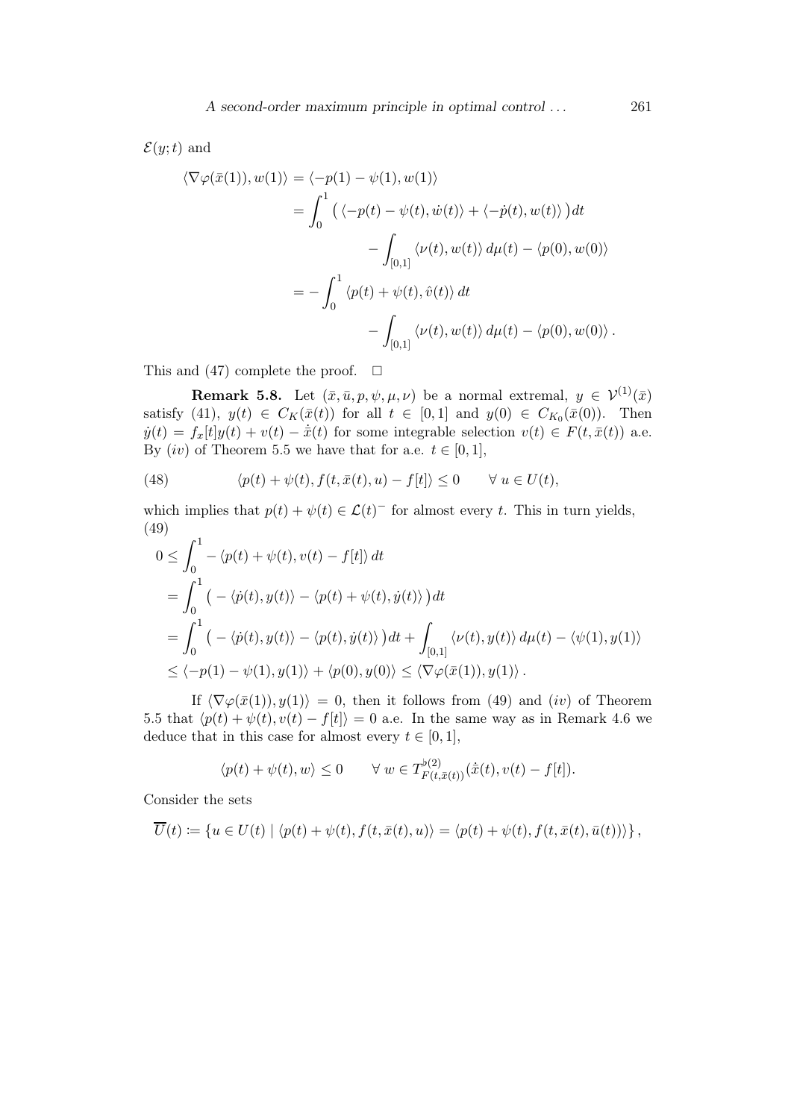$\mathcal{E}(y;t)$  and

$$
\langle \nabla \varphi(\bar{x}(1)), w(1) \rangle = \langle -p(1) - \psi(1), w(1) \rangle
$$
  
= 
$$
\int_0^1 \left( \langle -p(t) - \psi(t), \dot{w}(t) \rangle + \langle -\dot{p}(t), w(t) \rangle \right) dt
$$
  

$$
- \int_{[0,1]} \langle \nu(t), w(t) \rangle d\mu(t) - \langle p(0), w(0) \rangle
$$
  
= 
$$
- \int_0^1 \langle p(t) + \psi(t), \hat{v}(t) \rangle dt
$$
  

$$
- \int_{[0,1]} \langle \nu(t), w(t) \rangle d\mu(t) - \langle p(0), w(0) \rangle.
$$

This and (47) complete the proof.  $\square$ 

**Remark 5.8.** Let  $(\bar{x}, \bar{u}, p, \psi, \mu, \nu)$  be a normal extremal,  $y \in \mathcal{V}^{(1)}(\bar{x})$ satisfy (41),  $y(t) \in C_K(\bar{x}(t))$  for all  $t \in [0,1]$  and  $y(0) \in C_{K_0}(\bar{x}(0))$ . Then  $\dot{y}(t) = f_x[t]y(t) + v(t) - \dot{\bar{x}}(t)$  for some integrable selection  $v(t) \in F(t, \bar{x}(t))$  a.e. By  $(iv)$  of Theorem 5.5 we have that for a.e.  $t \in [0, 1]$ ,

(48) 
$$
\langle p(t) + \psi(t), f(t, \bar{x}(t), u) - f[t] \rangle \leq 0 \quad \forall u \in U(t),
$$

which implies that  $p(t) + \psi(t) \in \mathcal{L}(t)$ <sup>-</sup> for almost every t. This in turn yields, (49)  $\overline{a}$  1

$$
0 \leq \int_0^1 -\langle p(t) + \psi(t), v(t) - f[t] \rangle dt
$$
  
= 
$$
\int_0^1 \left( -\langle \dot{p}(t), y(t) \rangle - \langle p(t) + \psi(t), \dot{y}(t) \rangle \right) dt
$$
  
= 
$$
\int_0^1 \left( -\langle \dot{p}(t), y(t) \rangle - \langle p(t), \dot{y}(t) \rangle \right) dt + \int_{[0,1]} \langle \nu(t), y(t) \rangle d\mu(t) - \langle \psi(1), y(1) \rangle
$$
  

$$
\leq \langle -p(1) - \psi(1), y(1) \rangle + \langle p(0), y(0) \rangle \leq \langle \nabla \varphi(\bar{x}(1)), y(1) \rangle.
$$

If  $\langle \nabla \varphi(\bar{x}(1)), y(1) \rangle = 0$ , then it follows from (49) and (iv) of Theorem 5.5 that  $\langle p(t) + \psi(t), v(t) - f(t) \rangle = 0$  a.e. In the same way as in Remark 4.6 we deduce that in this case for almost every  $t \in [0, 1]$ ,

$$
\langle p(t) + \psi(t), w \rangle \le 0 \qquad \forall \ w \in T_{F(t,\bar{x}(t))}^{b(2)}(\dot{\bar{x}}(t), v(t) - f[t]).
$$

Consider the sets

$$
\overline{U}(t) := \left\{ u \in U(t) \mid \langle p(t) + \psi(t), f(t, \overline{x}(t), u) \rangle = \langle p(t) + \psi(t), f(t, \overline{x}(t), \overline{u}(t)) \rangle \right\},\
$$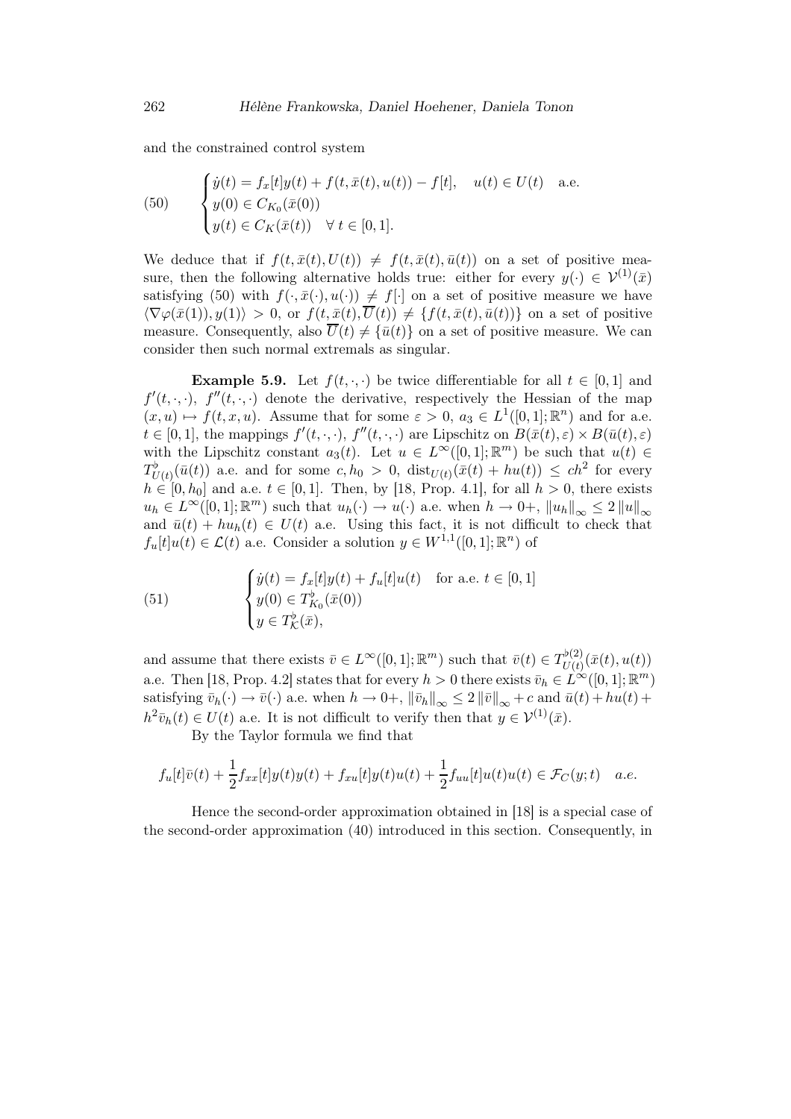and the constrained control system

(50) 
$$
\begin{cases} \dot{y}(t) = f_x[t]y(t) + f(t, \bar{x}(t), u(t)) - f[t], & u(t) \in U(t) \text{ a.e.} \\ y(0) \in C_{K_0}(\bar{x}(0)) \\ y(t) \in C_K(\bar{x}(t)) \quad \forall \ t \in [0, 1]. \end{cases}
$$

We deduce that if  $f(t, \bar{x}(t), U(t)) \neq f(t, \bar{x}(t), \bar{u}(t))$  on a set of positive measure, then the following alternative holds true: either for every  $y(\cdot) \in \mathcal{V}^{(1)}(\bar{x})$ satisfying (50) with  $f(\cdot,\bar{x}(\cdot),u(\cdot)) \neq f[\cdot]$  on a set of positive measure we have  $\langle \nabla \varphi(\bar{x}(1)), y(1) \rangle > 0$ , or  $f(t, \bar{x}(t), \overline{U}(t)) \neq \{f(t, \bar{x}(t), \bar{u}(t))\}$  on a set of positive measure. Consequently, also  $\overline{U}(t) \neq {\overline{u}(t)}$  on a set of positive measure. We can consider then such normal extremals as singular.

**Example 5.9.** Let  $f(t, \cdot, \cdot)$  be twice differentiable for all  $t \in [0, 1]$  and  $f'(t, \cdot, \cdot)$ ,  $f''(t, \cdot, \cdot)$  denote the derivative, respectively the Hessian of the map  $(x, u) \mapsto f(t, x, u)$ . Assume that for some  $\varepsilon > 0$ ,  $a_3 \in L^1([0, 1]; \mathbb{R}^n)$  and for a.e.  $t \in [0,1],$  the mappings  $f'(t,\cdot,\cdot), f''(t,\cdot,\cdot)$  are Lipschitz on  $B(\bar{x}(t),\varepsilon) \times B(\bar{u}(t),\varepsilon)$ with the Lipschitz constant  $a_3(t)$ . Let  $u \in L^{\infty}([0,1];\mathbb{R}^m)$  be such that  $u(t) \in$  $T_{U(t)}^{\flat}(\bar{u}(t))$  a.e. and for some  $c, h_0 > 0$ ,  $dist_{U(t)}(\bar{x}(t) + hu(t)) \leq ch^2$  for every  $h \in [0, h_0]$  and a.e.  $t \in [0, 1]$ . Then, by [18, Prop. 4.1], for all  $h > 0$ , there exists  $u_h \in L^{\infty}([0,1];\mathbb{R}^m)$  such that  $u_h(\cdot) \to u(\cdot)$  a.e. when  $h \to 0^{\circ}, \|u_h\|_{\infty} \leq 2 \|u\|_{\infty}$ and  $\bar{u}(t) + hu_h(t) \in U(t)$  a.e. Using this fact, it is not difficult to check that  $f_u[t]u(t) \in \mathcal{L}(t)$  a.e. Consider a solution  $y \in W^{1,1}([0,1];\mathbb{R}^n)$  of

(51) 
$$
\begin{cases} \dot{y}(t) = f_x[t]y(t) + f_u[t]u(t) & \text{for a.e. } t \in [0, 1] \\ y(0) \in T_{K_0}^{\flat}(\bar{x}(0)) \\ y \in T_{\mathcal{K}}^{\flat}(\bar{x}), \end{cases}
$$

and assume that there exists  $\bar{v} \in L^{\infty}([0,1];\mathbb{R}^m)$  such that  $\bar{v}(t) \in T^{\flat(2)}_{U(t)}$  $\bar{U}^{(2)}_{U(t)}(\bar{x}(t),u(t))$ a.e. Then [18, Prop. 4.2] states that for every  $h > 0$  there exists  $\bar{v}_h \in L^{\infty}([0,1]; \mathbb{R}^m)$ satisfying  $\bar{v}_h(\cdot) \to \bar{v}(\cdot)$  a.e. when  $h \to 0^+$ ,  $\|\bar{v}_h\|_{\infty} \leq 2 \|\bar{v}\|_{\infty} + c$  and  $\bar{u}(t) + hu(t) +$  $h^2 \bar{v}_h(t) \in U(t)$  a.e. It is not difficult to verify then that  $y \in V^{(1)}(\bar{x})$ .

By the Taylor formula we find that

$$
f_u[t]\overline{v}(t) + \frac{1}{2}f_{xx}[t]y(t)y(t) + f_{xu}[t]y(t)u(t) + \frac{1}{2}f_{uu}[t]u(t)u(t) \in \mathcal{F}_C(y;t) \quad a.e.
$$

Hence the second-order approximation obtained in [18] is a special case of the second-order approximation (40) introduced in this section. Consequently, in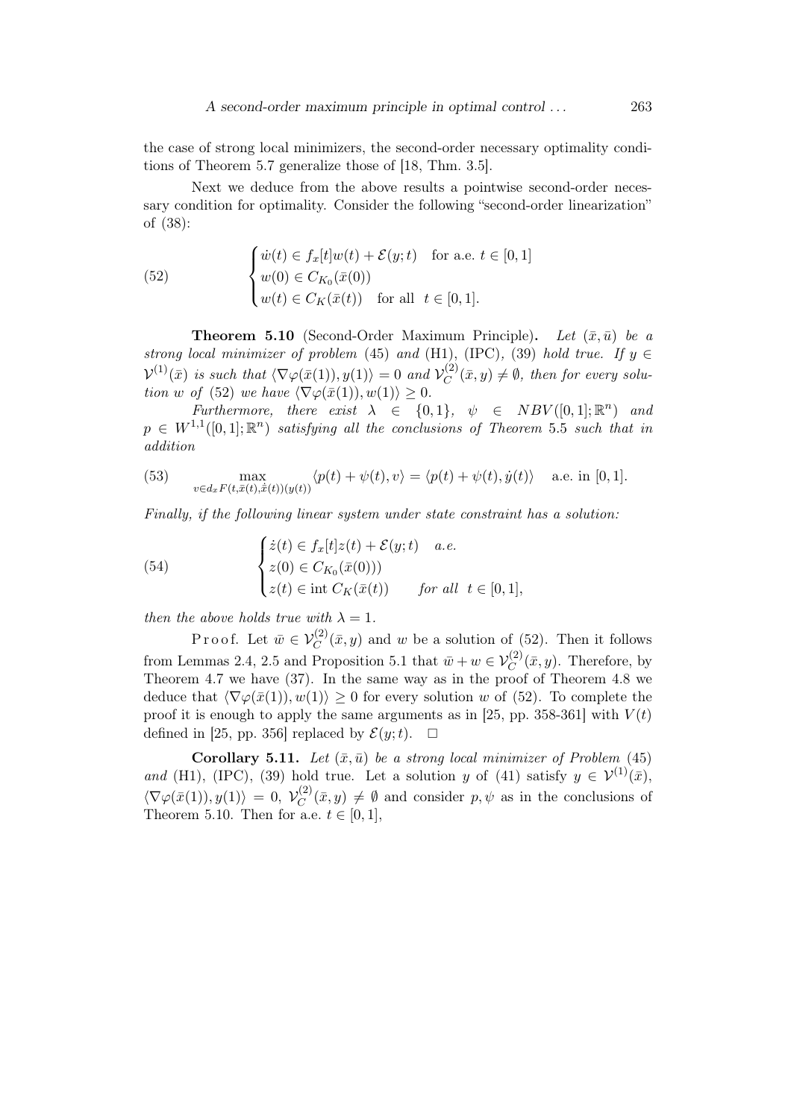the case of strong local minimizers, the second-order necessary optimality conditions of Theorem 5.7 generalize those of [18, Thm. 3.5].

Next we deduce from the above results a pointwise second-order necessary condition for optimality. Consider the following "second-order linearization" of (38):

(52) 
$$
\begin{cases} \dot{w}(t) \in f_x[t]w(t) + \mathcal{E}(y;t) & \text{for a.e. } t \in [0,1] \\ w(0) \in C_{K_0}(\bar{x}(0)) \\ w(t) \in C_K(\bar{x}(t)) & \text{for all } t \in [0,1]. \end{cases}
$$

**Theorem 5.10** (Second-Order Maximum Principle). Let  $(\bar{x}, \bar{u})$  be a strong local minimizer of problem (45) and (H1), (IPC), (39) hold true. If  $y \in$  $\mathcal{V}^{(1)}(\bar{x})$  is such that  $\langle \nabla \varphi(\bar{x}(1)), y(1) \rangle = 0$  and  $\mathcal{V}_C^{(2)}$  $C^{(2)}(\bar{x},y) \neq \emptyset$ , then for every solution w of (52) we have  $\langle \nabla \varphi(\bar{x}(1)), w(1) \rangle \geq 0$ .

Furthermore, there exist  $\lambda \in \{0,1\}$ ,  $\psi \in NBV([0,1];\mathbb{R}^n)$  and  $p \in W^{1,1}([0,1];\mathbb{R}^n)$  satisfying all the conclusions of Theorem 5.5 such that in addition

(53) 
$$
\max_{v \in d_x F(t, \bar{x}(t), \dot{x}(t))(y(t))} \langle p(t) + \psi(t), v \rangle = \langle p(t) + \psi(t), \dot{y}(t) \rangle \quad \text{a.e. in [0, 1].}
$$

Finally, if the following linear system under state constraint has a solution:

(54) 
$$
\begin{cases} \dot{z}(t) \in f_x[t] z(t) + \mathcal{E}(y;t) & a.e. \\ z(0) \in C_{K_0}(\bar{x}(0))) \\ z(t) \in \text{int } C_K(\bar{x}(t)) & \text{for all } t \in [0,1], \end{cases}
$$

then the above holds true with  $\lambda = 1$ .

Proof. Let  $\bar{w} \in V_C^{(2)}(\bar{x}, y)$  and w be a solution of (52). Then it follows from Lemmas 2.4, 2.5 and Proposition 5.1 that  $\bar{w} + w \in V_C^{(2)}(\bar{x}, y)$ . Therefore, by Theorem 4.7 we have (37). In the same way as in the proof of Theorem 4.8 we deduce that  $\langle \nabla \varphi(\bar{x}(1)), w(1) \rangle \geq 0$  for every solution w of (52). To complete the proof it is enough to apply the same arguments as in [25, pp. 358-361] with  $V(t)$ defined in [25, pp. 356] replaced by  $\mathcal{E}(y; t)$ .  $\Box$ 

**Corollary 5.11.** Let  $(\bar{x}, \bar{u})$  be a strong local minimizer of Problem (45) and (H1), (IPC), (39) hold true. Let a solution y of (41) satisfy  $y \in \mathcal{V}^{(1)}(\bar{x})$ ,  $\langle \nabla \varphi(\bar{x}(1)), y(1) \rangle = 0, \; \mathcal{V}_C^{(2)}$  $C^{(2)}(\bar{x},y) \neq \emptyset$  and consider  $p, \psi$  as in the conclusions of Theorem 5.10. Then for a.e.  $t \in [0, 1]$ ,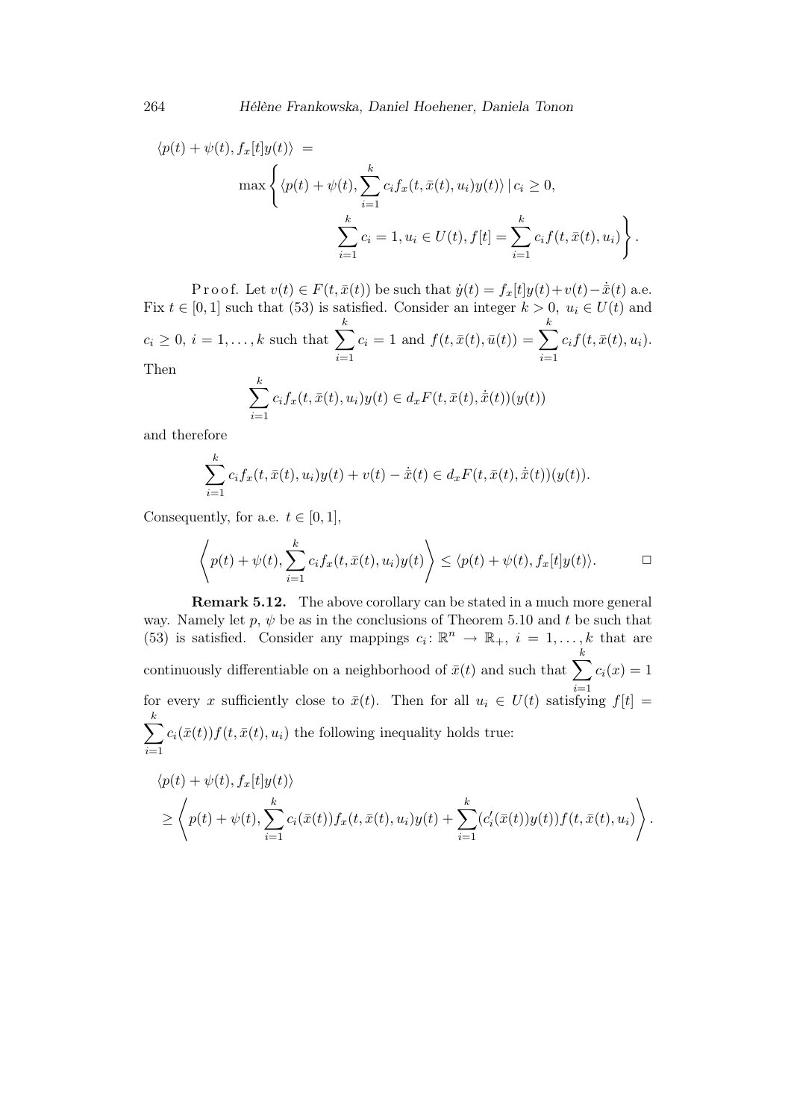$$
\langle p(t) + \psi(t), f_x[t]y(t) \rangle =
$$
  

$$
\max \left\{ \langle p(t) + \psi(t), \sum_{i=1}^k c_i f_x(t, \bar{x}(t), u_i) y(t) \rangle \mid c_i \ge 0,
$$
  

$$
\sum_{i=1}^k c_i = 1, u_i \in U(t), f[t] = \sum_{i=1}^k c_i f(t, \bar{x}(t), u_i) \right\}.
$$

P r o o f. Let  $v(t) \in F(t, \bar{x}(t))$  be such that  $\dot{y}(t) = f_x[t]y(t) + v(t) - \dot{\bar{x}}(t)$  a.e. Fix  $t \in [0, 1]$  such that (53) is satisfied. Consider an integer  $k > 0$ ,  $u_i \in U(t)$  and  $c_i \geq 0, i = 1, \ldots, k$  such that  $\sum_{i=1}^{k}$  $i=1$  $c_i = 1$  and  $f(t, \bar{x}(t), \bar{u}(t)) = \sum_{k=1}^{k}$  $\frac{i=1}{i}$  $c_i f(t, \bar{x}(t),u_i).$ Then k

$$
\sum_{i=1}^{n} c_i f_x(t, \bar{x}(t), u_i) y(t) \in d_x F(t, \bar{x}(t), \dot{\bar{x}}(t)) (y(t))
$$

and therefore

$$
\sum_{i=1}^{k} c_i f_x(t, \bar{x}(t), u_i) y(t) + v(t) - \dot{\bar{x}}(t) \in d_x F(t, \bar{x}(t), \dot{\bar{x}}(t)) (y(t)).
$$

Consequently, for a.e.  $t \in [0, 1]$ ,

$$
\left\langle p(t) + \psi(t), \sum_{i=1}^k c_i f_x(t, \bar{x}(t), u_i) y(t) \right\rangle \le \langle p(t) + \psi(t), f_x[t] y(t) \rangle.
$$

Remark 5.12. The above corollary can be stated in a much more general way. Namely let p,  $\psi$  be as in the conclusions of Theorem 5.10 and t be such that (53) is satisfied. Consider any mappings  $c_i: \mathbb{R}^n \to \mathbb{R}_+$ ,  $i = 1, ..., k$  that are continuously differentiable on a neighborhood of  $\bar{x}(t)$  and such that  $\sum_{k=1}^{k}$ for every x sufficiently close to  $\bar{x}(t)$ . Then for all  $u_i \in U(t)$  satisfying  $f[t] =$  $c_i(x) = 1$  $\sqrt{ }$ k  $i=1$  $c_i(\bar{x}(t))f(t,\bar{x}(t),u_i)$  the following inequality holds true:

$$
\langle p(t) + \psi(t), f_x[t]y(t) \rangle
$$
  
\n
$$
\geq \left\langle p(t) + \psi(t), \sum_{i=1}^k c_i(\bar{x}(t)) f_x(t, \bar{x}(t), u_i) y(t) + \sum_{i=1}^k (c'_i(\bar{x}(t)) y(t)) f(t, \bar{x}(t), u_i) \right\rangle.
$$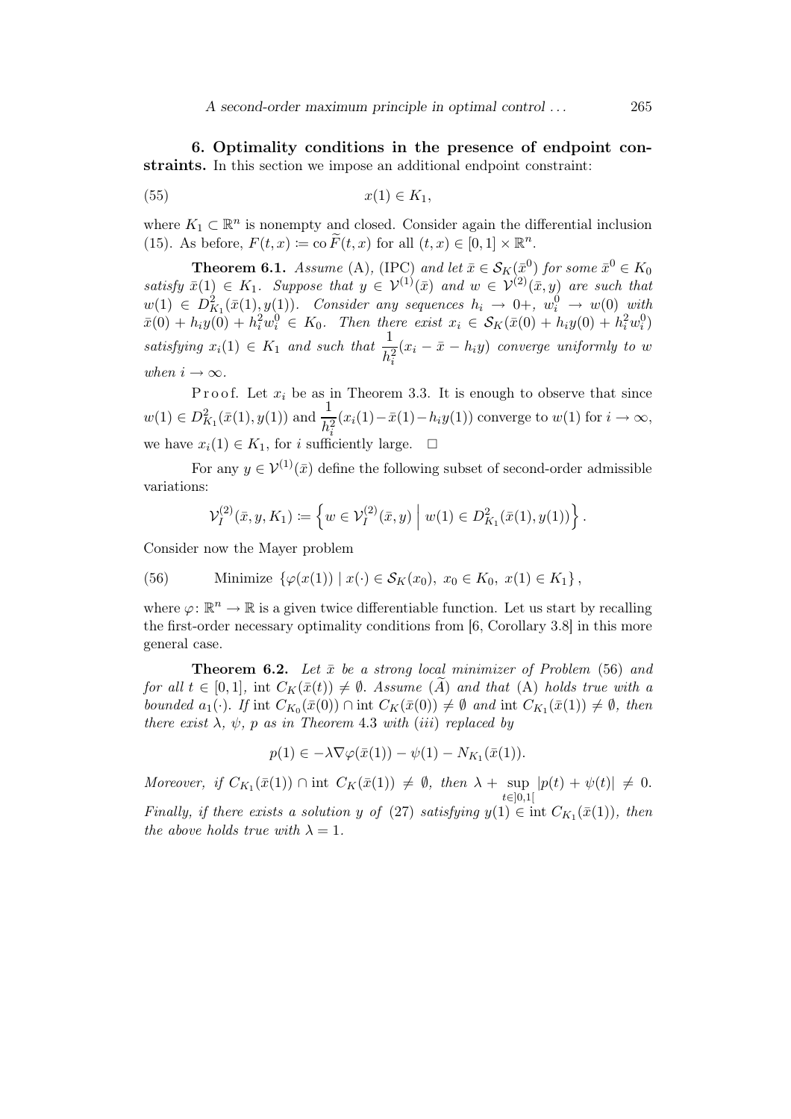6. Optimality conditions in the presence of endpoint constraints. In this section we impose an additional endpoint constraint:

$$
(55) \t\t x(1) \in K_1,
$$

where  $K_1 \subset \mathbb{R}^n$  is nonempty and closed. Consider again the differential inclusion (15). As before,  $F(t, x) \coloneqq \text{co }\widetilde{F}(t, x)$  for all  $(t, x) \in [0, 1] \times \mathbb{R}^n$ .

**Theorem 6.1.** Assume (A), (IPC) and let  $\bar{x} \in \mathcal{S}_K(\bar{x}^0)$  for some  $\bar{x}^0 \in K_0$ satisfy  $\bar{x}(1) \in K_1$ . Suppose that  $y \in V^{(1)}(\bar{x})$  and  $w \in V^{(2)}(\bar{x}, y)$  are such that  $w(1) \in D_{K_1}^2(\bar{x}(1),y(1)).$  Consider any sequences  $h_i \to 0+, w_i^0 \to w(0)$  with  $\bar{x}(0) + h_i y(0) + h_i^2 w_i^0 \in K_0$ . Then there exist  $x_i \in S_K(\bar{x}(0) + h_i y(0) + h_i^2 w_i^0)$ satisfying  $x_i(1) \in K_1$  and such that  $\frac{1}{h_i^2}$  $(x_i - \bar{x} - h_iy)$  converge uniformly to w when  $i \to \infty$ .

P r o o f. Let  $x_i$  be as in Theorem 3.3. It is enough to observe that since  $w(1) \in D_{K_1}^2(\bar{x}(1), y(1))$  and  $\frac{1}{h_i^2}$  $(x_i(1)-\bar{x}(1)-h_iy(1))$  converge to  $w(1)$  for  $i \to \infty$ , we have  $x_i(1) \in K_1$ , for i sufficiently large.  $\Box$ 

For any  $u \in \mathcal{V}^{(1)}(\bar{x})$  define the following subset of second-order admissible variations:

$$
\mathcal{V}_I^{(2)}(\bar{x},y,K_1) \coloneqq \left\{ w \in \mathcal{V}_I^{(2)}(\bar{x},y) \; \Big| \; w(1) \in D^2_{K_1}(\bar{x}(1),y(1)) \right\}.
$$

Consider now the Mayer problem

(56) Minimize 
$$
\{\varphi(x(1)) \mid x(\cdot) \in S_K(x_0), x_0 \in K_0, x(1) \in K_1\},\
$$

where  $\varphi \colon \mathbb{R}^n \to \mathbb{R}$  is a given twice differentiable function. Let us start by recalling the first-order necessary optimality conditions from [6, Corollary 3.8] in this more general case.

**Theorem 6.2.** Let  $\bar{x}$  be a strong local minimizer of Problem (56) and for all  $t \in [0,1]$ , int  $C_K(\bar{x}(t)) \neq \emptyset$ . Assume (A) and that (A) holds true with a bounded  $a_1(\cdot)$ . If int  $C_{K_0}(\bar{x}(0)) \cap \text{int } C_K(\bar{x}(0)) \neq \emptyset$  and int  $C_{K_1}(\bar{x}(1)) \neq \emptyset$ , then there exist  $\lambda$ ,  $\psi$ , p as in Theorem 4.3 with (iii) replaced by

$$
p(1) \in -\lambda \nabla \varphi(\bar{x}(1)) - \psi(1) - N_{K_1}(\bar{x}(1)).
$$

Moreover, if  $C_{K_1}(\bar{x}(1)) \cap \text{int } C_K(\bar{x}(1)) \neq \emptyset$ , then  $\lambda + \sup |p(t) + \psi(t)| \neq 0$ . t∈]0,1[ Finally, if there exists a solution y of (27) satisfying  $y(1) \in \text{int } C_{K_1}(\bar{x}(1))$ , then the above holds true with  $\lambda = 1$ .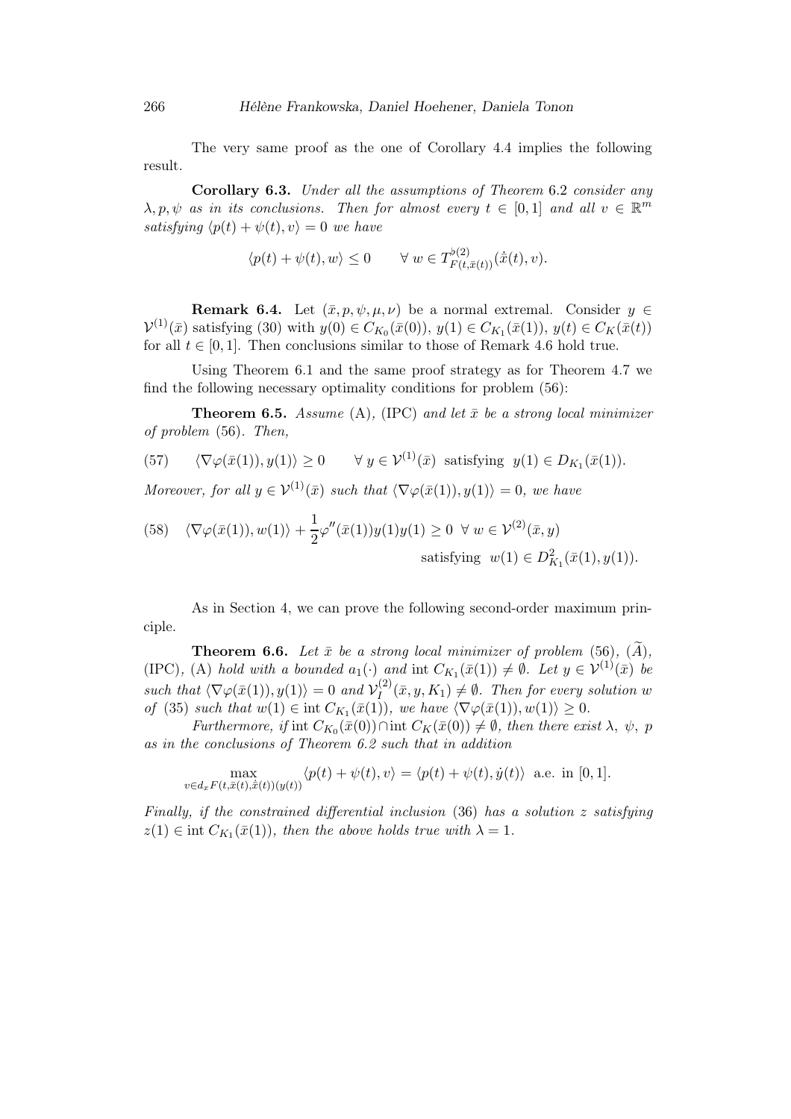The very same proof as the one of Corollary 4.4 implies the following result.

Corollary 6.3. Under all the assumptions of Theorem 6.2 consider any  $\lambda, p, \psi$  as in its conclusions. Then for almost every  $t \in [0,1]$  and all  $v \in \mathbb{R}^m$ satisfying  $\langle p(t) + \psi(t), v \rangle = 0$  we have

$$
\langle p(t) + \psi(t), w \rangle \le 0 \qquad \forall \ w \in T^{b(2)}_{F(t,\bar{x}(t))}(\dot{\bar{x}}(t), v).
$$

**Remark 6.4.** Let  $(\bar{x}, p, \psi, \mu, \nu)$  be a normal extremal. Consider  $y \in$  $\mathcal{V}^{(1)}(\bar{x})$  satisfying (30) with  $y(0) \in C_{K_0}(\bar{x}(0)), y(1) \in C_{K_1}(\bar{x}(1)), y(t) \in C_K(\bar{x}(t))$ for all  $t \in [0, 1]$ . Then conclusions similar to those of Remark 4.6 hold true.

Using Theorem 6.1 and the same proof strategy as for Theorem 4.7 we find the following necessary optimality conditions for problem (56):

**Theorem 6.5.** Assume (A), (IPC) and let  $\bar{x}$  be a strong local minimizer of problem (56). Then,

(57) 
$$
\langle \nabla \varphi(\bar{x}(1)), y(1) \rangle \ge 0 \quad \forall y \in \mathcal{V}^{(1)}(\bar{x})
$$
 satisfying  $y(1) \in D_{K_1}(\bar{x}(1))$ .

Moreover, for all  $y \in \mathcal{V}^{(1)}(\bar{x})$  such that  $\langle \nabla \varphi(\bar{x}(1)), y(1) \rangle = 0$ , we have

(58) 
$$
\langle \nabla \varphi(\bar{x}(1)), w(1) \rangle + \frac{1}{2} \varphi''(\bar{x}(1)) y(1) y(1) \ge 0 \ \forall \ w \in \mathcal{V}^{(2)}(\bar{x}, y)
$$
  
satisfying  $w(1) \in D_{K_1}^2(\bar{x}(1), y(1))$ .

As in Section 4, we can prove the following second-order maximum principle.

**Theorem 6.6.** Let  $\bar{x}$  be a strong local minimizer of problem (56),  $(\tilde{A})$ , (IPC), (A) hold with a bounded  $a_1(\cdot)$  and int  $C_{K_1}(\bar{x}(1)) \neq \emptyset$ . Let  $y \in \mathcal{V}^{(1)}(\bar{x})$  be such that  $\langle \nabla \varphi(\bar{x}(1)), y(1) \rangle = 0$  and  $\mathcal{V}_I^{(2)}$  $I_I^{(2)}(\bar{x},y,K_1) \neq \emptyset$ . Then for every solution w of (35) such that  $w(1) \in \text{int } C_{K_1}(\bar{x}(1))$ , we have  $\langle \nabla \varphi(\bar{x}(1)), w(1) \rangle \geq 0$ .

Furthermore, if int  $C_{K_0}(\bar{x}(0)) \cap \text{int } C_K(\bar{x}(0)) \neq \emptyset$ , then there exist  $\lambda$ ,  $\psi$ , p as in the conclusions of Theorem 6.2 such that in addition

$$
\max_{v \in d_x F(t, \bar{x}(t), \dot{x}(t))(y(t))} \langle p(t) + \psi(t), v \rangle = \langle p(t) + \psi(t), \dot{y}(t) \rangle \text{ a.e. in } [0, 1].
$$

Finally, if the constrained differential inclusion (36) has a solution z satisfying  $z(1) \in \text{int } C_{K_1}(\bar{x}(1)), \text{ then the above holds true with } \lambda = 1.$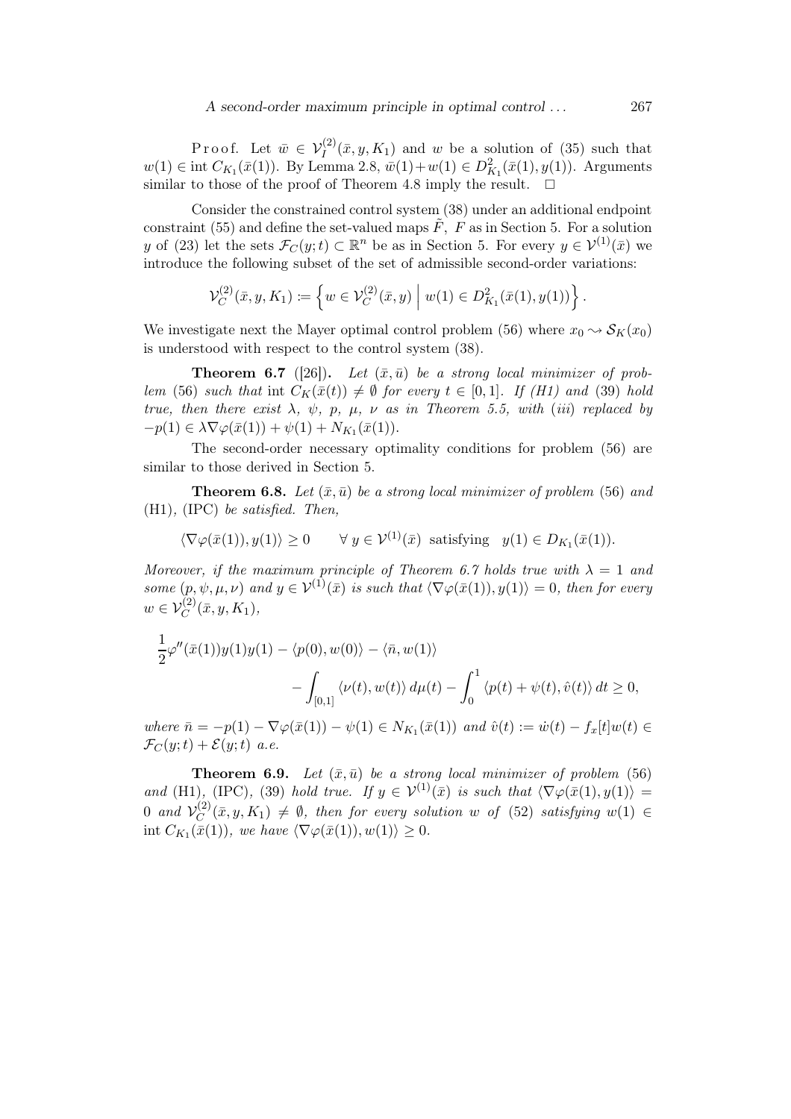## A second-order maximum principle in optimal control ... 267

Proof. Let  $\bar{w} \in V_I^{(2)}(\bar{x}, y, K_1)$  and w be a solution of (35) such that  $w(1) \in \text{int } C_{K_1}(\bar{x}(1)).$  By Lemma 2.8,  $\bar{w}(1)+w(1) \in D_{K_1}^2(\bar{x}(1), y(1)).$  Arguments similar to those of the proof of Theorem 4.8 imply the result.

Consider the constrained control system (38) under an additional endpoint constraint (55) and define the set-valued maps  $\tilde{F}$ ,  $\tilde{F}$  as in Section 5. For a solution y of (23) let the sets  $\mathcal{F}_C(y;t) \subset \mathbb{R}^n$  be as in Section 5. For every  $y \in \mathcal{V}^{(1)}(\bar{x})$  we introduce the following subset of the set of admissible second-order variations:

$$
\mathcal{V}_C^{(2)}(\bar{x},y,K_1) \coloneqq \left\{ w \in \mathcal{V}_C^{(2)}(\bar{x},y) \mid w(1) \in D_{K_1}^2(\bar{x}(1),y(1)) \right\}.
$$

We investigate next the Mayer optimal control problem (56) where  $x_0 \rightarrow S_K(x_0)$ is understood with respect to the control system (38).

**Theorem 6.7** ([26]). Let  $(\bar{x}, \bar{u})$  be a strong local minimizer of problem (56) such that int  $C_K(\bar{x}(t)) \neq \emptyset$  for every  $t \in [0,1]$ . If (H1) and (39) hold true, then there exist  $\lambda$ ,  $\psi$ ,  $p$ ,  $\mu$ ,  $\nu$  as in Theorem 5.5, with (iii) replaced by  $-p(1) \in \lambda \nabla \varphi(\bar{x}(1)) + \psi(1) + N_{K_1}(\bar{x}(1)).$ 

The second-order necessary optimality conditions for problem (56) are similar to those derived in Section 5.

**Theorem 6.8.** Let  $(\bar{x}, \bar{u})$  be a strong local minimizer of problem (56) and (H1), (IPC) be satisfied. Then,

$$
\langle \nabla \varphi(\bar{x}(1)), y(1) \rangle \ge 0
$$
  $\forall y \in \mathcal{V}^{(1)}(\bar{x})$  satisfying  $y(1) \in D_{K_1}(\bar{x}(1))$ .

Moreover, if the maximum principle of Theorem 6.7 holds true with  $\lambda = 1$  and some  $(p, \psi, \mu, \nu)$  and  $y \in V^{(1)}(\bar{x})$  is such that  $\langle \nabla \varphi(\bar{x}(1)), y(1) \rangle = 0$ , then for every  $w \in V_C^{(2)}(\bar{x}, y, K_1),$ 

$$
\frac{1}{2}\varphi''(\bar{x}(1))y(1)y(1) - \langle p(0), w(0) \rangle - \langle \bar{n}, w(1) \rangle \n- \int_{[0,1]} \langle \nu(t), w(t) \rangle d\mu(t) - \int_0^1 \langle p(t) + \psi(t), \hat{v}(t) \rangle dt \ge 0,
$$

where  $\bar{n} = -p(1) - \nabla \varphi(\bar{x}(1)) - \psi(1) \in N_{K_1}(\bar{x}(1))$  and  $\hat{v}(t) := \dot{w}(t) - f_x[t]w(t) \in$  $\mathcal{F}_C(y;t) + \mathcal{E}(y;t)$  a.e.

**Theorem 6.9.** Let  $(\bar{x}, \bar{u})$  be a strong local minimizer of problem (56) and (H1), (IPC), (39) hold true. If  $y \in V^{(1)}(\bar{x})$  is such that  $\langle \nabla \varphi(\bar{x}(1), y(1)) \rangle =$ 0 and  $\mathcal{V}_C^{(2)}$  $C^{(2)}(\bar{x},y,K_1) \neq \emptyset$ , then for every solution w of (52) satisfying  $w(1) \in$ int  $C_{K_1}(\bar{x}(1))$ , we have  $\langle \nabla \varphi(\bar{x}(1)), w(1) \rangle \geq 0$ .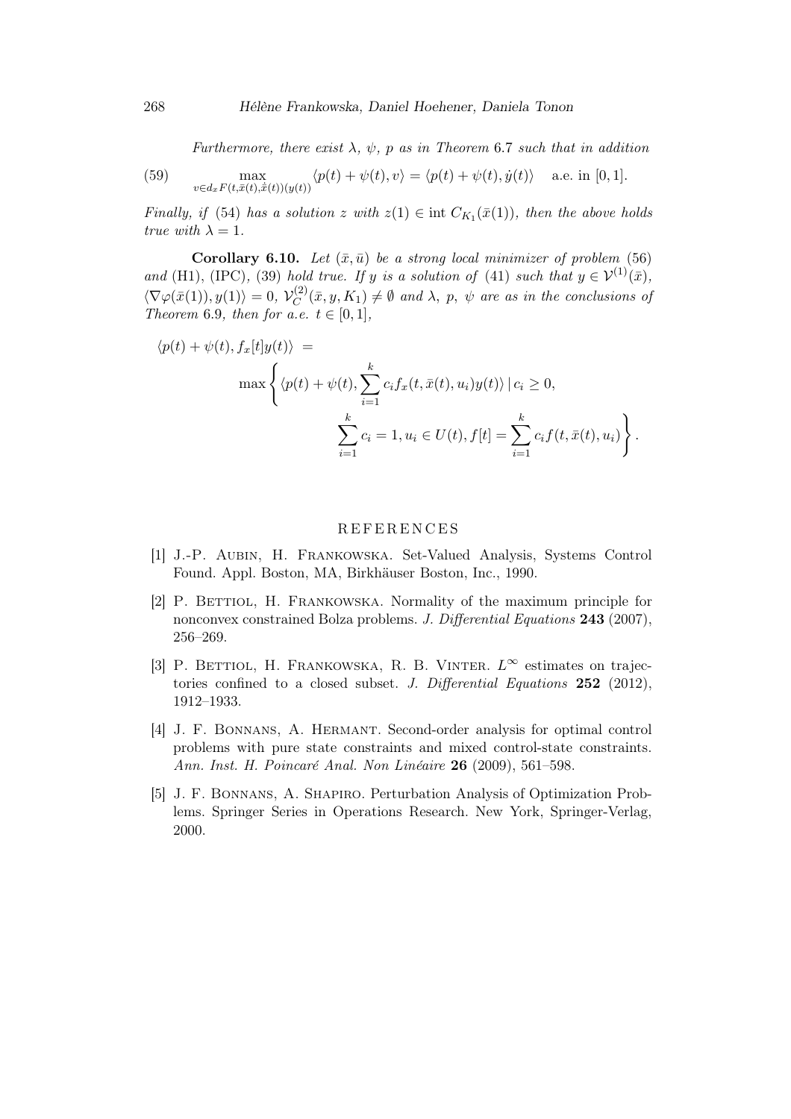Furthermore, there exist  $\lambda$ ,  $\psi$ , p as in Theorem 6.7 such that in addition

(59) 
$$
\max_{v \in d_x F(t, \bar{x}(t), \dot{x}(t))(y(t))} \langle p(t) + \psi(t), v \rangle = \langle p(t) + \psi(t), \dot{y}(t) \rangle \quad \text{a.e. in [0, 1].}
$$

Finally, if (54) has a solution z with  $z(1) \in \text{int } C_{K_1}(\bar{x}(1))$ , then the above holds true with  $\lambda = 1$ .

**Corollary 6.10.** Let  $(\bar{x}, \bar{u})$  be a strong local minimizer of problem (56) and (H1), (IPC), (39) hold true. If y is a solution of (41) such that  $y \in \mathcal{V}^{(1)}(\bar{x})$ ,  $\langle \nabla \varphi(\bar{x}(1)), y(1) \rangle = 0, \mathcal{V}_C^{(2)}$  $C^{(2)}(\bar{x},y,K_1) \neq \emptyset$  and  $\lambda$ , p,  $\psi$  are as in the conclusions of Theorem 6.9, then for a.e.  $t \in [0,1]$ ,

$$
\langle p(t) + \psi(t), f_x[t]y(t) \rangle =
$$
  

$$
\max \left\{ \langle p(t) + \psi(t), \sum_{i=1}^k c_i f_x(t, \bar{x}(t), u_i) y(t) \rangle \, | \, c_i \ge 0, \right\}
$$
  

$$
\sum_{i=1}^k c_i = 1, u_i \in U(t), f[t] = \sum_{i=1}^k c_i f(t, \bar{x}(t), u_i) \right\}.
$$

## **REFERENCES**

- [1] J.-P. Aubin, H. Frankowska. Set-Valued Analysis, Systems Control Found. Appl. Boston, MA, Birkhäuser Boston, Inc., 1990.
- [2] P. Bettiol, H. Frankowska. Normality of the maximum principle for nonconvex constrained Bolza problems. J. Differential Equations 243 (2007), 256–269.
- [3] P. BETTIOL, H. FRANKOWSKA, R. B. VINTER.  $L^{\infty}$  estimates on trajectories confined to a closed subset. J. Differential Equations  $252$  (2012), 1912–1933.
- [4] J. F. Bonnans, A. Hermant. Second-order analysis for optimal control problems with pure state constraints and mixed control-state constraints. Ann. Inst. H. Poincaré Anal. Non Linéaire 26 (2009), 561–598.
- [5] J. F. Bonnans, A. Shapiro. Perturbation Analysis of Optimization Problems. Springer Series in Operations Research. New York, Springer-Verlag, 2000.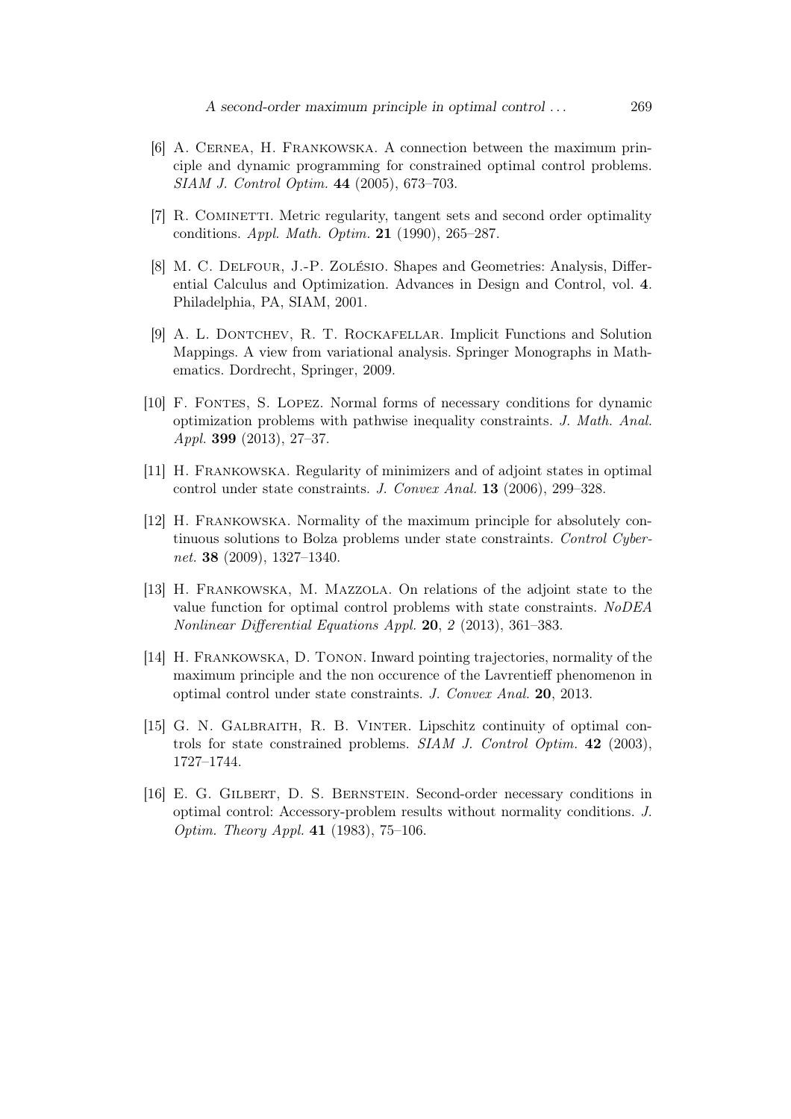- [6] A. Cernea, H. Frankowska. A connection between the maximum principle and dynamic programming for constrained optimal control problems. SIAM J. Control Optim. 44 (2005), 673–703.
- [7] R. Cominetti. Metric regularity, tangent sets and second order optimality conditions. *Appl. Math. Optim.* **21** (1990), 265–287.
- [8] M. C. Delfour, J.-P. Zolésio. Shapes and Geometries: Analysis, Differential Calculus and Optimization. Advances in Design and Control, vol. 4. Philadelphia, PA, SIAM, 2001.
- [9] A. L. Dontchev, R. T. Rockafellar. Implicit Functions and Solution Mappings. A view from variational analysis. Springer Monographs in Mathematics. Dordrecht, Springer, 2009.
- [10] F. Fontes, S. Lopez. Normal forms of necessary conditions for dynamic optimization problems with pathwise inequality constraints. J. Math. Anal. Appl. 399 (2013), 27–37.
- [11] H. Frankowska. Regularity of minimizers and of adjoint states in optimal control under state constraints. J. Convex Anal. 13 (2006), 299–328.
- [12] H. Frankowska. Normality of the maximum principle for absolutely continuous solutions to Bolza problems under state constraints. Control Cybernet. 38 (2009), 1327–1340.
- [13] H. Frankowska, M. Mazzola. On relations of the adjoint state to the value function for optimal control problems with state constraints. NoDEA Nonlinear Differential Equations Appl. 20, 2 (2013), 361–383.
- [14] H. Frankowska, D. Tonon. Inward pointing trajectories, normality of the maximum principle and the non occurence of the Lavrentieff phenomenon in optimal control under state constraints. J. Convex Anal. 20, 2013.
- [15] G. N. Galbraith, R. B. Vinter. Lipschitz continuity of optimal controls for state constrained problems. SIAM J. Control Optim. 42 (2003), 1727–1744.
- [16] E. G. Gilbert, D. S. Bernstein. Second-order necessary conditions in optimal control: Accessory-problem results without normality conditions. J. Optim. Theory Appl. 41 (1983), 75–106.